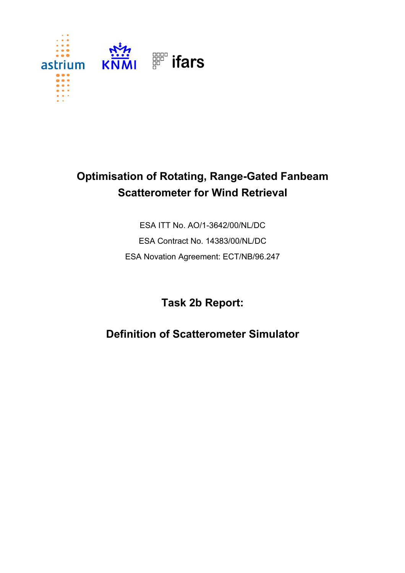

## **Optimisation of Rotating, Range-Gated Fanbeam Scatterometer for Wind Retrieval**

ESA ITT No. AO/1-3642/00/NL/DC ESA Contract No. 14383/00/NL/DC ESA Novation Agreement: ECT/NB/96.247

## **Task 2b Report:**

**Definition of Scatterometer Simulator**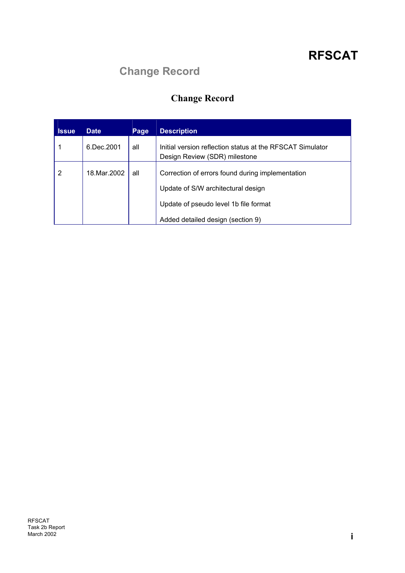## **Change Record**

## **Change Record**

| <b>Issue</b> | <b>Date</b> | Page | <b>Description</b>                                                                         |
|--------------|-------------|------|--------------------------------------------------------------------------------------------|
|              | 6.Dec.2001  | all  | Initial version reflection status at the RFSCAT Simulator<br>Design Review (SDR) milestone |
| 2            | 18 Mar 2002 | all  | Correction of errors found during implementation                                           |
|              |             |      | Update of S/W architectural design                                                         |
|              |             |      | Update of pseudo level 1b file format                                                      |
|              |             |      | Added detailed design (section 9)                                                          |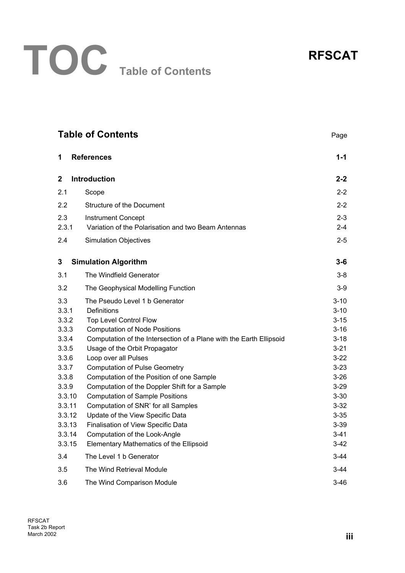

|              | <b>Table of Contents</b><br>Page                                    |          |  |  |
|--------------|---------------------------------------------------------------------|----------|--|--|
| 1            | <b>References</b>                                                   | $1 - 1$  |  |  |
| $\mathbf{2}$ | <b>Introduction</b>                                                 | $2 - 2$  |  |  |
| 2.1          | Scope                                                               | $2 - 2$  |  |  |
| 2.2          | <b>Structure of the Document</b>                                    | $2 - 2$  |  |  |
| 2.3          | <b>Instrument Concept</b>                                           | $2 - 3$  |  |  |
| 2.3.1        | Variation of the Polarisation and two Beam Antennas                 | $2 - 4$  |  |  |
| 2.4          | <b>Simulation Objectives</b>                                        | $2 - 5$  |  |  |
| 3            | <b>Simulation Algorithm</b>                                         | $3 - 6$  |  |  |
| 3.1          | The Windfield Generator                                             | $3-8$    |  |  |
| 3.2          | The Geophysical Modelling Function                                  | $3-9$    |  |  |
| 3.3          | The Pseudo Level 1 b Generator                                      | $3 - 10$ |  |  |
| 3.3.1        | <b>Definitions</b>                                                  | $3 - 10$ |  |  |
| 3.3.2        | Top Level Control Flow                                              | $3 - 15$ |  |  |
| 3.3.3        | <b>Computation of Node Positions</b>                                | $3 - 16$ |  |  |
| 3.3.4        | Computation of the Intersection of a Plane with the Earth Ellipsoid | $3 - 18$ |  |  |
| 3.3.5        | Usage of the Orbit Propagator                                       | $3 - 21$ |  |  |
| 3.3.6        | Loop over all Pulses                                                | $3-22$   |  |  |
| 3.3.7        | <b>Computation of Pulse Geometry</b>                                | $3 - 23$ |  |  |
| 3.3.8        | Computation of the Position of one Sample                           | $3 - 26$ |  |  |
| 3.3.9        | Computation of the Doppler Shift for a Sample                       | $3 - 29$ |  |  |
| 3.3.10       | <b>Computation of Sample Positions</b>                              | $3 - 30$ |  |  |
| 3.3.11       | Computation of SNR' for all Samples                                 | $3 - 32$ |  |  |
| 3.3.12       | Update of the View Specific Data                                    | $3 - 35$ |  |  |
| 3.3.13       | Finalisation of View Specific Data                                  | $3 - 39$ |  |  |
| 3.3.14       | Computation of the Look-Angle                                       | $3 - 41$ |  |  |
| 3.3.15       | Elementary Mathematics of the Ellipsoid                             | 3-42     |  |  |
| 3.4          | The Level 1 b Generator                                             | $3-44$   |  |  |
| 3.5          | The Wind Retrieval Module                                           | $3-44$   |  |  |
| 3.6          | $3 - 46$<br>The Wind Comparison Module                              |          |  |  |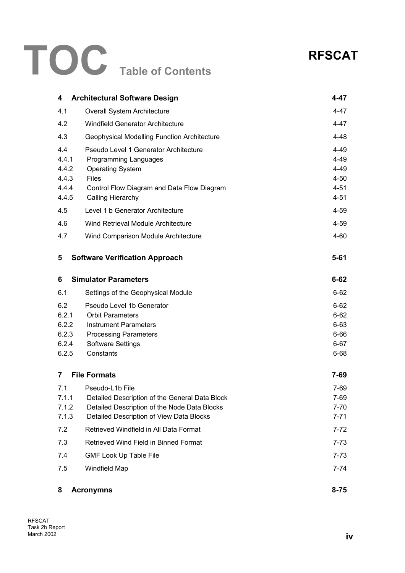# **TOC Table of Contents**

## **RFSCAT**

| 4                                                                     | <b>Architectural Software Design</b>                                                                                                                                                                                                                                                                 | 4-47                                                                                             |
|-----------------------------------------------------------------------|------------------------------------------------------------------------------------------------------------------------------------------------------------------------------------------------------------------------------------------------------------------------------------------------------|--------------------------------------------------------------------------------------------------|
| 4.1                                                                   | Overall System Architecture                                                                                                                                                                                                                                                                          | 4-47                                                                                             |
| 4.2                                                                   | <b>Windfield Generator Architecture</b>                                                                                                                                                                                                                                                              | 4-47                                                                                             |
| 4.3                                                                   | <b>Geophysical Modelling Function Architecture</b>                                                                                                                                                                                                                                                   | $4 - 48$                                                                                         |
| 4.4<br>4.4.1<br>4.4.2<br>4.4.3<br>4.4.4<br>4.4.5<br>4.5<br>4.6<br>4.7 | Pseudo Level 1 Generator Architecture<br>Programming Languages<br><b>Operating System</b><br><b>Files</b><br>Control Flow Diagram and Data Flow Diagram<br><b>Calling Hierarchy</b><br>Level 1 b Generator Architecture<br>Wind Retrieval Module Architecture<br>Wind Comparison Module Architecture | 4-49<br>4-49<br>$4 - 49$<br>$4 - 50$<br>$4 - 51$<br>$4 - 51$<br>$4 - 59$<br>$4 - 59$<br>$4 - 60$ |
|                                                                       |                                                                                                                                                                                                                                                                                                      |                                                                                                  |
| 5                                                                     | <b>Software Verification Approach</b>                                                                                                                                                                                                                                                                | $5 - 61$                                                                                         |
| 6                                                                     | <b>Simulator Parameters</b>                                                                                                                                                                                                                                                                          | $6 - 62$                                                                                         |
| 6.1                                                                   | Settings of the Geophysical Module                                                                                                                                                                                                                                                                   | $6 - 62$                                                                                         |
| 6.2<br>6.2.1<br>6.2.2<br>6.2.3<br>6.2.4<br>6.2.5                      | Pseudo Level 1b Generator<br><b>Orbit Parameters</b><br><b>Instrument Parameters</b><br><b>Processing Parameters</b><br><b>Software Settings</b><br>Constants                                                                                                                                        | $6 - 62$<br>$6 - 62$<br>$6 - 63$<br>$6 - 66$<br>$6 - 67$<br>$6 - 68$                             |
| 7                                                                     | <b>File Formats</b>                                                                                                                                                                                                                                                                                  | $7 - 69$                                                                                         |
| 7.1<br>7.1.1<br>7.1.2<br>7.1.3                                        | Pseudo-L1b File<br>Detailed Description of the General Data Block<br>Detailed Description of the Node Data Blocks<br>Detailed Description of View Data Blocks                                                                                                                                        | 7-69<br>7-69<br>$7 - 70$<br>$7 - 71$                                                             |
| 7.2                                                                   | Retrieved Windfield in All Data Format                                                                                                                                                                                                                                                               | $7 - 72$                                                                                         |
| 7.3                                                                   | Retrieved Wind Field in Binned Format                                                                                                                                                                                                                                                                | $7 - 73$                                                                                         |
| 7.4                                                                   | <b>GMF Look Up Table File</b>                                                                                                                                                                                                                                                                        | $7 - 73$                                                                                         |
| 7.5                                                                   | Windfield Map                                                                                                                                                                                                                                                                                        | $7 - 74$                                                                                         |
| 8                                                                     | <b>Acronymns</b>                                                                                                                                                                                                                                                                                     | $8 - 75$                                                                                         |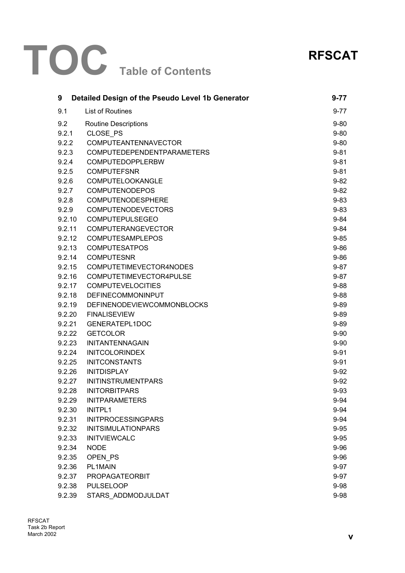# **TOC Table of Contents**



| 9      | Detailed Design of the Pseudo Level 1b Generator | $9 - 77$ |
|--------|--------------------------------------------------|----------|
| 9.1    | <b>List of Routines</b>                          | $9 - 77$ |
| 9.2    | <b>Routine Descriptions</b>                      | $9 - 80$ |
| 9.2.1  | CLOSE PS                                         | $9 - 80$ |
| 9.2.2  | COMPUTEANTENNAVECTOR                             | $9 - 80$ |
| 9.2.3  | <b>COMPUTEDEPENDENTPARAMETERS</b>                | $9 - 81$ |
| 9.2.4  | COMPUTEDOPPLERBW                                 | $9 - 81$ |
| 9.2.5  | <b>COMPUTEFSNR</b>                               | $9 - 81$ |
| 9.2.6  | COMPUTELOOKANGLE                                 | $9 - 82$ |
| 9.2.7  | <b>COMPUTENODEPOS</b>                            | $9 - 82$ |
| 9.2.8  | COMPUTENODESPHERE                                | $9 - 83$ |
| 9.2.9  | <b>COMPUTENODEVECTORS</b>                        | $9 - 83$ |
| 9.2.10 | <b>COMPUTEPULSEGEO</b>                           | $9 - 84$ |
| 9.2.11 | <b>COMPUTERANGEVECTOR</b>                        | $9 - 84$ |
| 9.2.12 | <b>COMPUTESAMPLEPOS</b>                          | $9 - 85$ |
| 9.2.13 | <b>COMPUTESATPOS</b>                             | $9 - 86$ |
| 9.2.14 | <b>COMPUTESNR</b>                                | $9 - 86$ |
| 9.2.15 | COMPUTETIMEVECTOR4NODES                          | $9 - 87$ |
| 9.2.16 | COMPUTETIMEVECTOR4PULSE                          | $9 - 87$ |
| 9.2.17 | <b>COMPUTEVELOCITIES</b>                         | $9 - 88$ |
| 9.2.18 | DEFINECOMMONINPUT                                | $9 - 88$ |
| 9.2.19 | <b>DEFINENODEVIEWCOMMONBLOCKS</b>                | $9 - 89$ |
| 9.2.20 | <b>FINALISEVIEW</b>                              | $9 - 89$ |
| 9.2.21 | GENERATEPL1DOC                                   | $9 - 89$ |
| 9.2.22 | <b>GETCOLOR</b>                                  | $9 - 90$ |
| 9.2.23 | INITANTENNAGAIN                                  | $9 - 90$ |
| 9.2.24 | <b>INITCOLORINDEX</b>                            | $9 - 91$ |
| 9.2.25 | <b>INITCONSTANTS</b>                             | $9 - 91$ |
| 9.2.26 | <b>INITDISPLAY</b>                               | $9 - 92$ |
| 9.2.27 | <b>INITINSTRUMENTPARS</b>                        | $9 - 92$ |
| 9.2.28 | <b>INITORBITPARS</b>                             | $9 - 93$ |
| 9.2.29 | <b>INITPARAMETERS</b>                            | $9 - 94$ |
| 9.2.30 | <b>INITPL1</b>                                   | $9 - 94$ |
| 9.2.31 | <b>INITPROCESSINGPARS</b>                        | $9 - 94$ |
| 9.2.32 | <b>INITSIMULATIONPARS</b>                        | $9 - 95$ |
| 9.2.33 | <b>INITVIEWCALC</b>                              | $9 - 95$ |
| 9.2.34 | <b>NODE</b>                                      | $9 - 96$ |
| 9.2.35 | OPEN PS                                          | $9 - 96$ |
| 9.2.36 | PL1MAIN                                          | $9 - 97$ |
| 9.2.37 | <b>PROPAGATEORBIT</b>                            | $9 - 97$ |
| 9.2.38 | <b>PULSELOOP</b>                                 | $9 - 98$ |
| 9.2.39 | STARS ADDMODJULDAT                               | $9 - 98$ |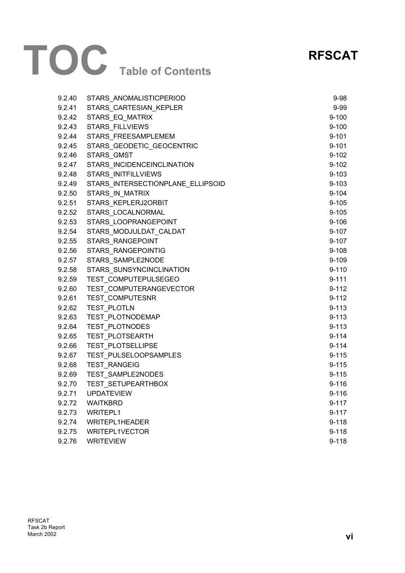# **TOC Table of Contents**

## **RFSCAT**

| 9.2.40 | STARS_ANOMALISTICPERIOD           | $9 - 98$  |
|--------|-----------------------------------|-----------|
| 9.2.41 | STARS_CARTESIAN_KEPLER            | $9 - 99$  |
| 9.2.42 | STARS_EQ_MATRIX                   | $9 - 100$ |
| 9.2.43 | <b>STARS FILLVIEWS</b>            | $9 - 100$ |
| 9.2.44 | STARS_FREESAMPLEMEM               | $9 - 101$ |
| 9.2.45 | STARS_GEODETIC_GEOCENTRIC         | $9 - 101$ |
| 9.2.46 | STARS_GMST                        | $9 - 102$ |
| 9.2.47 | STARS INCIDENCEINCLINATION        | $9 - 102$ |
| 9.2.48 | <b>STARS INITFILLVIEWS</b>        | $9 - 103$ |
| 9.2.49 | STARS_INTERSECTIONPLANE_ELLIPSOID | $9 - 103$ |
| 9.2.50 | STARS_IN_MATRIX                   | $9 - 104$ |
| 9.2.51 | STARS KEPLERJ2ORBIT               | $9 - 105$ |
| 9.2.52 | STARS_LOCALNORMAL                 | $9 - 105$ |
| 9.2.53 | STARS LOOPRANGEPOINT              | $9 - 106$ |
| 9.2.54 | STARS_MODJULDAT_CALDAT            | $9 - 107$ |
| 9.2.55 | STARS RANGEPOINT                  | $9 - 107$ |
| 9.2.56 | STARS RANGEPOINTIG                | $9 - 108$ |
| 9.2.57 | STARS_SAMPLE2NODE                 | $9 - 109$ |
| 9.2.58 | STARS_SUNSYNCINCLINATION          | $9 - 110$ |
| 9.2.59 | TEST COMPUTEPULSEGEO              | $9 - 111$ |
| 9.2.60 | TEST_COMPUTERANGEVECTOR           | $9 - 112$ |
| 9.2.61 | TEST_COMPUTESNR                   | $9 - 112$ |
| 9.2.62 | TEST_PLOTLN                       | $9 - 113$ |
| 9.2.63 | TEST_PLOTNODEMAP                  | $9 - 113$ |
| 9.2.64 | TEST_PLOTNODES                    | $9 - 113$ |
| 9.2.65 | TEST PLOTSEARTH                   | $9 - 114$ |
| 9.2.66 | TEST_PLOTSELLIPSE                 | $9 - 114$ |
| 9.2.67 | TEST PULSELOOPSAMPLES             | $9 - 115$ |
| 9.2.68 | <b>TEST RANGEIG</b>               | $9 - 115$ |
| 9.2.69 | TEST_SAMPLE2NODES                 | $9 - 115$ |
| 9.2.70 | TEST_SETUPEARTHBOX                | $9 - 116$ |
| 9.2.71 | <b>UPDATEVIEW</b>                 | $9 - 116$ |
| 9.2.72 | <b>WAITKBRD</b>                   | 9-117     |
| 9.2.73 | WRITEPL1                          | $9 - 117$ |
| 9.2.74 | WRITEPL1HEADER                    | $9 - 118$ |
| 9.2.75 | WRITEPL1VECTOR                    | $9 - 118$ |
| 9.2.76 | <b>WRITEVIEW</b>                  | $9 - 118$ |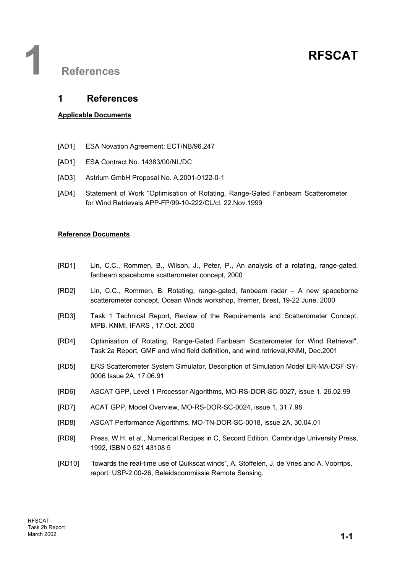## **1 References**

### **1 References**

#### **Applicable Documents**

- [AD1] ESA Novation Agreement: ECT/NB/96.247
- [AD1] ESA Contract No. 14383/00/NL/DC
- [AD3] Astrium GmbH Proposal No. A.2001-0122-0-1
- [AD4] Statement of Work "Optimisation of Rotating, Range-Gated Fanbeam Scatterometer for Wind Retrievals APP-FP/99-10-222/CL/cl, 22.Nov.1999

#### **Reference Documents**

- [RD1] Lin, C.C., Rommen, B., Wilson, J., Peter, P., An analysis of a rotating, range-gated, fanbeam spaceborne scatterometer concept, 2000
- [RD2] Lin, C.C., Rommen, B. Rotating, range-gated, fanbeam radar A new spaceborne scatterometer concept, Ocean Winds workshop, Ifremer, Brest, 19-22 June, 2000
- [RD3] Task 1 Technical Report, Review of the Requirements and Scatterometer Concept, MPB, KNMI, IFARS , 17.Oct. 2000
- [RD4] Optimisation of Rotating, Range-Gated Fanbeam Scatterometer for Wind Retrieval", Task 2a Report, GMF and wind field definition, and wind retrieval,KNMI, Dec.2001
- [RD5] ERS Scatterometer System Simulator, Description of Simulation Model ER-MA-DSF-SY-0006 Issue 2A, 17.06.91
- [RD6] ASCAT GPP, Level 1 Processor Algorithms, MO-RS-DOR-SC-0027, issue 1, 26.02.99
- [RD7] ACAT GPP, Model Overview, MO-RS-DOR-SC-0024, issue 1, 31.7.98
- [RD8] ASCAT Performance Algorithms, MO-TN-DOR-SC-0018, issue 2A, 30.04.01
- [RD9] Press, W.H. et al., Numerical Recipes in C, Second Edition, Cambridge University Press, 1992, ISBN 0 521 43108 5
- [RD10] "towards the real-time use of Quikscat winds", A. Stoffelen, J. de Vries and A. Voorrips, report: USP-2 00-26, Beleidscommissie Remote Sensing.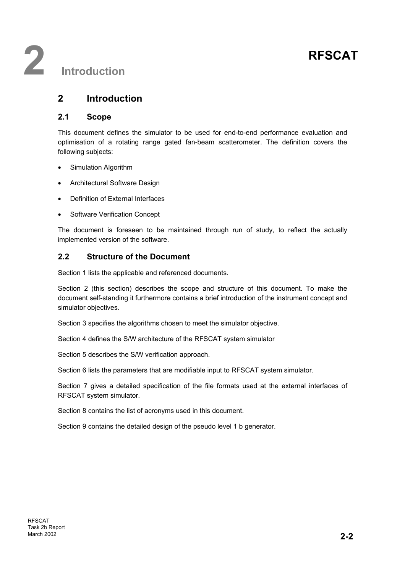## **2 Introduction**

#### **2.1 Scope**

This document defines the simulator to be used for end-to-end performance evaluation and optimisation of a rotating range gated fan-beam scatterometer. The definition covers the following subjects:

- Simulation Algorithm
- Architectural Software Design
- Definition of External Interfaces
- **Software Verification Concept**

The document is foreseen to be maintained through run of study, to reflect the actually implemented version of the software.

### **2.2 Structure of the Document**

Section 1 lists the applicable and referenced documents.

Section 2 (this section) describes the scope and structure of this document. To make the document self-standing it furthermore contains a brief introduction of the instrument concept and simulator objectives.

Section 3 specifies the algorithms chosen to meet the simulator objective.

Section 4 defines the S/W architecture of the RFSCAT system simulator

Section 5 describes the S/W verification approach.

Section 6 lists the parameters that are modifiable input to RFSCAT system simulator.

Section 7 gives a detailed specification of the file formats used at the external interfaces of RFSCAT system simulator.

Section 8 contains the list of acronyms used in this document.

Section 9 contains the detailed design of the pseudo level 1 b generator.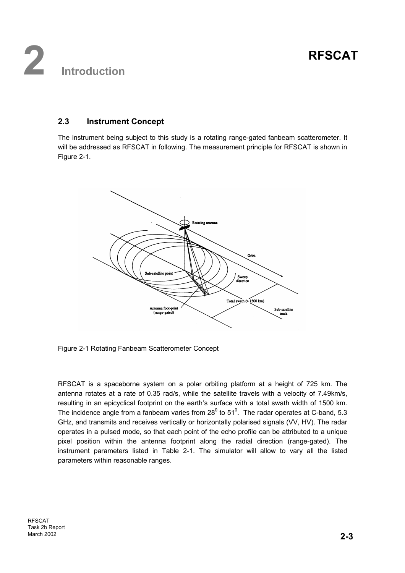### **2.3 Instrument Concept**

The instrument being subject to this study is a rotating range-gated fanbeam scatterometer. It will be addressed as RFSCAT in following. The measurement principle for RFSCAT is shown in Figure 2-1.



Figure 2-1 Rotating Fanbeam Scatterometer Concept

RFSCAT is a spaceborne system on a polar orbiting platform at a height of 725 km. The antenna rotates at a rate of 0.35 rad/s, while the satellite travels with a velocity of 7.49km/s, resulting in an epicyclical footprint on the earth′s surface with a total swath width of 1500 km. The incidence angle from a fanbeam varies from 28 $^0$  to 51 $^0$ . The radar operates at C-band, 5.3 GHz, and transmits and receives vertically or horizontally polarised signals (VV, HV). The radar operates in a pulsed mode, so that each point of the echo profile can be attributed to a unique pixel position within the antenna footprint along the radial direction (range-gated). The instrument parameters listed in Table 2-1. The simulator will allow to vary all the listed parameters within reasonable ranges.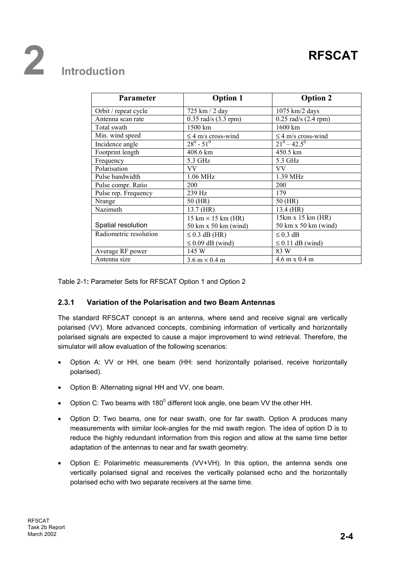# **2 Introduction**

| <b>Parameter</b>       | <b>Option 1</b>                           | <b>Option 2</b>                      |
|------------------------|-------------------------------------------|--------------------------------------|
| Orbit / repeat cycle   | 725 km / 2 day                            | $1075$ km/2 days                     |
| Antenna scan rate      | $0.35$ rad/s $(3.3$ rpm)                  | $0.25$ rad/s $(2.4$ rpm)             |
| Total swath            | 1500 km                                   | $1600 \mathrm{km}$                   |
| Min. wind speed        | $\leq$ 4 m/s cross-wind                   | $\leq$ 4 m/s cross-wind              |
| Incidence angle        | $28^0 - 51^0$                             | $21^0 - 42.5^0$                      |
| Footprint length       | 408.6 km                                  | 450.5 km                             |
| Frequency              | 5.3 GHz                                   | 5.3 GHz                              |
| Polarisation           | VV                                        | VV                                   |
| Pulse bandwidth        | $1.06$ MHz                                | $1.39$ MHz                           |
| Pulse compr. Ratio     | 200                                       | 200                                  |
| Pulse rep. Frequency   | 239 Hz                                    | 179                                  |
| Nrange                 | 50 (HR)                                   | 50 (HR)                              |
| Nazimuth               | 13.7 (HR)                                 | 13.4 (HR)                            |
|                        | $15 \text{ km} \times 15 \text{ km (HR)}$ | 15km x 15 km (HR)                    |
| Spatial resolution     | 50 km x 50 km (wind)                      | 50 km x 50 km (wind)                 |
| Radiometric resolution | $\leq$ 0.3 dB (HR)                        | $\leq$ 0.3 dB                        |
|                        | $\leq$ 0.09 dB (wind)                     | $\leq$ 0.11 dB (wind)                |
| Average RF power       | 145 W                                     | 83 W                                 |
| Antenna size           | $3.6 \text{ m} \times 0.4 \text{ m}$      | $4.6 \text{ m} \times 0.4 \text{ m}$ |

Table 2-1**:** Parameter Sets for RFSCAT Option 1 and Option 2

#### **2.3.1 Variation of the Polarisation and two Beam Antennas**

The standard RFSCAT concept is an antenna, where send and receive signal are vertically polarised (VV). More advanced concepts, combining information of vertically and horizontally polarised signals are expected to cause a major improvement to wind retrieval. Therefore, the simulator will allow evaluation of the following scenarios:

- Option A: VV or HH, one beam (HH: send horizontally polarised, receive horizontally polarised).
- Option B: Alternating signal HH and VV, one beam.
- Option C: Two beams with 180 $^0$  different look angle, one beam VV the other HH.
- Option D: Two beams, one for near swath, one for far swath. Option A produces many measurements with similar look-angles for the mid swath region. The idea of option D is to reduce the highly redundant information from this region and allow at the same time better adaptation of the antennas to near and far swath geometry.
- Option E: Polarimetric measurements (VV+VH). In this option, the antenna sends one vertically polarised signal and receives the vertically polarised echo and the horizontally polarised echo with two separate receivers at the same time.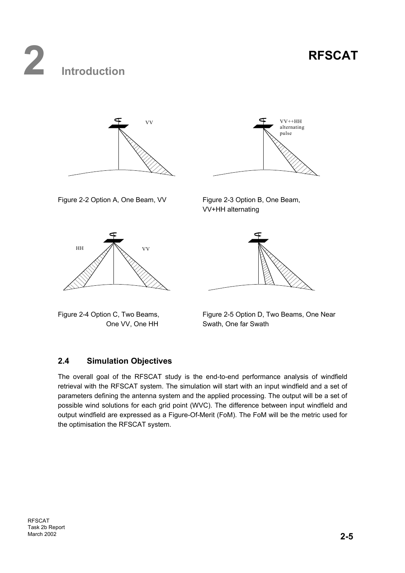# **2 Introduction**





Figure 2-2 Option A, One Beam, VV Figure 2-3 Option B, One Beam,



VV+HH alternating





### **2.4 Simulation Objectives**

The overall goal of the RFSCAT study is the end-to-end performance analysis of windfield retrieval with the RFSCAT system. The simulation will start with an input windfield and a set of parameters defining the antenna system and the applied processing. The output will be a set of possible wind solutions for each grid point (WVC). The difference between input windfield and output windfield are expressed as a Figure-Of-Merit (FoM). The FoM will be the metric used for the optimisation the RFSCAT system.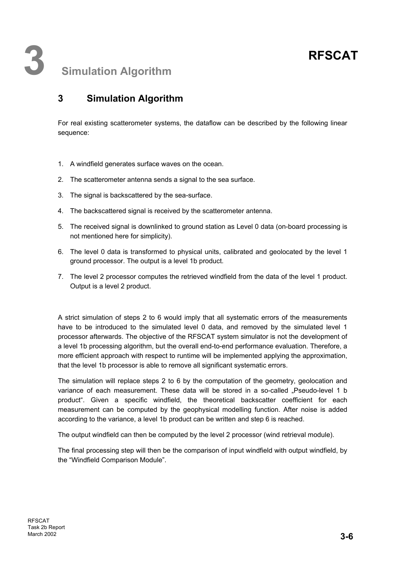For real existing scatterometer systems, the dataflow can be described by the following linear sequence:

- 1. A windfield generates surface waves on the ocean.
- 2. The scatterometer antenna sends a signal to the sea surface.
- 3. The signal is backscattered by the sea-surface.
- 4. The backscattered signal is received by the scatterometer antenna.
- 5. The received signal is downlinked to ground station as Level 0 data (on-board processing is not mentioned here for simplicity).
- 6. The level 0 data is transformed to physical units, calibrated and geolocated by the level 1 ground processor. The output is a level 1b product.
- 7. The level 2 processor computes the retrieved windfield from the data of the level 1 product. Output is a level 2 product.

A strict simulation of steps 2 to 6 would imply that all systematic errors of the measurements have to be introduced to the simulated level 0 data, and removed by the simulated level 1 processor afterwards. The objective of the RFSCAT system simulator is not the development of a level 1b processing algorithm, but the overall end-to-end performance evaluation. Therefore, a more efficient approach with respect to runtime will be implemented applying the approximation, that the level 1b processor is able to remove all significant systematic errors.

The simulation will replace steps 2 to 6 by the computation of the geometry, geolocation and variance of each measurement. These data will be stored in a so-called "Pseudo-level 1 b product". Given a specific windfield, the theoretical backscatter coefficient for each measurement can be computed by the geophysical modelling function. After noise is added according to the variance, a level 1b product can be written and step 6 is reached.

The output windfield can then be computed by the level 2 processor (wind retrieval module).

The final processing step will then be the comparison of input windfield with output windfield, by the "Windfield Comparison Module".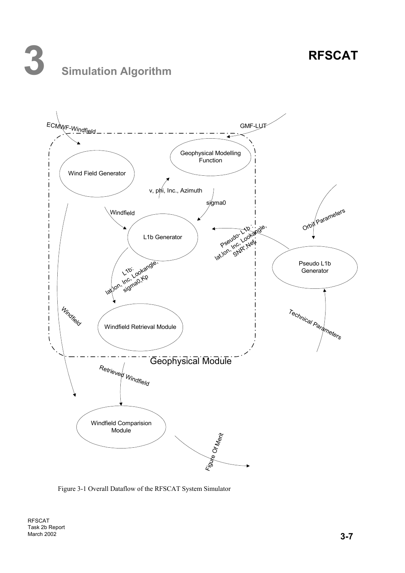# **3 Simulation Algorithm**



Figure 3-1 Overall Dataflow of the RFSCAT System Simulator

RFSCAT Task 2b Report March 2002 **3-7**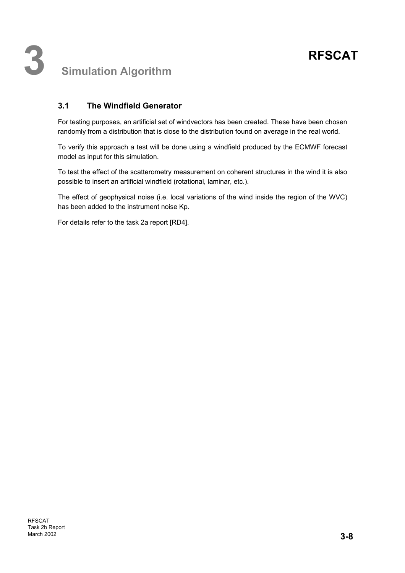### **3.1 The Windfield Generator**

For testing purposes, an artificial set of windvectors has been created. These have been chosen randomly from a distribution that is close to the distribution found on average in the real world.

To verify this approach a test will be done using a windfield produced by the ECMWF forecast model as input for this simulation.

To test the effect of the scatterometry measurement on coherent structures in the wind it is also possible to insert an artificial windfield (rotational, laminar, etc.).

The effect of geophysical noise (i.e. local variations of the wind inside the region of the WVC) has been added to the instrument noise Kp.

For details refer to the task 2a report [RD4].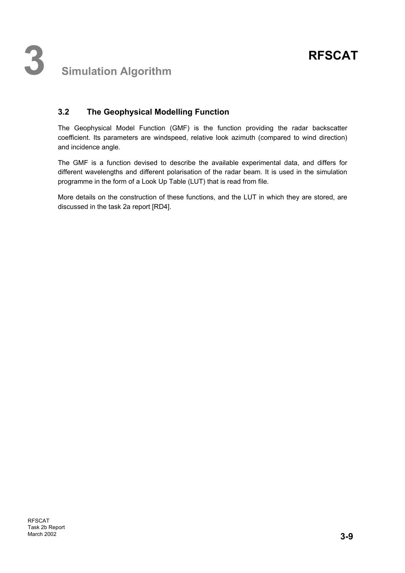## **3.2 The Geophysical Modelling Function**

The Geophysical Model Function (GMF) is the function providing the radar backscatter coefficient. Its parameters are windspeed, relative look azimuth (compared to wind direction) and incidence angle.

The GMF is a function devised to describe the available experimental data, and differs for different wavelengths and different polarisation of the radar beam. It is used in the simulation programme in the form of a Look Up Table (LUT) that is read from file.

More details on the construction of these functions, and the LUT in which they are stored, are discussed in the task 2a report [RD4].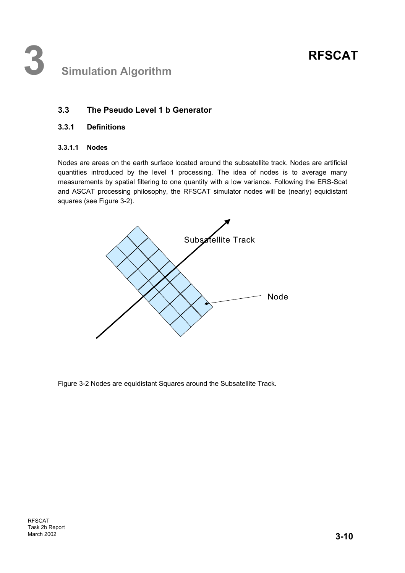## **3 Simulation Algorithm**

### **3.3 The Pseudo Level 1 b Generator**

#### **3.3.1 Definitions**

#### **3.3.1.1 Nodes**

Nodes are areas on the earth surface located around the subsatellite track. Nodes are artificial quantities introduced by the level 1 processing. The idea of nodes is to average many measurements by spatial filtering to one quantity with a low variance. Following the ERS-Scat and ASCAT processing philosophy, the RFSCAT simulator nodes will be (nearly) equidistant squares (see Figure 3-2).



Figure 3-2 Nodes are equidistant Squares around the Subsatellite Track.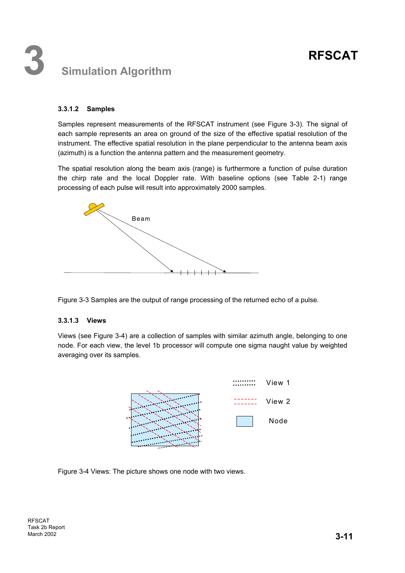## **3 Simulation Algorithm**

#### **3.3.1.2 Samples**

Samples represent measurements of the RFSCAT instrument (see Figure 3-3). The signal of each sample represents an area on ground of the size of the effective spatial resolution of the instrument. The effective spatial resolution in the plane perpendicular to the antenna beam axis (azimuth) is a function the antenna pattern and the measurement geometry.

The spatial resolution along the beam axis (range) is furthermore a function of pulse duration the chirp rate and the local Doppler rate. With baseline options (see Table 2-1) range processing of each pulse will result into approximately 2000 samples.



Figure 3-3 Samples are the output of range processing of the returned echo of a pulse.

#### **3.3.1.3 Views**

Views (see Figure 3-4) are a collection of samples with similar azimuth angle, belonging to one node. For each view, the level 1b processor will compute one sigma naught value by weighted averaging over its samples.



Figure 3-4 Views: The picture shows one node with two views.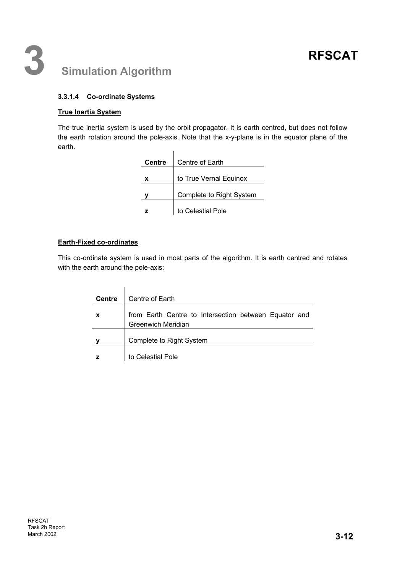#### **3.3.1.4 Co-ordinate Systems**

#### **True Inertia System**

The true inertia system is used by the orbit propagator. It is earth centred, but does not follow the earth rotation around the pole-axis. Note that the x-y-plane is in the equator plane of the earth.  $\overline{1}$ 

| <b>Centre</b> | Centre of Earth          |  |  |
|---------------|--------------------------|--|--|
| x             | to True Vernal Equinox   |  |  |
|               | Complete to Right System |  |  |
|               | to Celestial Pole        |  |  |

#### **Earth-Fixed co-ordinates**

This co-ordinate system is used in most parts of the algorithm. It is earth centred and rotates with the earth around the pole-axis:

| <b>Centre</b>    | Centre of Earth                                                                    |
|------------------|------------------------------------------------------------------------------------|
| $\boldsymbol{x}$ | from Earth Centre to Intersection between Equator and<br><b>Greenwich Meridian</b> |
|                  | Complete to Right System                                                           |
|                  | to Celestial Pole                                                                  |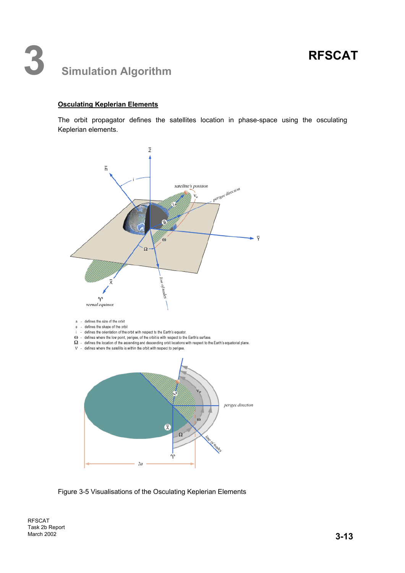## **3 Simulation Algorithm**

#### **Osculating Keplerian Elements**

The orbit propagator defines the satellites location in phase-space using the osculating Keplerian elements.



Figure 3-5 Visualisations of the Osculating Keplerian Elements

RFSCAT Task 2b Report **March 2002 3-13**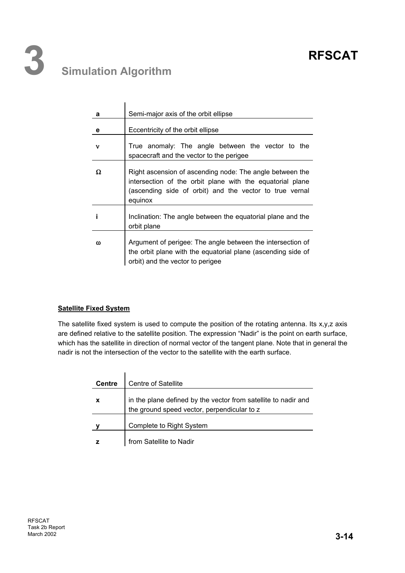## **3 Simulation Algorithm**

| a | Semi-major axis of the orbit ellipse                                                                                                                                                        |
|---|---------------------------------------------------------------------------------------------------------------------------------------------------------------------------------------------|
| е | Eccentricity of the orbit ellipse                                                                                                                                                           |
| v | True anomaly: The angle between the vector to the<br>spacecraft and the vector to the perigee                                                                                               |
| Ω | Right ascension of ascending node: The angle between the<br>intersection of the orbit plane with the equatorial plane<br>(ascending side of orbit) and the vector to true vernal<br>equinox |
| i | Inclination: The angle between the equatorial plane and the<br>orbit plane                                                                                                                  |
| ω | Argument of perigee: The angle between the intersection of<br>the orbit plane with the equatorial plane (ascending side of<br>orbit) and the vector to perigee                              |

#### **Satellite Fixed System**

The satellite fixed system is used to compute the position of the rotating antenna. Its x,y,z axis are defined relative to the satellite position. The expression "Nadir" is the point on earth surface, which has the satellite in direction of normal vector of the tangent plane. Note that in general the nadir is not the intersection of the vector to the satellite with the earth surface.

| <b>Centre</b> | <b>Centre of Satellite</b>                                                                                    |
|---------------|---------------------------------------------------------------------------------------------------------------|
| $\mathbf{x}$  | in the plane defined by the vector from satellite to nadir and<br>the ground speed vector, perpendicular to z |
|               | Complete to Right System                                                                                      |
|               | from Satellite to Nadir                                                                                       |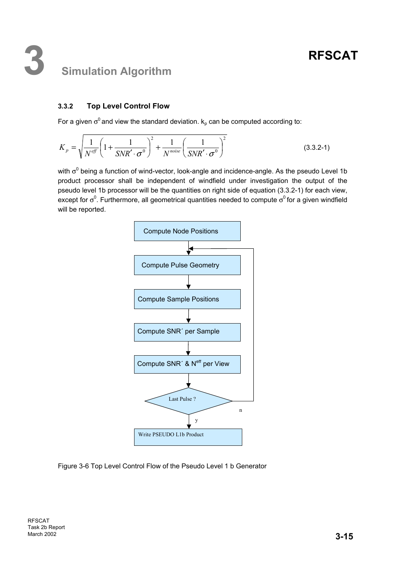## **3 Simulation Algorithm**

### **3.3.2 Top Level Control Flow**

For a given  $\sigma^0$  and view the standard deviation.  $k_p$  can be computed according to:

$$
K_p = \sqrt{\frac{1}{N^{eff}} \left( 1 + \frac{1}{SNR' \cdot \sigma^0} \right)^2 + \frac{1}{N^{noise}} \left( \frac{1}{SNR' \cdot \sigma^0} \right)^2}
$$
(3.3.2-1)

with  $\sigma^0$  being a function of wind-vector, look-angle and incidence-angle. As the pseudo Level 1b product processor shall be independent of windfield under investigation the output of the pseudo level 1b processor will be the quantities on right side of equation (3.3.2-1) for each view, except for  $\sigma^0$ . Furthermore, all geometrical quantities needed to compute  $\sigma^0$  for a given windfield will be reported.



Figure 3-6 Top Level Control Flow of the Pseudo Level 1 b Generator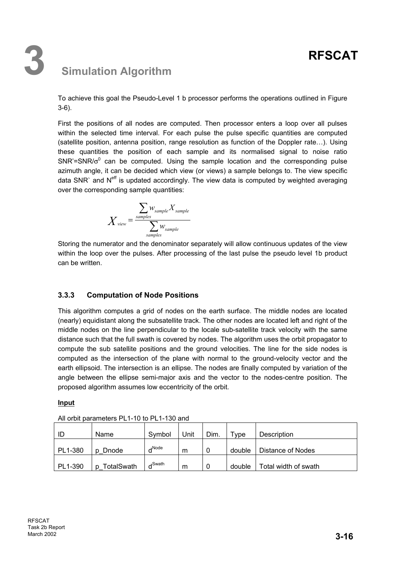To achieve this goal the Pseudo-Level 1 b processor performs the operations outlined in Figure 3-6).

First the positions of all nodes are computed. Then processor enters a loop over all pulses within the selected time interval. For each pulse the pulse specific quantities are computed (satellite position, antenna position, range resolution as function of the Doppler rate…). Using these quantities the position of each sample and its normalised signal to noise ratio  $SNR' = SNR/\sigma^0$  can be computed. Using the sample location and the corresponding pulse azimuth angle, it can be decided which view (or views) a sample belongs to. The view specific data SNR` and  $N^{\text{eff}}$  is updated accordingly. The view data is computed by weighted averaging over the corresponding sample quantities:

$$
X_{\text{view}} = \frac{\sum_{\text{samples}} w_{\text{sample}} X_{\text{sample}}}{\sum_{\text{samples}} w_{\text{sample}}}
$$

Storing the numerator and the denominator separately will allow continuous updates of the view within the loop over the pulses. After processing of the last pulse the pseudo level 1b product can be written.

### **3.3.3 Computation of Node Positions**

This algorithm computes a grid of nodes on the earth surface. The middle nodes are located (nearly) equidistant along the subsatellite track. The other nodes are located left and right of the middle nodes on the line perpendicular to the locale sub-satellite track velocity with the same distance such that the full swath is covered by nodes. The algorithm uses the orbit propagator to compute the sub satellite positions and the ground velocities. The line for the side nodes is computed as the intersection of the plane with normal to the ground-velocity vector and the earth ellipsoid. The intersection is an ellipse. The nodes are finally computed by variation of the angle between the ellipse semi-major axis and the vector to the nodes-centre position. The proposed algorithm assumes low eccentricity of the orbit.

#### **Input**

| ID      | Name            | Symbol             | Unit | Dim. | ™уре   | Description          |
|---------|-----------------|--------------------|------|------|--------|----------------------|
| PL1-380 | Dnode           | $\Box$ Node        | m    | 0    | double | Distance of Nodes    |
| PL1-390 | TotalSwath<br>D | d <sup>Swath</sup> | m    | 0    | double | Total width of swath |

All orbit parameters PL1-10 to PL1-130 and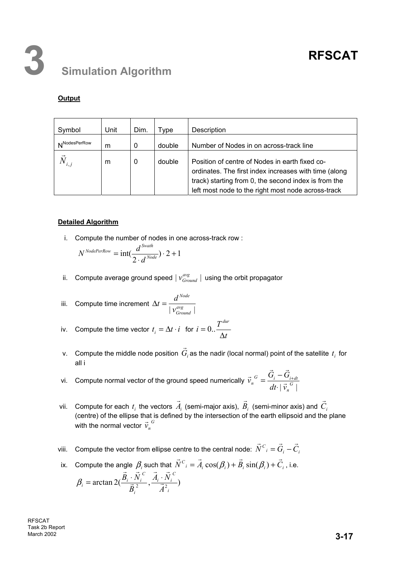### **Output**

| Symbol                   | Unit | Dim. | Type   | Description                                                                                                                                                                                                           |
|--------------------------|------|------|--------|-----------------------------------------------------------------------------------------------------------------------------------------------------------------------------------------------------------------------|
| N <sup>NodesPerRow</sup> | m    | 0    | double | Number of Nodes in on across-track line                                                                                                                                                                               |
|                          | m    | 0    | double | Position of centre of Nodes in earth fixed co-<br>ordinates. The first index increases with time (along<br>track) starting from 0, the second index is from the<br>left most node to the right most node across-track |

#### **Detailed Algorithm**

i. Compute the number of nodes in one across-track row :

$$
N^{NodePerRow} = \text{int}(\frac{d^{Swath}}{2 \cdot d^{Node}}) \cdot 2 + 1
$$

ii. Compute average ground speed  $|v^{avg}_{Ground}|$  using the orbit propagator

iii. Compute time increment 
$$
\Delta t = \frac{d^{Node}}{|\mathbf{v}_{Ground}^{avg}|}
$$

iv. Compute the time vector 
$$
t_i = \Delta t \cdot i
$$
 for  $i = 0.. \frac{T^{dur}}{\Delta t}$ 

- v.  $\,$  Compute the middle node position  $\, G_{i} \,$  $\overline{a}$ as the nadir (local normal) point of the satellite  $t_i$  for all i
- vi. Compute normal vector of the ground speed numerically  $\vec{v}_n^{\ \circ} = \frac{\vec{v}_i \vec{v}_{i+d}}{dt \cdot |\vec{v}_n^{\ \circ}|}$ *n*  $\sigma_{n}^{G} = \frac{\mathbf{G}_{i} - \mathbf{G}_{i+dt}}{dt \cdot |\vec{v}_{n}^{G}|}$  $\vec{v}_n^G = \frac{\vec{G}_i - \vec{G}}{dt}$  $\vec{G}$  r  $G$  i  $\vec{G}$  i  $-\vec{G}$ ⋅  $=\frac{G_{i}-G_{i+}}{G_{i+}}$
- vii. Compute for each  $t_i$  the vectors  $A_i$  $\overline{a}$  (semi-major axis), *Bi*  $\vec{p}$  (semi-minor axis) and *Ci*  $\vec{a}$ (centre) of the ellipse that is defined by the intersection of the earth ellipsoid and the plane with the normal vector  $\vec{v}_n^G$
- viii. Compute the vector from ellipse centre to the central node:  $\vec{N}^{\,C}_{\;\,i}=\vec{G}_i-\vec{C}_i$
- ix. Compute the angle  $\beta_i$  such that  $\vec{N}^C{}_i = \vec{A}_i \cos(\beta_i) + \vec{B}_i \sin(\beta_i) + \vec{C}_i$ , i.e.  $\arctan 2(\frac{B_i - N_i}{\vec{B}_i^2}, \frac{A_i - N_i}{\vec{A}^2_i})$ *C i i i C*  $\vec{B}_i$  = arctan  $2(\frac{B_i + N_i}{\vec{B}_i^2}, \frac{A_i}{\vec{A}})$  $A_i \cdot N$ *B*  $\frac{B_i \cdot N_i^C}{\vec{B}^2}, \frac{A_i \cdot \vec{B}}{\vec{B}^2}$  $\vec{r}$   $\vec{r}$  $\frac{1}{1}$  $\beta_i = \arctan 2(\frac{\vec{B}_i \cdot \vec{N}_i^C}{\vec{B}_i \cdot \vec{N}_i^C}, \vec{A}_i)$

RFSCAT Task 2b Report March 2002 **3-17**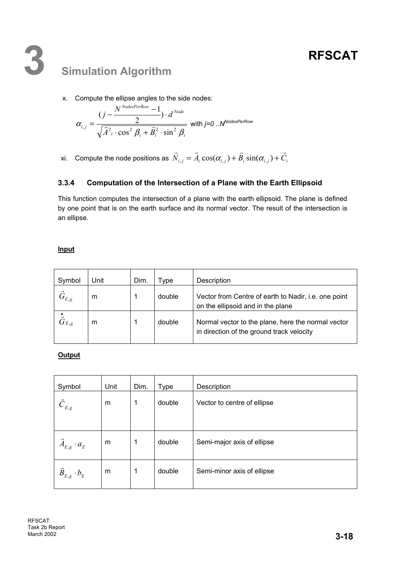x. Compute the ellipse angles to the side nodes:

$$
\alpha_{i,j} = \frac{(j - \frac{N^{NodesPerRow} - 1}{2}) \cdot d^{Node}}{\sqrt{\vec{A}^2 \cdot \cos^2 \beta_i + \vec{B}_i^2 \cdot \sin^2 \beta_i}}
$$
 with j=0..N<sup>NodesPerRow</sup>

xi. Compute the node positions as  $N_{i,j} = A_i \cos(\alpha_{i,j}) + B_i \sin(\alpha_{i,j}) + C_i$  $\vec{r}$   $\vec{r}$   $\vec{r}$   $\vec{r}$   $\vec{r}$   $\vec{r}$   $\vec{r}$   $\vec{r}$  $\alpha_{i,j} = A_i \cos(\alpha_{i,j}) + B_i \sin(\alpha_{i,j}) +$ 

### **3.3.4 Computation of the Intersection of a Plane with the Earth Ellipsoid**

This function computes the intersection of a plane with the earth ellipsoid. The plane is defined by one point that is on the earth surface and its normal vector. The result of the intersection is an ellipse.

### **Input**

| Symbol          | Unit | Dim. | Type   | Description                                                                                      |
|-----------------|------|------|--------|--------------------------------------------------------------------------------------------------|
| $\vec{G}_{E,g}$ | m    |      | double | Vector from Centre of earth to Nadir, <i>i.e.</i> one point<br>on the ellipsoid and in the plane |
| $\vec G_{E,g}$  | m    |      | double | Normal vector to the plane, here the normal vector<br>in direction of the ground track velocity  |

**Output** 

| Symbol                         | Unit | Dim. | <b>Type</b> | Description                 |
|--------------------------------|------|------|-------------|-----------------------------|
| $\ddot{C}_{E,g}$               | m    | 1    | double      | Vector to centre of ellipse |
|                                |      |      |             |                             |
|                                |      |      |             |                             |
| $\overline{A}_{E,g} \cdot a_E$ | m    | 1    | double      | Semi-major axis of ellipse  |
|                                |      |      |             |                             |
| $\vec{B}_{E,g} \cdot b_{E}$    | m    | 1    | double      | Semi-minor axis of ellipse  |
|                                |      |      |             |                             |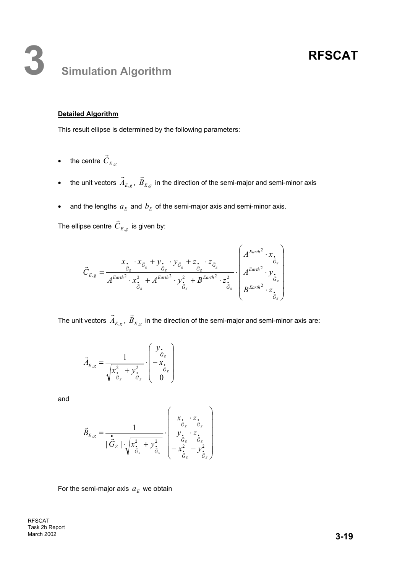## **3 Simulation Algorithm**

#### **Detailed Algorithm**

This result ellipse is determined by the following parameters:

- the centre  $C_{E,g}$  $\vec{r}$
- the unit vectors  $\vec{A}_{E,g}$ ,  $\vec{B}_{E,g}$  in the direction of the semi-major and semi-minor axis
- and the lengths  $a_E$  and  $b_E$  of the semi-major axis and semi-minor axis.

The ellipse centre  $\vec{C}_{E,g}^{\phantom{\dagger}}$  is given by:

$$
\vec{C}_{E,g} = \frac{x_{\bullet} \cdot x_{\vec{G}_g} + y_{\bullet} \cdot y_{\vec{G}_g} + z_{\bullet} \cdot z_{\vec{G}_g}}{A^{Earth^2} \cdot x_{\vec{G}_g}^2 + A^{Earth^2} \cdot y_{\vec{G}_g}^2 + B^{Earth^2} \cdot z_{\vec{G}_g}^2} \cdot \begin{pmatrix} A^{Earth^2} \cdot x_{\bullet} \\ A^{Earth^2} \cdot y_{\bullet} \\ A^{Earth^2} \cdot y_{\bullet} \\ B^{Earth^2} \cdot z_{\vec{G}_g} \end{pmatrix}
$$

The unit vectors  $\vec{A}_{E,g}$ ,  $\vec{B}_{E,g}$  in the direction of the semi-major and semi-minor axis are:

$$
\vec{A}_{E,g} = \frac{1}{\sqrt{x_{\vec{G}_g}^2 + y_{\vec{G}_g}^2}} \cdot \begin{pmatrix} y_{\cdot} \\ -x_{\cdot} \\ -x_{\cdot} \\ 0 \end{pmatrix}
$$

and

$$
\vec{B}_{E,g} = \frac{1}{|\vec{G}_g| \cdot \sqrt{x_{\vec{G}_g}^2 + y_{\vec{G}_g}^2}} \cdot \begin{pmatrix} x_{\bullet} \cdot z_{\bullet} \\ \vec{G}_g \cdot \vec{G}_g \\ y_{\bullet} \cdot z_{\bullet} \\ \vec{G}_g \cdot \vec{G}_g \\ -x_{\bullet}^2 - y_{\vec{G}_g}^2 \end{pmatrix}
$$

For the semi-major axis  $a_E$  we obtain

RFSCAT Task 2b Report **March 2002 3-19**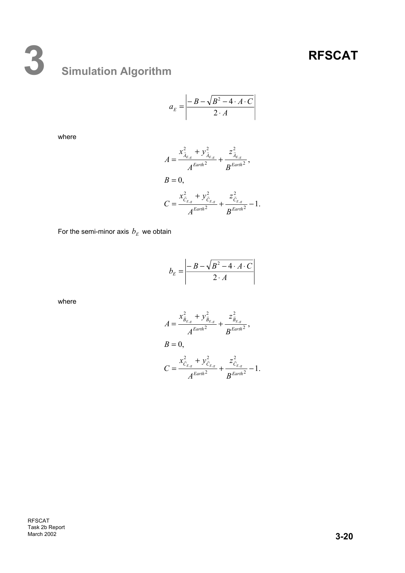# **3 Simulation Algorithm**

$$
a_E = \left| \frac{-B - \sqrt{B^2 - 4 \cdot A \cdot C}}{2 \cdot A} \right|
$$

where

$$
A = \frac{x_{\tilde{A}_{E,g}}^2 + y_{\tilde{A}_{E,g}}^2}{A^{Earth^2}} + \frac{z_{\tilde{A}_{E,g}}^2}{B^{Earth^2}},
$$
  
\n
$$
B = 0,
$$
  
\n
$$
C = \frac{x_{\tilde{C}_{E,g}}^2 + y_{\tilde{C}_{E,g}}^2}{A^{Earth^2}} + \frac{z_{\tilde{C}_{E,g}}^2}{B^{Earth^2}} - 1.
$$

For the semi-minor axis  $b_{E}$  we obtain

$$
b_E = \left| \frac{-B - \sqrt{B^2 - 4 \cdot A \cdot C}}{2 \cdot A} \right|
$$

where

$$
A = \frac{x_{\bar{B}_{E,g}}^2 + y_{\bar{B}_{E,g}}^2}{A^{Earth^2}} + \frac{z_{\bar{B}_{E,g}}^2}{B^{Earth^2}},
$$
  
\n
$$
B = 0,
$$
  
\n
$$
C = \frac{x_{\bar{C}_{E,g}}^2 + y_{\bar{C}_{E,g}}^2}{A^{Earth^2}} + \frac{z_{\bar{C}_{E,g}}^2}{B^{Earth^2}} - 1.
$$

RFSCAT Task 2b Report March 2002 **3-20**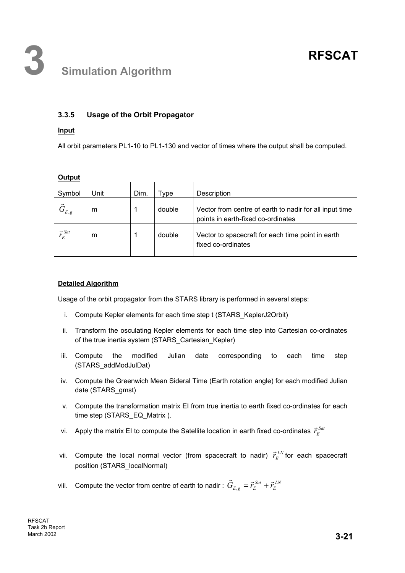### **3.3.5 Usage of the Orbit Propagator**

#### **Input**

**Output** 

All orbit parameters PL1-10 to PL1-130 and vector of times where the output shall be computed.

| Symbol            | Unit | Dim. | vpe    | Description                                                                                   |
|-------------------|------|------|--------|-----------------------------------------------------------------------------------------------|
| $\vec{G}_{E,g}$   | m    |      | double | Vector from centre of earth to nadir for all input time<br>points in earth-fixed co-ordinates |
| $\vec{r}_E^{Sat}$ | m    |      | double | Vector to spacecraft for each time point in earth<br>fixed co-ordinates                       |

#### **Detailed Algorithm**

Usage of the orbit propagator from the STARS library is performed in several steps:

- i. Compute Kepler elements for each time step t (STARS\_KeplerJ2Orbit)
- ii. Transform the osculating Kepler elements for each time step into Cartesian co-ordinates of the true inertia system (STARS\_Cartesian\_Kepler)
- iii. Compute the modified Julian date corresponding to each time step (STARS\_addModJulDat)
- iv. Compute the Greenwich Mean Sideral Time (Earth rotation angle) for each modified Julian date (STARS\_gmst)
- v. Compute the transformation matrix EI from true inertia to earth fixed co-ordinates for each time step (STARS\_EQ\_Matrix ).
- vi. Apply the matrix EI to compute the Satellite location in earth fixed co-ordinates  $\vec{r}_{E}^{Sat}$
- vii. Compute the local normal vector (from spacecraft to nadir)  $\vec{r}_{E}^{LN}$  for each spacecraft position (STARS\_localNormal)
- viii. Compute the vector from centre of earth to nadir :  $\vec{G}_{E,g} = \vec{r}_{E}^{Sat} + \vec{r}_{E}^{LN}$  $\vec{G}_{E,g} = \vec{r}_E^{Sat} + \vec{r}_E$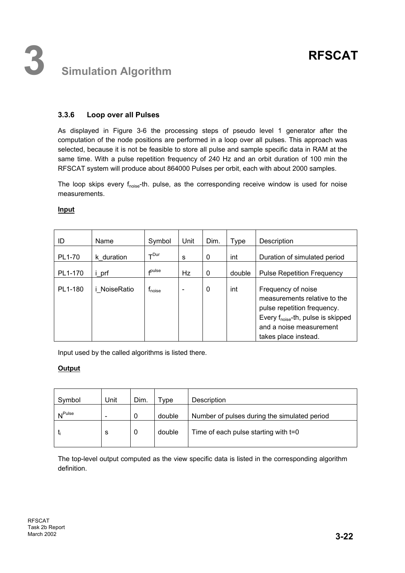### **3.3.6 Loop over all Pulses**

As displayed in Figure 3-6 the processing steps of pseudo level 1 generator after the computation of the node positions are performed in a loop over all pulses. This approach was selected, because it is not be feasible to store all pulse and sample specific data in RAM at the same time. With a pulse repetition frequency of 240 Hz and an orbit duration of 100 min the RFSCAT system will produce about 864000 Pulses per orbit, each with about 2000 samples.

The loop skips every  $f_{noise}$ -th. pulse, as the corresponding receive window is used for noise measurements.

#### **Input**

| ID      | Name         | Symbol             | Unit | Dim. | Type   | Description                                                                                                                                                                            |
|---------|--------------|--------------------|------|------|--------|----------------------------------------------------------------------------------------------------------------------------------------------------------------------------------------|
| PL1-70  | k duration   | $\tau$ Dur         | s    | 0    | int    | Duration of simulated period                                                                                                                                                           |
| PL1-170 | i prf        | $f$ pulse          | Hz   | 0    | double | <b>Pulse Repetition Frequency</b>                                                                                                                                                      |
| PL1-180 | i NoiseRatio | $f_{\text{noise}}$ |      | 0    | int    | Frequency of noise<br>measurements relative to the<br>pulse repetition frequency.<br>Every f <sub>noise</sub> -th, pulse is skipped<br>and a noise measurement<br>takes place instead. |

Input used by the called algorithms is listed there.

#### **Output**

| Symbol             | Unit | Dim. | vpe    | Description                                  |
|--------------------|------|------|--------|----------------------------------------------|
| N <sup>Pulse</sup> | -    | 0    | double | Number of pulses during the simulated period |
|                    | s    | 0    | double | Time of each pulse starting with t=0         |

The top-level output computed as the view specific data is listed in the corresponding algorithm definition.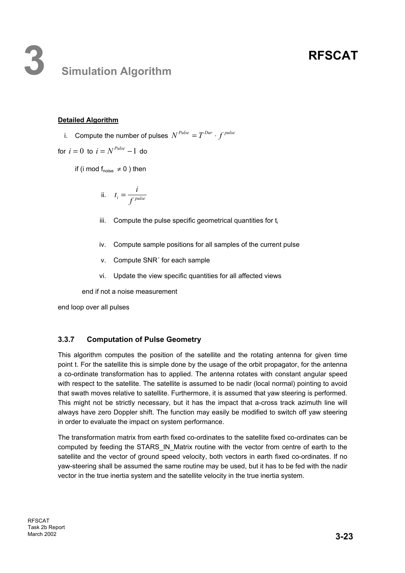## **3 Simulation Algorithm**

#### **Detailed Algorithm**

*i.* Compute the number of pulses  $N^{Pulse} = T^{Dur} \cdot f^{pulse}$ 

for  $i = 0$  to  $i = N^{Pulse} - 1$  do

if (i mod  $f_{noise} \neq 0$ ) then

ii. 
$$
t_i = \frac{i}{f^{pulse}}
$$

- iii. Compute the pulse specific geometrical quantities for  $t_i$
- iv. Compute sample positions for all samples of the current pulse
- v. Compute SNR´ for each sample
- vi. Update the view specific quantities for all affected views

end if not a noise measurement

end loop over all pulses

#### **3.3.7 Computation of Pulse Geometry**

This algorithm computes the position of the satellite and the rotating antenna for given time point t. For the satellite this is simple done by the usage of the orbit propagator, for the antenna a co-ordinate transformation has to applied. The antenna rotates with constant angular speed with respect to the satellite. The satellite is assumed to be nadir (local normal) pointing to avoid that swath moves relative to satellite. Furthermore, it is assumed that yaw steering is performed. This might not be strictly necessary, but it has the impact that a-cross track azimuth line will always have zero Doppler shift. The function may easily be modified to switch off yaw steering in order to evaluate the impact on system performance.

The transformation matrix from earth fixed co-ordinates to the satellite fixed co-ordinates can be computed by feeding the STARS\_IN\_Matrix routine with the vector from centre of earth to the satellite and the vector of ground speed velocity, both vectors in earth fixed co-ordinates. If no yaw-steering shall be assumed the same routine may be used, but it has to be fed with the nadir vector in the true inertia system and the satellite velocity in the true inertia system.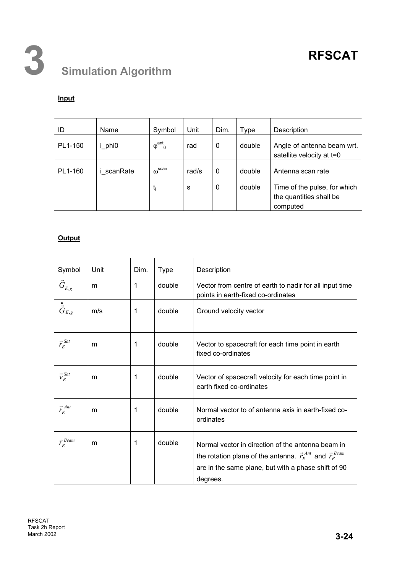

#### **Input**

| ID      | Name     | Symbol                              | Unit  | Dim.        | Type   | Description                                                         |
|---------|----------|-------------------------------------|-------|-------------|--------|---------------------------------------------------------------------|
| PL1-150 | phi0     | ant.<br>$\varphi$<br>$\overline{0}$ | rad   | 0           | double | Angle of antenna beam wrt.<br>satellite velocity at t=0             |
| PL1-160 | scanRate | $\omega$ <sup>scan</sup>            | rad/s | $\mathbf 0$ | double | Antenna scan rate                                                   |
|         |          | t <sub>i</sub>                      | S     | 0           | double | Time of the pulse, for which<br>the quantities shall be<br>computed |

#### **Output**

| Symbol                             | Unit | Dim. | Type   | Description                                                                                                                                                                                             |
|------------------------------------|------|------|--------|---------------------------------------------------------------------------------------------------------------------------------------------------------------------------------------------------------|
| $\vec{G}_{\scriptscriptstyle E,g}$ | m    | 1    | double | Vector from centre of earth to nadir for all input time<br>points in earth-fixed co-ordinates                                                                                                           |
| $\dot{\vec{G}}_{E,g}$              | m/s  | 1    | double | Ground velocity vector                                                                                                                                                                                  |
| $\vec{r}_E^{Sat}$                  | m    | 1    | double | Vector to spacecraft for each time point in earth<br>fixed co-ordinates                                                                                                                                 |
| $\vec{v}_E^{Sat}$                  | m    | 1    | double | Vector of spacecraft velocity for each time point in<br>earth fixed co-ordinates                                                                                                                        |
| $\vec{r}_E^{Ant}$                  | m    | 1    | double | Normal vector to of antenna axis in earth-fixed co-<br>ordinates                                                                                                                                        |
| $\vec{r}_E^{Beam}$                 | m    | 1    | double | Normal vector in direction of the antenna beam in<br>the rotation plane of the antenna. $\vec{r}_{E}^{Ant}$ and $\vec{r}_{E}^{Beam}$<br>are in the same plane, but with a phase shift of 90<br>degrees. |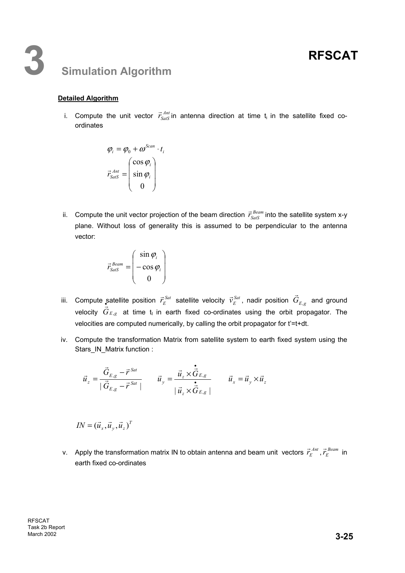## **3 Simulation Algorithm**

#### **Detailed Algorithm**

i. Compute the unit vector  $\vec{r}_{Sats}^{Ant}$  in antenna direction at time t<sub>i</sub> in the satellite fixed coordinates

$$
\varphi_i = \varphi_0 + \omega^{Scan} \cdot t_i
$$

$$
\vec{r}_{SasS}^{Ant} = \begin{pmatrix} \cos \varphi_i \\ \sin \varphi_i \\ 0 \end{pmatrix}
$$

ii. Compute the unit vector projection of the beam direction  $\vec{r}_{\scriptscriptstyle SatS}^{\scriptscriptstyle Bear}$  into the satellite system x-y plane. Without loss of generality this is assumed to be perpendicular to the antenna vector:

$$
\vec{r}_{Sats}^{Beam} = \begin{pmatrix} \sin \varphi_i \\ -\cos \varphi_i \\ 0 \end{pmatrix}
$$

- iii. Compute satellite position  $\vec{r}_{E}^{\, Sat}$  satellite velocity  $\vec{\nu}_{E}^{\, Sat}$ , nadir position  $\vec{G}_{E,g}$  and ground velocity  $\vec{G}_{E,g}$  at time t<sub>i</sub> in earth fixed co-ordinates using the orbit propagator. The velocities are computed numerically, by calling the orbit propagator for t'=t+dt.
- iv. Compute the transformation Matrix from satellite system to earth fixed system using the Stars\_IN\_Matrix function :

$$
\vec{u}_z = \frac{\vec{G}_{E,g} - \vec{r}^{Sat}}{|\vec{G}_{E,g} - \vec{r}^{Sat}|} \qquad \vec{u}_y = \frac{\vec{u}_z \times \dot{\vec{G}}_{E,g}}{|\vec{u}_z \times \dot{\vec{G}}_{E,g}|} \qquad \vec{u}_x = \vec{u}_y \times \vec{u}_z
$$

$$
IN = (\vec{u}_x, \vec{u}_y, \vec{u}_z)^T
$$

v. Apply the transformation matrix IN to obtain antenna and beam unit vectors  $\vec{r}_{E}^{\;Ant}$  ,  $\vec{r}_{E}^{\;Beam}$  in earth fixed co-ordinates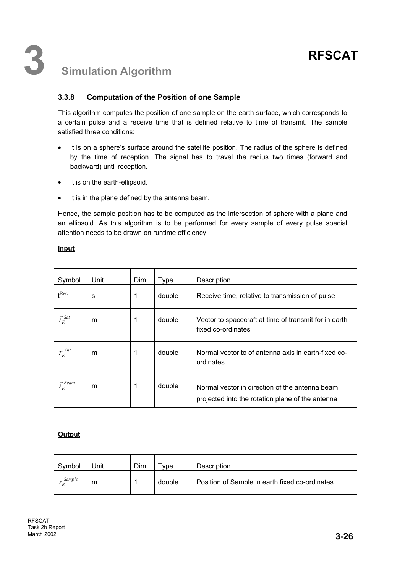### **3.3.8 Computation of the Position of one Sample**

This algorithm computes the position of one sample on the earth surface, which corresponds to a certain pulse and a receive time that is defined relative to time of transmit. The sample satisfied three conditions:

- It is on a sphere's surface around the satellite position. The radius of the sphere is defined by the time of reception. The signal has to travel the radius two times (forward and backward) until reception.
- It is on the earth-ellipsoid.
- It is in the plane defined by the antenna beam.

Hence, the sample position has to be computed as the intersection of sphere with a plane and an ellipsoid. As this algorithm is to be performed for every sample of every pulse special attention needs to be drawn on runtime efficiency.

| Symbol                      | Unit | Dim. | Type   | Description                                                                                        |
|-----------------------------|------|------|--------|----------------------------------------------------------------------------------------------------|
| $_{\textbf{+}}$ Rec         | S    | 1    | double | Receive time, relative to transmission of pulse                                                    |
| $\vec{r}_E^{Sat}$           | m    | 1    | double | Vector to spacecraft at time of transmit for in earth<br>fixed co-ordinates                        |
| $\vec{r}_{E}^{Ant}$         | m    | 1    | double | Normal vector to of antenna axis in earth-fixed co-<br>ordinates                                   |
| $\vec{r}_E^{\textit{Beam}}$ | m    | 1    | double | Normal vector in direction of the antenna beam<br>projected into the rotation plane of the antenna |

#### **Input**

#### **Output**

| Symbol               | Jnit | Dim. | vpe    | Description                                    |
|----------------------|------|------|--------|------------------------------------------------|
| $\Rightarrow$ Sample | m    |      | double | Position of Sample in earth fixed co-ordinates |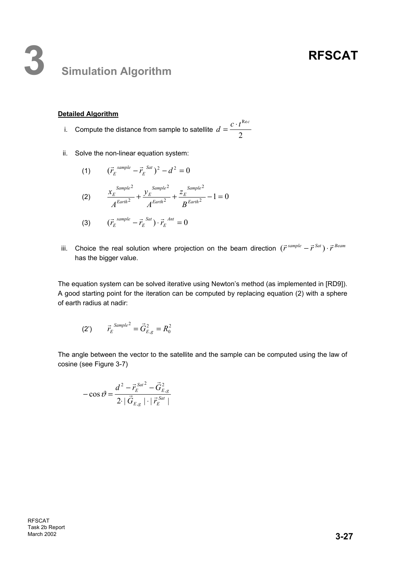## **3 Simulation Algorithm**

#### **Detailed Algorithm**

i. Compute the distance from sample to satellite  $d=\frac{2}{2}$  $d = \frac{c \cdot t^{\text{Rec}}}{2}$ 

ii. Solve the non-linear equation system:

(1) 
$$
(\vec{r}_E^{sample} - \vec{r}_E^{Sat})^2 - d^2 = 0
$$
  
\n(2) 
$$
\frac{x_E^{Sample^2}}{A^{Earth^2}} + \frac{y_E^{Sample^2}}{A^{Earth^2}} + \frac{z_E^{Sample^2}}{B^{Earth^2}} - 1 = 0
$$

(3) 
$$
(\vec{r}_{E}^{sample} - \vec{r}_{E}^{Sat}) \cdot \vec{r}_{E}^{Ant} = 0
$$

iii. Choice the real solution where projection on the beam direction  $(\vec{r}^{sample} - \vec{r}^{Sat}) \cdot \vec{r}^{Beam}$ has the bigger value.

The equation system can be solved iterative using Newton's method (as implemented in [RD9]). A good starting point for the iteration can be computed by replacing equation (2) with a sphere of earth radius at nadir:

(2') 
$$
\vec{r}_E^{Sample^2} = \vec{G}_{E,g}^2 = R_0^2
$$

The angle between the vector to the satellite and the sample can be computed using the law of cosine (see Figure 3-7)

$$
-\cos\vartheta = \frac{d^2 - \vec{r}_{E}^{Sat^2} - \vec{G}_{E,g}^2}{2 \cdot |\vec{G}_{E,g}| \cdot |\vec{r}_{E}^{Sat}|}
$$

RFSCAT Task 2b Report March 2002 **3-27**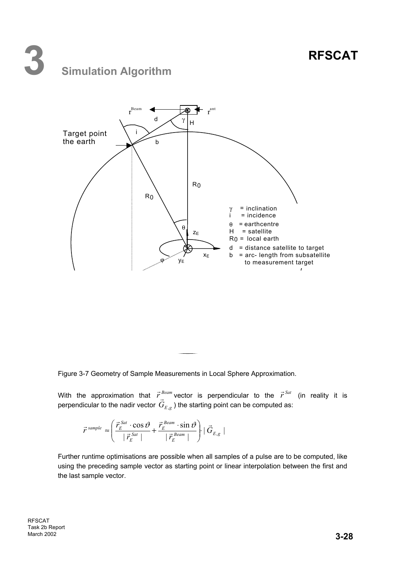## **3 Simulation Algorithm**



Figure 3-7 Geometry of Sample Measurements in Local Sphere Approximation.

With the approximation that  $\vec{r}^{\textit{Beam}}$  vector is perpendicular to the  $\vec{r}^{\textit{Sat}}$  (in reality it is with the approximation that  $r$  vector is perpendicular to the  $r$ <br>perpendicular to the nadir vector  $\vec{G}_{E,g}$ ) the starting point can be computed as:

$$
\vec{r}^{\text{sample}} \approx \left( \frac{\vec{r}_{E}^{\text{Sat}} \cdot \cos \vartheta}{\left| \vec{r}_{E}^{\text{Sat}} \right|} + \frac{\vec{r}_{E}^{\text{Beam}} \cdot \sin \vartheta}{\left| \vec{r}_{E}^{\text{Beam}} \right|} \right) \cdot |\vec{G}_{E,g}|
$$

Further runtime optimisations are possible when all samples of a pulse are to be computed, like using the preceding sample vector as starting point or linear interpolation between the first and the last sample vector.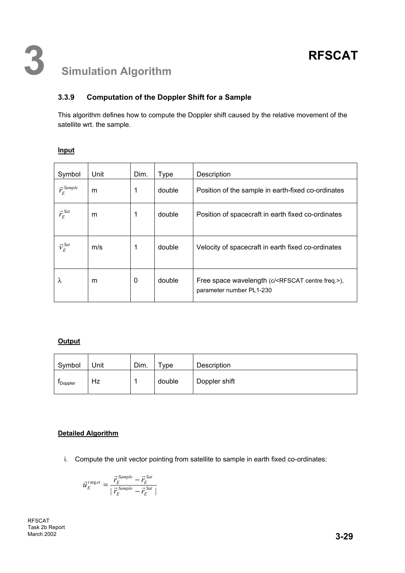## **3.3.9 Computation of the Doppler Shift for a Sample**

This algorithm defines how to compute the Doppler shift caused by the relative movement of the satellite wrt. the sample.

| Symbol               | Unit | Dim. | <b>Type</b> | Description                                                                                   |  |  |
|----------------------|------|------|-------------|-----------------------------------------------------------------------------------------------|--|--|
| $\vec{r}_E^{Sample}$ | m    | 1    | double      | Position of the sample in earth-fixed co-ordinates                                            |  |  |
| $\vec{r}_E^{Sat}$    | m    | 1    | double      | Position of spacecraft in earth fixed co-ordinates                                            |  |  |
| $\vec{v}_E^{Sat}$    | m/s  | 1    | double      | Velocity of spacecraft in earth fixed co-ordinates                                            |  |  |
| λ                    | m    | 0    | double      | Free space wavelength (c/ <rfscat centre="" freq.="">),<br/>parameter number PL1-230</rfscat> |  |  |

#### **Output**

| Symbol           | Unit | Dim. | $v_{\rm Vpe}$ | Description   |
|------------------|------|------|---------------|---------------|
| <b>I</b> Doppler | Hz   |      | double        | Doppler shift |

#### **Detailed Algorithm**

i. Compute the unit vector pointing from satellite to sample in earth fixed co-ordinates:

$$
\vec{u}_{E}^{target} = \frac{\vec{r}_{E}^{Sample} - \vec{r}_{E}^{Sat}}{|\vec{r}_{E}^{Sample} - \vec{r}_{E}^{Sat}|}
$$

RFSCAT Task 2b Report March 2002 **3-29**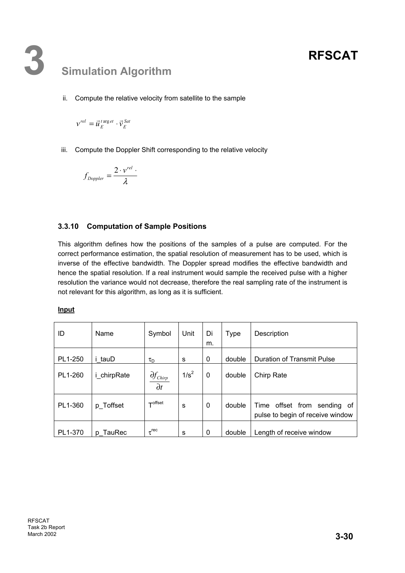## **3 Simulation Algorithm**

ii. Compute the relative velocity from satellite to the sample

*Sat E t et E*  $v^{rel} = \vec{u}_{E}^{target} \cdot \vec{v}_{E}^{Sat}$ 

iii. Compute the Doppler Shift corresponding to the relative velocity

$$
f_{Doppler} = \frac{2 \cdot v^{rel}}{\lambda}.
$$

### **3.3.10 Computation of Sample Positions**

This algorithm defines how the positions of the samples of a pulse are computed. For the correct performance estimation, the spatial resolution of measurement has to be used, which is inverse of the effective bandwidth. The Doppler spread modifies the effective bandwidth and hence the spatial resolution. If a real instrument would sample the received pulse with a higher resolution the variance would not decrease, therefore the real sampling rate of the instrument is not relevant for this algorithm, as long as it is sufficient.

**Input**

| ID      | Name        | Symbol                               | Unit    | Di<br>m.     | <b>Type</b> | Description                                                              |
|---------|-------------|--------------------------------------|---------|--------------|-------------|--------------------------------------------------------------------------|
| PL1-250 | i tauD      | $\tau_D$                             | s       | 0            | double      | Duration of Transmit Pulse                                               |
| PL1-260 | i_chirpRate | $\partial f_{Chirp}$<br>$\partial t$ | $1/s^2$ | $\mathbf{0}$ | double      | Chirp Rate                                                               |
| PL1-360 | p_Toffset   | $\tau$ offset                        | s       | $\mathbf{0}$ | double      | offset from<br>Time<br>sending<br>0t<br>pulse to begin of receive window |
| PL1-370 | p TauRec    | $\tau$ <sup>rec</sup>                | s       | $\mathbf{0}$ | double      | Length of receive window                                                 |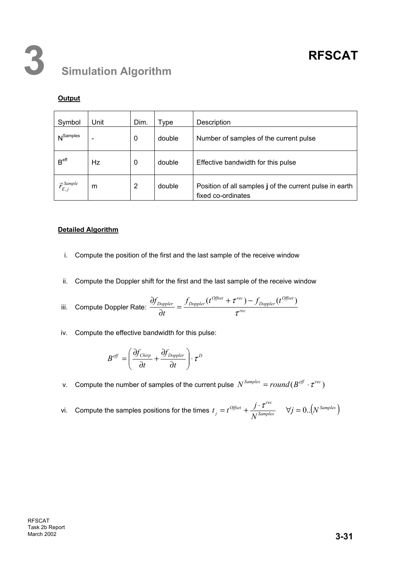### **Output**

| Symbol                   | Unit | Dim. | Type   | Description                                                                   |
|--------------------------|------|------|--------|-------------------------------------------------------------------------------|
| N <sup>Samples</sup>     |      | 0    | double | Number of samples of the current pulse                                        |
| B <sup>eff</sup>         | Hz   | 0    | double | Effective bandwidth for this pulse                                            |
| $\vec{r}_{E,j}^{Sample}$ | m    | 2    | double | Position of all samples j of the current pulse in earth<br>fixed co-ordinates |

#### **Detailed Algorithm**

- i. Compute the position of the first and the last sample of the receive window
- ii. Compute the Doppler shift for the first and the last sample of the receive window

iii. Compute Doppler Rate: 
$$
\frac{\partial f_{Doppler}}{\partial t} = \frac{f_{Doppler}(t^{Offset} + \tau^{rec}) - f_{Doppler}(t^{Offset})}{\tau^{rec}}
$$

iv. Compute the effective bandwidth for this pulse:

$$
B^\mathit{eff} = \left(\frac{\partial f_\mathit{Chirp}}{\partial t} + \frac{\partial f_\mathit{Doppler}}{\partial t}\right) \cdot \tau^D
$$

- v. Compute the number of samples of the current pulse  $N^{Samples} = round(B^{eff} \cdot \tau^{rec})$
- vi. Compute the samples positions for the times  $t_j = t^{O(1)}$ *<i>offset*  $\int \cdot \tau^{rec}$  $j - i$  *N*  $t_i = t^{Offset} + \frac{j \cdot \tau^{rec}}{r \cdot s_{samples}}$   $\forall j = 0..(N^{Samples})$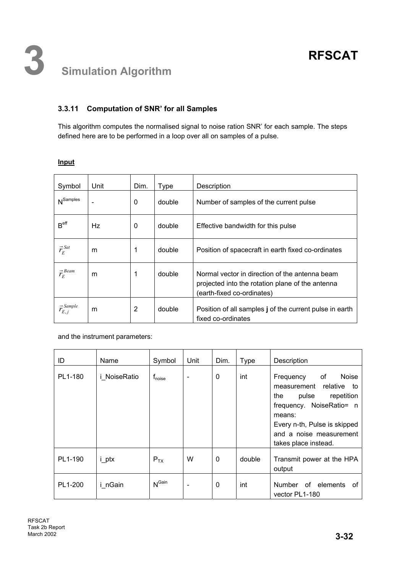## **3.3.11 Computation of SNR' for all Samples**

This algorithm computes the normalised signal to noise ration SNR' for each sample. The steps defined here are to be performed in a loop over all on samples of a pulse.

| Symbol                   | Unit | Dim. | <b>Type</b> | Description                                                                                                                      |
|--------------------------|------|------|-------------|----------------------------------------------------------------------------------------------------------------------------------|
| $N^{Samples}$            |      | 0    | double      | Number of samples of the current pulse                                                                                           |
| B <sup>eff</sup>         | Hz   | 0    | double      | Effective bandwidth for this pulse                                                                                               |
| $\vec{r}_E^{Sat}$        | m    | 1    | double      | Position of spacecraft in earth fixed co-ordinates                                                                               |
| $\vec{r}_E^{$ Beam       | m    | 1    | double      | Normal vector in direction of the antenna beam<br>projected into the rotation plane of the antenna<br>(earth-fixed co-ordinates) |
| $\vec{r}_{E,j}^{Sample}$ | m    | 2    | double      | Position of all samples j of the current pulse in earth<br>fixed co-ordinates                                                    |

#### **Input**

and the instrument parameters:

| ID      | Name                | Symbol                    | Unit                     | Dim.         | <b>Type</b> | Description                                                                                                                                                                                                             |
|---------|---------------------|---------------------------|--------------------------|--------------|-------------|-------------------------------------------------------------------------------------------------------------------------------------------------------------------------------------------------------------------------|
| PL1-180 | <i>i</i> NoiseRatio | <b>T</b> <sub>noise</sub> | $\overline{\phantom{a}}$ | $\mathbf{0}$ | int         | of<br><b>Noise</b><br>Frequency<br>relative<br>measurement<br>to<br>pulse<br>repetition<br>the<br>frequency. NoiseRatio= n<br>means:<br>Every n-th, Pulse is skipped<br>and a noise measurement<br>takes place instead. |
| PL1-190 | i_ptx               | $P_{TX}$                  | W                        | $\mathbf 0$  | double      | Transmit power at the HPA<br>output                                                                                                                                                                                     |
| PL1-200 | i nGain             | $N^{\text{Gain}}$         | $\overline{\phantom{0}}$ | 0            | int         | Number of elements<br>of<br>vector PL1-180                                                                                                                                                                              |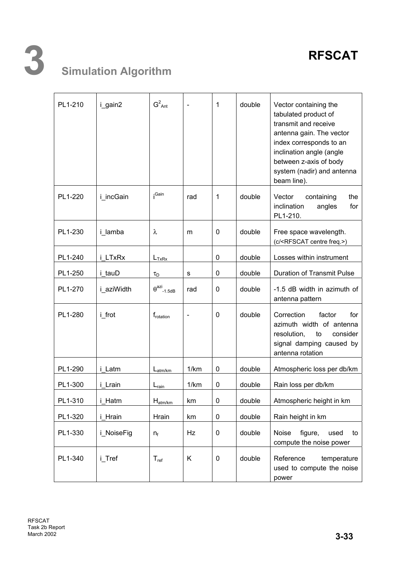| PL1-210 | i_gain2    | $G^2$ <sub>Ant</sub>         |                          | 1            | double | Vector containing the<br>tabulated product of<br>transmit and receive<br>antenna gain. The vector<br>index corresponds to an<br>inclination angle (angle<br>between z-axis of body<br>system (nadir) and antenna<br>beam line). |
|---------|------------|------------------------------|--------------------------|--------------|--------|---------------------------------------------------------------------------------------------------------------------------------------------------------------------------------------------------------------------------------|
| PL1-220 | i incGain  | ¡Gain                        | rad                      | $\mathbf{1}$ | double | Vector<br>the<br>containing<br>inclination<br>for<br>angles<br>PL1-210.                                                                                                                                                         |
| PL1-230 | i lamba    | λ                            | m                        | 0            | double | Free space wavelength.<br>(c/ <rfscat centre="" freq.="">)</rfscat>                                                                                                                                                             |
| PL1-240 | i LTxRx    | $L_{TxRx}$                   |                          | 0            | double | Losses within instrument                                                                                                                                                                                                        |
| PL1-250 | i tauD     | $\tau_D$                     | s                        | 0            | double | <b>Duration of Transmit Pulse</b>                                                                                                                                                                                               |
| PL1-270 | i aziWidth | $\theta^{\text{azi}}$ -1.5dB | rad                      | $\mathbf 0$  | double | -1.5 dB width in azimuth of<br>antenna pattern                                                                                                                                                                                  |
| PL1-280 | i frot     | f <sub>rotation</sub>        | $\overline{\phantom{0}}$ | $\mathbf{0}$ | double | Correction<br>factor<br>for<br>azimuth width of antenna<br>resolution,<br>to<br>consider<br>signal damping caused by<br>antenna rotation                                                                                        |
| PL1-290 | i_Latm     | $L_{atm/km}$                 | 1/km                     | 0            | double | Atmospheric loss per db/km                                                                                                                                                                                                      |
| PL1-300 | i Lrain    | $L_{\text{rain}}$            | 1/km                     | 0            | double | Rain loss per db/km                                                                                                                                                                                                             |
| PL1-310 | i_Hatm     | $H_{atm/km}$                 | km                       | 0            | double | Atmospheric height in km                                                                                                                                                                                                        |
| PL1-320 | i Hrain    | Hrain                        | km                       | 0            | double | Rain height in km                                                                                                                                                                                                               |
| PL1-330 | i_NoiseFig | $n_{f}$                      | Hz                       | 0            | double | Noise<br>figure,<br>used<br>to<br>compute the noise power                                                                                                                                                                       |
| PL1-340 | i_Tref     | $T_{ref}$                    | K                        | 0            | double | Reference<br>temperature<br>used to compute the noise<br>power                                                                                                                                                                  |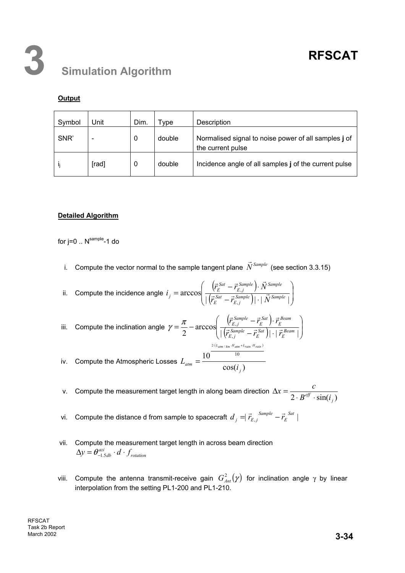### **Output**

| Symbol | Unit                     | Dim. | <b>vpe</b> | Description                                                               |
|--------|--------------------------|------|------------|---------------------------------------------------------------------------|
| SNR'   | $\overline{\phantom{0}}$ | 0    | double     | Normalised signal to noise power of all samples j of<br>the current pulse |
|        | [rad]                    | 0    | double     | Incidence angle of all samples j of the current pulse                     |

### **Detailed Algorithm**

for  $j=0$  ..  $N^{\text{sample}}$ -1 do

i. Compute the vector normal to the sample tangent plane  $\vec{N}^{Sample}$  (see section 3.3.15)

ii. Compute the incidence angle 
$$
i_j = \arccos\left(\frac{(\vec{r}_{E}^{Sat} - \vec{r}_{E,j}^{Sample}) \cdot \vec{N}^{Sample}}{|\vec{r}_{E}^{Sat} - \vec{r}_{E,j}^{Sample}| |\cdot |\vec{N}^{Sample}|}\right)
$$

iii. Compute the inclination angle 
$$
\gamma = \frac{\pi}{2} - \arccos\left(\frac{(\vec{r}_{E,j}^{Sample} - \vec{r}_{E}^{Sat}) \cdot \vec{r}_{E}^{Beam}}{|\vec{r}_{E,j}^{Sample} - \vec{r}_{E}^{Sat}| |\cdot|\vec{r}_{E}^{Beam}|}\right)
$$
  

$$
= \frac{2(L_{atm/km} + H_{atm} + L_{rain} + H_{rain})}{10}
$$

iv. Compute the Atmospheric Losses  $L_{\text{atm}} = \frac{160}{\cos(i,j)}$ 10 <sup>10</sup>  $L_{atm} = \frac{16 \text{ cos}(i_j)}{16 \text{ cos}(i_j)}$ 

v. Compute the measurement target length in along beam direction  $\Delta x = \frac{1}{2 \cdot B^{eff} \cdot \sin(i_j)}$  $\Delta x = \frac{c}{2 \cdot B^{eff}}$ 

- vi. Compute the distance d from sample to spacecraft  $d_{j} = \vec{r}_{E,j}^{Sample} \vec{r}_{E}^{Sat}$  | *E*  $d_j = \vec{r}_{E,j}^{Sample} - \vec{r}_j$
- vii. Compute the measurement target length in across beam direction *rotation*  $\Delta y = \theta_{-1.5db}^{azi} \cdot d \cdot f$
- viii. Compute the antenna transmit-receive gain  $G_{Ant}^2(\gamma)$  for inclination angle γ by linear interpolation from the setting PL1-200 and PL1-210.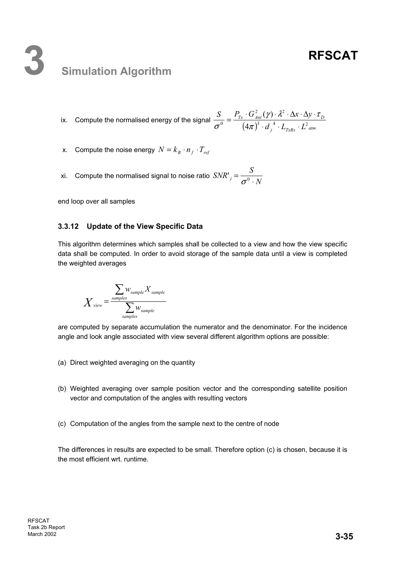## **3 Simulation Algorithm**

ix. Compute the normalised energy of the signal  $\frac{B}{\sigma^0} = \frac{I_{Tx} + J_{Ant}(y) + \lambda^2 + \Delta y + L_D}{(4\pi)^3 \cdot d_f^4 + L_{TxRx} \cdot L_{atm}^2}$  $d$   $_{i}$   $^{4}$   $\cdot$   $L_{\scriptscriptstyle T\!r\!R\!r}$   $\cdot$   $L$  $S$  *P*<sub>*Tx*</sub>  $\cdot$  *G*<sup>2</sup><sub>*Ant*</sub> ( $\gamma$ )  $\cdot$   $\lambda$ <sup>2</sup>  $\cdot$   $\Delta$ *x*  $\cdot$   $\Delta$ *y*  $3$   $1^4$   $1^2$ 2  $(a)$   $1^2$  $^{0}$  (4)  $(\gamma)$  $\cdot d_i^4 \cdot L_{\tau_{xRx}}$ .  $=\frac{P_{Tx}\cdot G_{Ant}^{2}(\gamma)\cdot \lambda^{2}\cdot \Delta x\cdot \Delta y\cdot}{(x^{2}-\lambda^{2})^{2}}$ π  $(\gamma)\cdot\lambda^2\cdot\Delta\mathrm{x}\cdot\Delta\mathrm{y}\cdot\tau$  $\frac{z}{\sigma^0} = \frac{-ix - 4nt}{(4\pi)^3 \cdot d^{-4} \cdot L_{\text{max}} \cdot L_{\text{atm}}^2}$ 

- x. Compute the noise energy  $N = k_B \cdot n_f \cdot T_{ref}$
- xi. Compute the normalised signal to noise ratio  $\left SNR^{\prime}\right /=\dfrac{S}{\sigma^{0} \cdot N}$

end loop over all samples

#### **3.3.12 Update of the View Specific Data**

This algorithm determines which samples shall be collected to a view and how the view specific data shall be computed. In order to avoid storage of the sample data until a view is completed the weighted averages

$$
X_{\text{view}} = \frac{\sum_{\text{samples}} W_{\text{sample}} X_{\text{sample}}}{\sum_{\text{samples}} W_{\text{sample}}}
$$

are computed by separate accumulation the numerator and the denominator. For the incidence angle and look angle associated with view several different algorithm options are possible:

- (a) Direct weighted averaging on the quantity
- (b) Weighted averaging over sample position vector and the corresponding satellite position vector and computation of the angles with resulting vectors
- (c) Computation of the angles from the sample next to the centre of node

The differences in results are expected to be small. Therefore option (c) is chosen, because it is the most efficient wrt. runtime.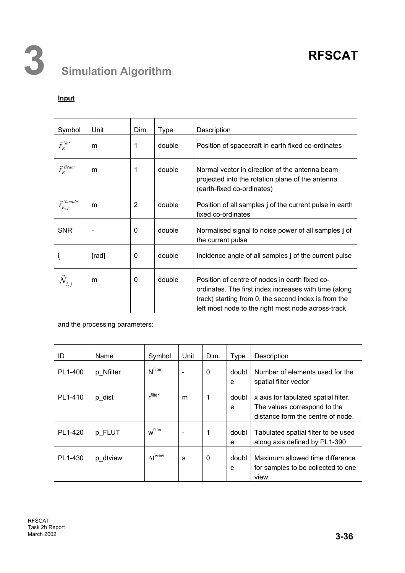## **Input**

| Symbol                      | Unit                         | Dim. | <b>Type</b> | Description                                                                                                                                                                                                           |
|-----------------------------|------------------------------|------|-------------|-----------------------------------------------------------------------------------------------------------------------------------------------------------------------------------------------------------------------|
| $\vec{r}_E^{Sat}$           | m                            | 1    | double      | Position of spacecraft in earth fixed co-ordinates                                                                                                                                                                    |
| $\vec{r}_E^{\textit{Beam}}$ | m                            | 1    | double      | Normal vector in direction of the antenna beam<br>projected into the rotation plane of the antenna<br>(earth-fixed co-ordinates)                                                                                      |
| $\vec{r}_{E,j}^{Sample}$    | m                            | 2    | double      | Position of all samples j of the current pulse in earth<br>fixed co-ordinates                                                                                                                                         |
| SNR'                        | $\qquad \qquad \blacksquare$ | 0    | double      | Normalised signal to noise power of all samples j of<br>the current pulse                                                                                                                                             |
| ı,                          | [rad]                        | 0    | double      | Incidence angle of all samples j of the current pulse                                                                                                                                                                 |
| $\vec{N}_{i,j}$             | m                            | 0    | double      | Position of centre of nodes in earth fixed co-<br>ordinates. The first index increases with time (along<br>track) starting from 0, the second index is from the<br>left most node to the right most node across-track |

and the processing parameters:

| ID      | Name      | Symbol                | Unit                         | Dim.        | <b>Type</b> | Description                                                                                               |
|---------|-----------|-----------------------|------------------------------|-------------|-------------|-----------------------------------------------------------------------------------------------------------|
| PL1-400 | p Nfilter | N <sup>filter</sup>   | $\qquad \qquad \blacksquare$ | $\mathbf 0$ | doubl<br>e  | Number of elements used for the<br>spatial filter vector                                                  |
| PL1-410 | p_dist    | filter.               | m                            |             | doubl<br>e  | x axis for tabulated spatial filter.<br>The values correspond to the<br>distance form the centre of node. |
| PL1-420 | p FLUT    | w <sup>filter</sup>   | $\overline{\phantom{a}}$     | 1           | doubl<br>e  | Tabulated spatial filter to be used<br>along axis defined by PL1-390                                      |
| PL1-430 | p dtview  | $\Delta t^{\sf View}$ | s                            | 0           | doubl<br>e  | Maximum allowed time difference<br>for samples to be collected to one<br>view                             |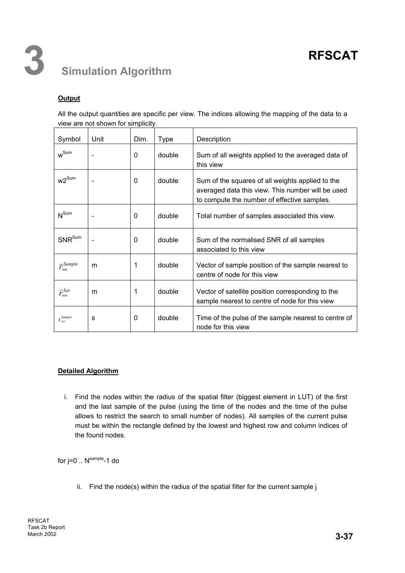## **Output**

All the output quantities are specific per view. The indices allowing the mapping of the data to a view are not shown for simplicity.

| Symbol                    | Unit                         | Dim. | <b>Type</b> | Description                                                                                                                                          |
|---------------------------|------------------------------|------|-------------|------------------------------------------------------------------------------------------------------------------------------------------------------|
| $w^{\text{Sum}}$          |                              | 0    | double      | Sum of all weights applied to the averaged data of<br>this view                                                                                      |
| $w2^{\text{Sum}}$         | $\qquad \qquad \blacksquare$ | 0    | double      | Sum of the squares of all weights applied to the<br>averaged data this view. This number will be used<br>to compute the number of effective samples. |
| $N^{Sum}$                 |                              | 0    | double      | Total number of samples associated this view.                                                                                                        |
| SNR <sup>Sum</sup>        |                              | 0    | double      | Sum of the normalised SNR of all samples<br>associated to this view                                                                                  |
| $\vec{r}_{\min}^{Sample}$ | m                            | 1    | double      | Vector of sample position of the sample nearest to<br>centre of node for this view                                                                   |
| $\vec{r}_{\min}^{Sat}$    | m                            | 1    | double      | Vector of satellite position corresponding to the<br>sample nearest to centre of node for this view                                                  |
| $t^{Sample}_{min}$        | s                            | 0    | double      | Time of the pulse of the sample nearest to centre of<br>node for this view                                                                           |

#### **Detailed Algorithm**

i. Find the nodes within the radius of the spatial filter (biggest element in LUT) of the first and the last sample of the pulse (using the time of the nodes and the time of the pulse allows to restrict the search to small number of nodes). All samples of the current pulse must be within the rectangle defined by the lowest and highest row and column indices of the found nodes.

for  $j=0$  ..  $N^{\text{sample}}$ -1 do

ii. Find the node(s) within the radius of the spatial filter for the current sample j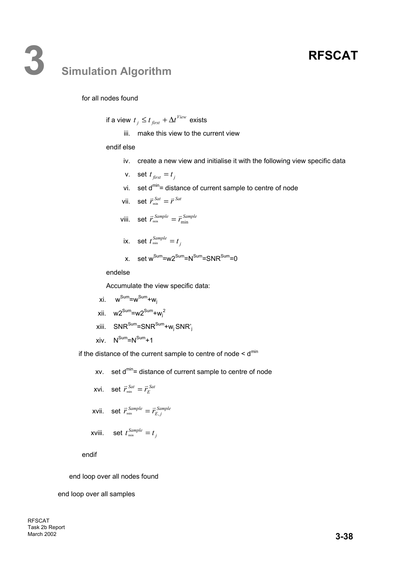## **3 Simulation Algorithm**

#### for all nodes found

if a view  $t_j \leq t_{\text{first}} + \Delta t^{\text{View}}$  exists

iii. make this view to the current view

#### endif else

- iv. create a new view and initialise it with the following view specific data
- v. set  $t_{first} = t_i$
- vi. set  $d^{min}$  = distance of current sample to centre of node
- vii. set  $\vec{r}_{min}^{Sat} = \vec{r}^{Sat}$
- viii. set  $\vec{r}_{min}^{Sample} = \vec{r}_{min}^{Sample}$
- ix. set  $t_{\min}^{Sample} = t_j$
- x. set  $w^{Sum} = w2^{Sum} = N^{Sum} = SNR^{Sum} = 0$

endelse

Accumulate the view specific data:

- $xi$ .  $w^{Sum} = w^{Sum} + w_i$
- xii. w2<sup>Sum</sup>=w2<sup>Sum</sup>+w<sub>j</sub><sup>2</sup>
- $xiii.$  SNR<sup>Sum</sup>=SNR<sup>Sum</sup>+w<sub>j</sub> SNR'<sub>i</sub>
- xiv.  $N^{Sum} = N^{Sum} + 1$

if the distance of the current sample to centre of node  $\leq d^{min}$ 

- xv. set  $d^{min}$  = distance of current sample to centre of node
- xvi. set  $\vec{r}_{\min}^{Sat} = \vec{r}_{E}^{Sat}$
- xvii. set  $\vec{r}_{min}^{Sample} = \vec{r}_{E,j}^{Sample}$

$$
xviii. \quad \text{set } t_{\min}^{Sample} = t_j
$$

endif

end loop over all nodes found

end loop over all samples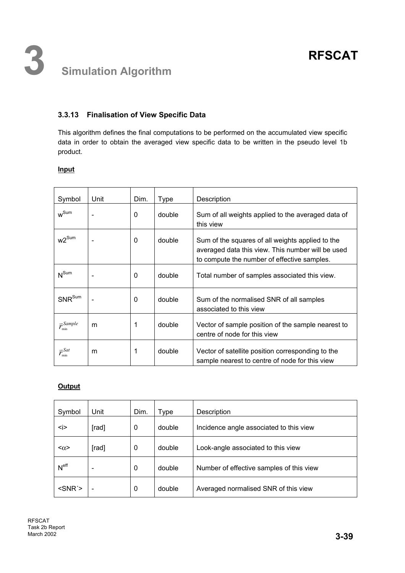## **3.3.13 Finalisation of View Specific Data**

This algorithm defines the final computations to be performed on the accumulated view specific data in order to obtain the averaged view specific data to be written in the pseudo level 1b product.

### **Input**

| Symbol                    | Unit | Dim.        | <b>Type</b> | Description                                                                                                                                          |  |  |  |  |
|---------------------------|------|-------------|-------------|------------------------------------------------------------------------------------------------------------------------------------------------------|--|--|--|--|
| $w^{\text{Sum}}$          |      | 0           | double      | Sum of all weights applied to the averaged data of<br>this view                                                                                      |  |  |  |  |
| $w2^{\text{Sum}}$         |      | 0           | double      | Sum of the squares of all weights applied to the<br>averaged data this view. This number will be used<br>to compute the number of effective samples. |  |  |  |  |
| $N^{Sum}$                 |      | 0           | double      | Total number of samples associated this view.                                                                                                        |  |  |  |  |
| SNR <sup>Sum</sup>        |      | $\mathbf 0$ | double      | Sum of the normalised SNR of all samples<br>associated to this view                                                                                  |  |  |  |  |
| $\vec{r}_{\min}^{Sample}$ | m    | 1           | double      | Vector of sample position of the sample nearest to<br>centre of node for this view                                                                   |  |  |  |  |
| $\vec{r}_{\min}^{Sat}$    | m    | 1           | double      | Vector of satellite position corresponding to the<br>sample nearest to centre of node for this view                                                  |  |  |  |  |

### **Output**

| Symbol           | Unit  | Dim. | Type   | Description                              |
|------------------|-------|------|--------|------------------------------------------|
| <i></i>          | [rad] | 0    | double | Incidence angle associated to this view  |
| $<\alpha$        | [rad] | 0    | double | Look-angle associated to this view       |
| N <sup>eff</sup> |       | 0    | double | Number of effective samples of this view |
| $<$ SNR $\ge$    |       | 0    | double | Averaged normalised SNR of this view     |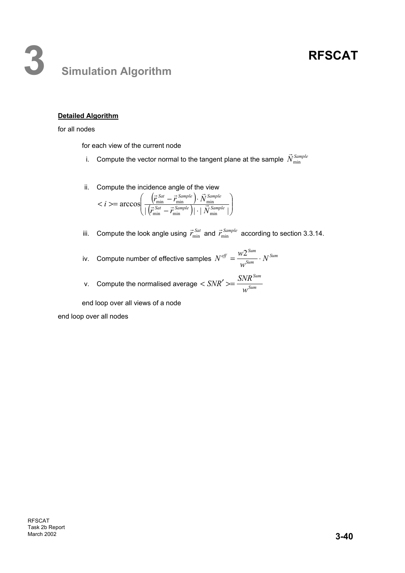## **3 Simulation Algorithm**

### **Detailed Algorithm**

#### for all nodes

for each view of the current node

- i. Compute the vector normal to the tangent plane at the sample  $\vec{N}^{\textit{Sample}}_{\text{min}}$
- ii. Compute the incidence angle of the view

$$
i>=arccos\left(\frac{(\vec{r}_{\min}^{Sat}-\vec{r}_{\min}^{Sample})\cdot \vec{N}_{\min}^{Sample}}{|\vec{r}_{\min}^{Sat}-\vec{r}_{\min}^{Sample}|| \cdot |\vec{N}_{\min}^{Sample}|}\right)
$$

- iii. Compute the look angle using  $\vec{r}_{min}^{Sat}$  and  $\vec{r}_{min}^{Sample}$  according to section 3.3.14.
- iv. Compute number of effective samples  $N^{eff} = \frac{WZ}{W^{Sum}} \cdot N^{Sum}$  $\frac{df}{df} = \frac{W2^{Sum}}{Sym} \cdot N$ *w*  $N^{ef\!f} = \frac{W2^{Sum}}{S_{um}}$ .
- v. Compute the normalised average  $\langle SNR' \rangle = \frac{SNR}{MS^{l}}$ *Sum w*  $\langle SNR' \rangle = \frac{SNR}{S}$

end loop over all views of a node

end loop over all nodes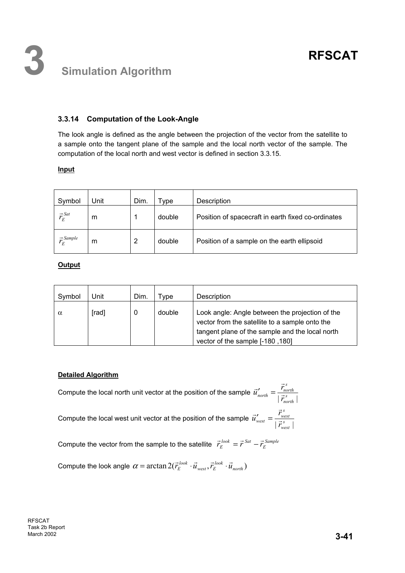## **3.3.14 Computation of the Look-Angle**

The look angle is defined as the angle between the projection of the vector from the satellite to a sample onto the tangent plane of the sample and the local north vector of the sample. The computation of the local north and west vector is defined in section 3.3.15.

#### **Input**

| Symbol                             | Unit | Dim. | vpe    | Description                                        |
|------------------------------------|------|------|--------|----------------------------------------------------|
| $\vec{r}_E^{Sat}$                  | m    |      | double | Position of spacecraft in earth fixed co-ordinates |
| $\vec{r}$ Sample<br>$\overline{F}$ | m    | 2    | double | Position of a sample on the earth ellipsoid        |

#### **Output**

| Symbol   | Jnit  | Dim. | <b>vpe</b> | Description                                                                                                                                                                              |
|----------|-------|------|------------|------------------------------------------------------------------------------------------------------------------------------------------------------------------------------------------|
| $\alpha$ | [rad] | 0    | double     | Look angle: Angle between the projection of the<br>vector from the satellite to a sample onto the<br>tangent plane of the sample and the local north<br>vector of the sample [-180, 180] |

#### **Detailed Algorithm**

Compute the local north unit vector at the position of the sample  $\vec{u}'_{north} = \frac{\vec{r}_{north}}{|\vec{r}_{north}|}$ *s*  $\frac{r_{north}}{|\vec{r}_{north}|}$  $\vec{u}'_{north} = \frac{\vec{r}_r}{|\vec{x}|}$  $\vec{u}'_{north} = \frac{\vec{r}_n}{\cdot}$ *s*

Compute the local west unit vector at the position of the sample  $\vec{u}'_{west} = \frac{\vec{v}_{west}}{|\vec{r}_{west}|}$ 

 $\frac{r}{west} = \frac{r_{west}}{\left| \vec{r}^s_{west} \right|}$  $\vec{u}'_{\text{west}} = \frac{\vec{r}_1}{|\vec{r}|}$  $\vec{u}'_{west} = \frac{\vec{r}_1}{\sqrt{r}}$ 

Compute the vector from the sample to the satellite  $\vec{r}_E^{look} = \vec{r}^{Sat} - \vec{r}_E^{Sample}$  $\vec{r}_E^{look} = \vec{r}^{Sat} - \vec{r}_E$ 

Compute the look angle  $\alpha = \arctan 2(\vec{r}_{E}^{look} \cdot \vec{u}_{west}, \vec{r}_{E}^{look} \cdot \vec{u}_{north})$  $\alpha = \arctan 2(\vec{r}_E^{look} \cdot \vec{u}_{west}, \vec{r}_E^{look} \cdot \vec{u})$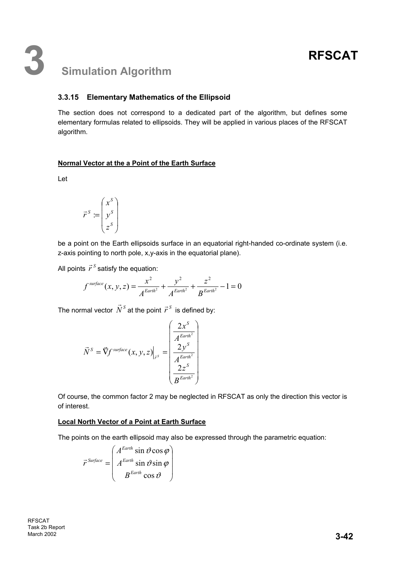## **3.3.15 Elementary Mathematics of the Ellipsoid**

The section does not correspond to a dedicated part of the algorithm, but defines some elementary formulas related to ellipsoids. They will be applied in various places of the RFSCAT algorithm.

### **Normal Vector at the a Point of the Earth Surface**

Let

$$
\vec{r}^S := \begin{pmatrix} x^S \\ y^S \\ z^S \end{pmatrix}
$$

be a point on the Earth ellipsoids surface in an equatorial right-handed co-ordinate system (i.e. z-axis pointing to north pole, x,y-axis in the equatorial plane).

All points  $\vec{r}^{\,S}$  satisfy the equation:

$$
f^{surface}(x, y, z) = \frac{x^2}{A^{Earth^2}} + \frac{y^2}{A^{Earth^2}} + \frac{z^2}{B^{Earth^2}} - 1 = 0
$$

The normal vector  $\vec{N}^{\scriptscriptstyle S}$  at the point  $\vec{r}^{\scriptscriptstyle S}$  is defined by:

$$
\vec{N}^{S} = \vec{\nabla} f^{surface}(x, y, z)\Big|_{\vec{r}^{S}} = \begin{pmatrix} \frac{2x^{S}}{A^{Earth^{2}}} \\ \frac{2y^{S}}{A^{Earth^{2}}} \\ \frac{2z^{S}}{B^{Earth^{2}}} \end{pmatrix}
$$

Of course, the common factor 2 may be neglected in RFSCAT as only the direction this vector is of interest.

#### **Local North Vector of a Point at Earth Surface**

The points on the earth ellipsoid may also be expressed through the parametric equation:

 $\overline{\phantom{a}}$  $\overline{\phantom{a}}$  $\overline{\phantom{a}}$ J  $\backslash$ I  $\mathbf{I}$  $\mathsf{I}$  $\setminus$ ſ =  $\vartheta$  $\vartheta$ sin  $\varphi$  $\vartheta$  cos  $\varphi$ cos  $\sin \vartheta \sin$  $\sin \vartheta \cos$ *Earth Earth Earth Surface B A A*  $\vec{r}^{Surface} = \left| A^{Earth} \sin \vartheta \sin \varphi \right|$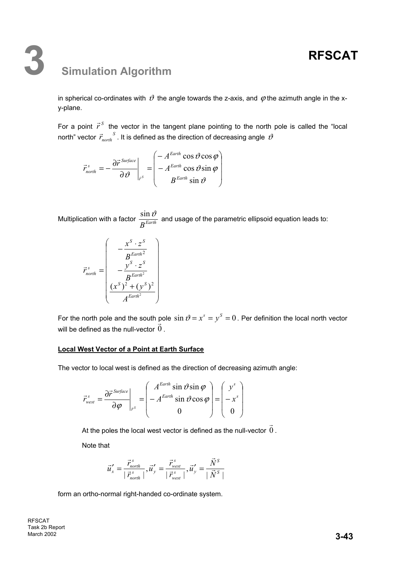## **3 Simulation Algorithm**

in spherical co-ordinates with  $\vartheta$  the angle towards the z-axis, and  $\varphi$  the azimuth angle in the xy-plane.

For a point  $\vec{r}^S$  the vector in the tangent plane pointing to the north pole is called the "local north" vector  $\vec{r}_{north}^S$ . It is defined as the direction of decreasing angle  $\vartheta$ 

$$
\vec{r}_{north}^s = -\frac{\partial \vec{r}^{Surface}}{\partial \vartheta}\Big|_{\vec{r}^s} = \begin{pmatrix} -A^{Earth} \cos \vartheta \cos \varphi \\ -A^{Earth} \cos \vartheta \sin \varphi \\ B^{Earth} \sin \vartheta \end{pmatrix}
$$

Multiplication with a factor  $\frac{\sin \theta}{B^{Earth}}$  $\frac{\sin \vartheta}{\sin \vartheta}$  and usage of the parametric ellipsoid equation leads to:

$$
\vec{r}_{north}^s = \begin{pmatrix}\n-\frac{x^S \cdot z^S}{B^{Earth^2}} \\
-\frac{y^S \cdot z^S}{B^{Earth^2}} \\
\frac{(x^S)^2 + (y^S)^2}{A^{Earth^2}}\n\end{pmatrix}
$$

For the north pole and the south pole  $\sin \vartheta = x^s = y^s = 0$ . Per definition the local north vector will be defined as the null-vector  $\overline{0}$  $\vec{0}$  .

#### **Local West Vector of a Point at Earth Surface**

The vector to local west is defined as the direction of decreasing azimuth angle:

$$
\vec{r}_{\text{west}}^s = \frac{\partial \vec{r}^{\text{ Surface}}}{\partial \varphi}\Big|_{\vec{r}^s} = \begin{pmatrix} A^{\text{Earth}} \sin \vartheta \sin \varphi \\ -A^{\text{Earth}} \sin \vartheta \cos \varphi \\ 0 \end{pmatrix} = \begin{pmatrix} y^s \\ -x^s \\ 0 \end{pmatrix}
$$

At the poles the local west vector is defined as the null-vector  $0$  $\vec{0}$  .

Note that

$$
\vec{u}'_x = \frac{\vec{r}_{north}^s}{|\vec{r}_{north}^s|}, \vec{u}'_y = \frac{\vec{r}_{west}^s}{|\vec{r}_{west}^s|}, \vec{u}'_y = \frac{\vec{N}^s}{|\vec{N}^s|}
$$

form an ortho-normal right-handed co-ordinate system.

RFSCAT Task 2b Report **March 2002 3-43**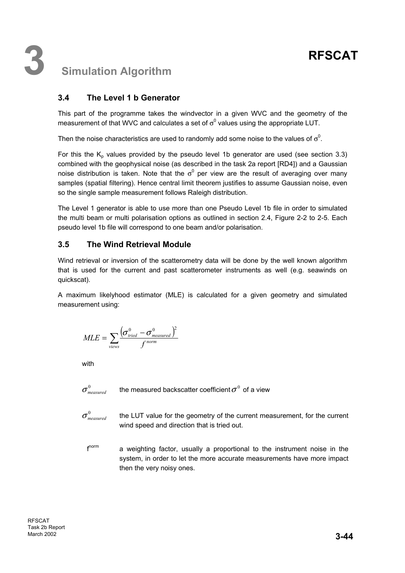## **3.4 The Level 1 b Generator**

This part of the programme takes the windvector in a given WVC and the geometry of the measurement of that WVC and calculates a set of  $\sigma^0$  values using the appropriate LUT.

Then the noise characteristics are used to randomly add some noise to the values of  $\sigma^0$ .

For this the  $K_p$  values provided by the pseudo level 1b generator are used (see section 3.3) combined with the geophysical noise (as described in the task 2a report [RD4]) and a Gaussian noise distribution is taken. Note that the  $\sigma^0$  per view are the result of averaging over many samples (spatial filtering). Hence central limit theorem justifies to assume Gaussian noise, even so the single sample measurement follows Raleigh distribution.

The Level 1 generator is able to use more than one Pseudo Level 1b file in order to simulated the multi beam or multi polarisation options as outlined in section 2.4, Figure 2-2 to 2-5. Each pseudo level 1b file will correspond to one beam and/or polarisation.

## **3.5 The Wind Retrieval Module**

Wind retrieval or inversion of the scatterometry data will be done by the well known algorithm that is used for the current and past scatterometer instruments as well (e.g. seawinds on quickscat).

A maximum likelyhood estimator (MLE) is calculated for a given geometry and simulated measurement using:

$$
MLE = \sum_{views} \frac{(\sigma_{\text{tried}}^{0} - \sigma_{\text{measured}}^{0})^{2}}{f^{norm}}
$$

with

- $\sigma_{measured}^0$  the measured backscatter coefficient  $\sigma^0$  of a view
- $\sigma_{\textit{measured}}^0$  the LUT value for the geometry of the current measurement, for the current wind speed and direction that is tried out.
	- f<sup>norm</sup> a weighting factor, usually a proportional to the instrument noise in the system, in order to let the more accurate measurements have more impact then the very noisy ones.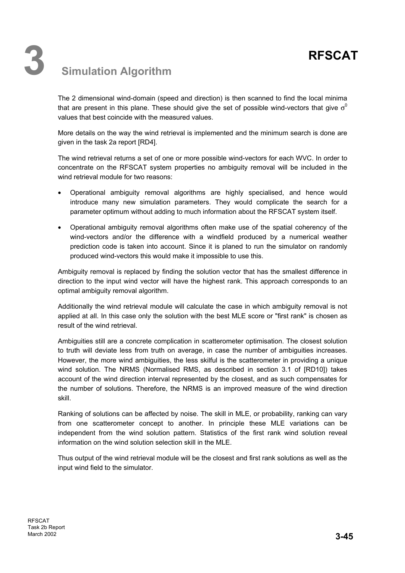The 2 dimensional wind-domain (speed and direction) is then scanned to find the local minima that are present in this plane. These should give the set of possible wind-vectors that give  $\sigma^0$ values that best coincide with the measured values.

More details on the way the wind retrieval is implemented and the minimum search is done are given in the task 2a report [RD4].

The wind retrieval returns a set of one or more possible wind-vectors for each WVC. In order to concentrate on the RFSCAT system properties no ambiguity removal will be included in the wind retrieval module for two reasons:

- Operational ambiguity removal algorithms are highly specialised, and hence would introduce many new simulation parameters. They would complicate the search for a parameter optimum without adding to much information about the RFSCAT system itself.
- Operational ambiguity removal algorithms often make use of the spatial coherency of the wind-vectors and/or the difference with a windfield produced by a numerical weather prediction code is taken into account. Since it is planed to run the simulator on randomly produced wind-vectors this would make it impossible to use this.

Ambiguity removal is replaced by finding the solution vector that has the smallest difference in direction to the input wind vector will have the highest rank. This approach corresponds to an optimal ambiguity removal algorithm.

Additionally the wind retrieval module will calculate the case in which ambiguity removal is not applied at all. In this case only the solution with the best MLE score or "first rank" is chosen as result of the wind retrieval.

Ambiguities still are a concrete complication in scatterometer optimisation. The closest solution to truth will deviate less from truth on average, in case the number of ambiguities increases. However, the more wind ambiguities, the less skilful is the scatterometer in providing a unique wind solution. The NRMS (Normalised RMS, as described in section 3.1 of [RD10]) takes account of the wind direction interval represented by the closest, and as such compensates for the number of solutions. Therefore, the NRMS is an improved measure of the wind direction skill.

Ranking of solutions can be affected by noise. The skill in MLE, or probability, ranking can vary from one scatterometer concept to another. In principle these MLE variations can be independent from the wind solution pattern. Statistics of the first rank wind solution reveal information on the wind solution selection skill in the MLE.

Thus output of the wind retrieval module will be the closest and first rank solutions as well as the input wind field to the simulator.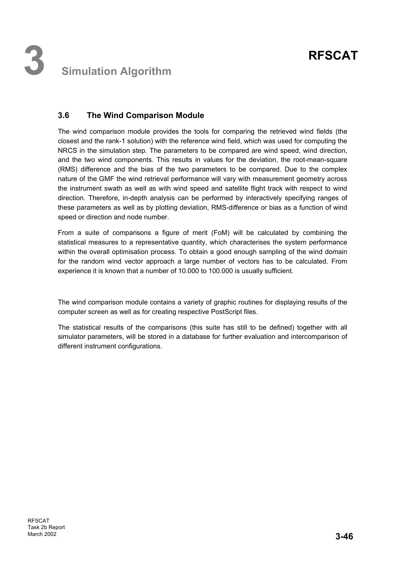## **3.6 The Wind Comparison Module**

The wind comparison module provides the tools for comparing the retrieved wind fields (the closest and the rank-1 solution) with the reference wind field, which was used for computing the NRCS in the simulation step. The parameters to be compared are wind speed, wind direction, and the two wind components. This results in values for the deviation, the root-mean-square (RMS) difference and the bias of the two parameters to be compared. Due to the complex nature of the GMF the wind retrieval performance will vary with measurement geometry across the instrument swath as well as with wind speed and satellite flight track with respect to wind direction. Therefore, in-depth analysis can be performed by interactively specifying ranges of these parameters as well as by plotting deviation, RMS-difference or bias as a function of wind speed or direction and node number.

From a suite of comparisons a figure of merit (FoM) will be calculated by combining the statistical measures to a representative quantity, which characterises the system performance within the overall optimisation process. To obtain a good enough sampling of the wind domain for the random wind vector approach a large number of vectors has to be calculated. From experience it is known that a number of 10.000 to 100.000 is usually sufficient.

The wind comparison module contains a variety of graphic routines for displaying results of the computer screen as well as for creating respective PostScript files.

The statistical results of the comparisons (this suite has still to be defined) together with all simulator parameters, will be stored in a database for further evaluation and intercomparison of different instrument configurations.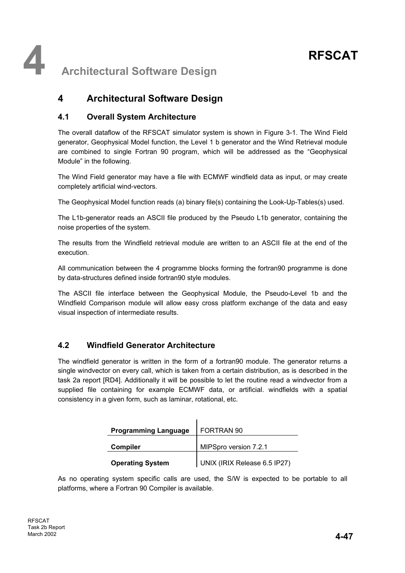**4** Architectural Software Design

## **4 Architectural Software Design**

## **4.1 Overall System Architecture**

The overall dataflow of the RFSCAT simulator system is shown in Figure 3-1. The Wind Field generator, Geophysical Model function, the Level 1 b generator and the Wind Retrieval module are combined to single Fortran 90 program, which will be addressed as the "Geophysical Module" in the following.

The Wind Field generator may have a file with ECMWF windfield data as input, or may create completely artificial wind-vectors.

The Geophysical Model function reads (a) binary file(s) containing the Look-Up-Tables(s) used.

The L1b-generator reads an ASCII file produced by the Pseudo L1b generator, containing the noise properties of the system.

The results from the Windfield retrieval module are written to an ASCII file at the end of the execution.

All communication between the 4 programme blocks forming the fortran90 programme is done by data-structures defined inside fortran90 style modules.

The ASCII file interface between the Geophysical Module, the Pseudo-Level 1b and the Windfield Comparison module will allow easy cross platform exchange of the data and easy visual inspection of intermediate results.

## **4.2 Windfield Generator Architecture**

The windfield generator is written in the form of a fortran90 module. The generator returns a single windvector on every call, which is taken from a certain distribution, as is described in the task 2a report [RD4]. Additionally it will be possible to let the routine read a windvector from a supplied file containing for example ECMWF data, or artificial. windfields with a spatial consistency in a given form, such as laminar, rotational, etc.

| <b>Programming Language</b> | FORTRAN 90                   |  |  |  |  |
|-----------------------------|------------------------------|--|--|--|--|
| <b>Compiler</b>             | MIPSpro version 7.2.1        |  |  |  |  |
| <b>Operating System</b>     | UNIX (IRIX Release 6.5 IP27) |  |  |  |  |

As no operating system specific calls are used, the S/W is expected to be portable to all platforms, where a Fortran 90 Compiler is available.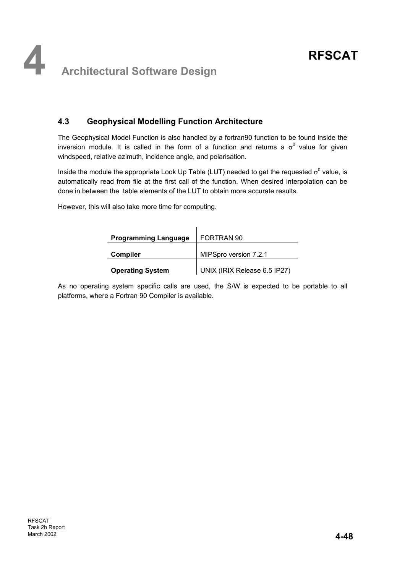## **4.3 Geophysical Modelling Function Architecture**

The Geophysical Model Function is also handled by a fortran90 function to be found inside the inversion module. It is called in the form of a function and returns a  $\sigma^0$  value for given windspeed, relative azimuth, incidence angle, and polarisation.

Inside the module the appropriate Look Up Table (LUT) needed to get the requested  $\sigma^0$  value, is automatically read from file at the first call of the function. When desired interpolation can be done in between the table elements of the LUT to obtain more accurate results.

However, this will also take more time for computing.

| <b>Programming Language</b> | FORTRAN 90                   |
|-----------------------------|------------------------------|
| <b>Compiler</b>             | MIPSpro version 7.2.1        |
| <b>Operating System</b>     | UNIX (IRIX Release 6.5 IP27) |

As no operating system specific calls are used, the S/W is expected to be portable to all platforms, where a Fortran 90 Compiler is available.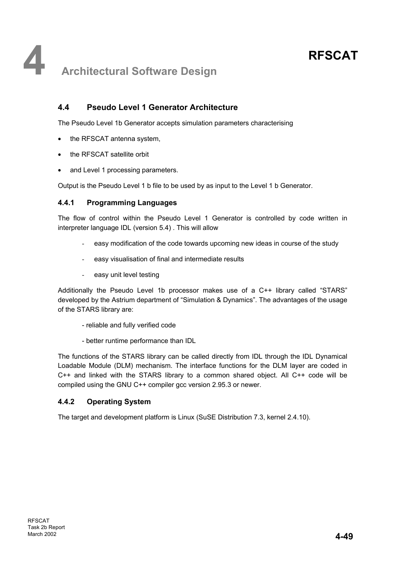## **4.4 Pseudo Level 1 Generator Architecture**

The Pseudo Level 1b Generator accepts simulation parameters characterising

- the RFSCAT antenna system,
- the RFSCAT satellite orbit
- and Level 1 processing parameters.

Output is the Pseudo Level 1 b file to be used by as input to the Level 1 b Generator.

### **4.4.1 Programming Languages**

The flow of control within the Pseudo Level 1 Generator is controlled by code written in interpreter language IDL (version 5.4) . This will allow

- easy modification of the code towards upcoming new ideas in course of the study
- easy visualisation of final and intermediate results
- easy unit level testing

Additionally the Pseudo Level 1b processor makes use of a C++ library called "STARS" developed by the Astrium department of "Simulation & Dynamics". The advantages of the usage of the STARS library are:

- reliable and fully verified code
- better runtime performance than IDL

The functions of the STARS library can be called directly from IDL through the IDL Dynamical Loadable Module (DLM) mechanism. The interface functions for the DLM layer are coded in C++ and linked with the STARS library to a common shared object. All C++ code will be compiled using the GNU C++ compiler gcc version 2.95.3 or newer.

### **4.4.2 Operating System**

The target and development platform is Linux (SuSE Distribution 7.3, kernel 2.4.10).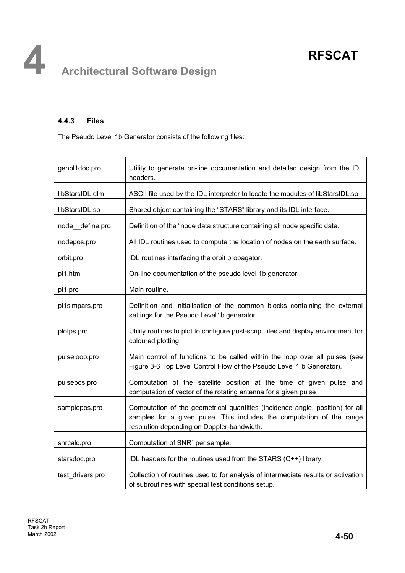## **4.4.3 Files**

The Pseudo Level 1b Generator consists of the following files:

| genpl1doc.pro    | Utility to generate on-line documentation and detailed design from the IDL<br>headers.                                                                                                               |
|------------------|------------------------------------------------------------------------------------------------------------------------------------------------------------------------------------------------------|
| libStarsIDL.dlm  | ASCII file used by the IDL interpreter to locate the modules of libStarsIDL.so                                                                                                                       |
| libStarsIDL.so   | Shared object containing the "STARS" library and its IDL interface.                                                                                                                                  |
| node_define.pro  | Definition of the "node data structure containing all node specific data.                                                                                                                            |
| nodepos.pro      | All IDL routines used to compute the location of nodes on the earth surface.                                                                                                                         |
| orbit.pro        | IDL routines interfacing the orbit propagator.                                                                                                                                                       |
| pl1.html         | On-line documentation of the pseudo level 1b generator.                                                                                                                                              |
| pl1.pro          | Main routine.                                                                                                                                                                                        |
| pl1simpars.pro   | Definition and initialisation of the common blocks containing the external<br>settings for the Pseudo Level1b generator.                                                                             |
| plotps.pro       | Utility routines to plot to configure post-script files and display environment for<br>coloured plotting                                                                                             |
| pulseloop.pro    | Main control of functions to be called within the loop over all pulses (see<br>Figure 3-6 Top Level Control Flow of the Pseudo Level 1 b Generator).                                                 |
| pulsepos.pro     | Computation of the satellite position at the time of given pulse and<br>computation of vector of the rotating antenna for a given pulse                                                              |
| samplepos.pro    | Computation of the geometrical quantities (incidence angle, position) for all<br>samples for a given pulse. This includes the computation of the range<br>resolution depending on Doppler-bandwidth. |
| snrcalc.pro      | Computation of SNR' per sample.                                                                                                                                                                      |
| starsdoc.pro     | IDL headers for the routines used from the STARS (C++) library.                                                                                                                                      |
| test_drivers.pro | Collection of routines used to for analysis of intermediate results or activation<br>of subroutines with special test conditions setup.                                                              |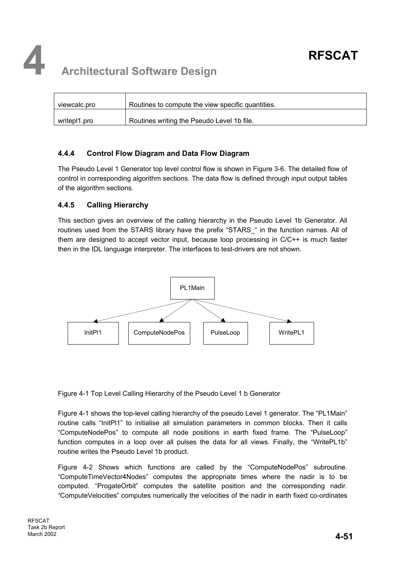

| viewcalc.pro | Routines to compute the view specific quantities. |
|--------------|---------------------------------------------------|
| writepl1.pro | Routines writing the Pseudo Level 1b file.        |

### **4.4.4 Control Flow Diagram and Data Flow Diagram**

The Pseudo Level 1 Generator top level control flow is shown in Figure 3-6. The detailed flow of control in corresponding algorithm sections. The data flow is defined through input output tables of the algorithm sections.

### **4.4.5 Calling Hierarchy**

This section gives an overview of the calling hierarchy in the Pseudo Level 1b Generator. All routines used from the STARS library have the prefix "STARS " in the function names. All of them are designed to accept vector input, because loop processing in C/C++ is much faster then in the IDL language interpreter. The interfaces to test-drivers are not shown.



Figure 4-1 Top Level Calling Hierarchy of the Pseudo Level 1 b Generator

Figure 4-1 shows the top-level calling hierarchy of the pseudo Level 1 generator. The "PL1Main" routine calls "InitPl1" to initialise all simulation parameters in common blocks. Then it calls "ComputeNodePos" to compute all node positions in earth fixed frame. The "PulseLoop" function computes in a loop over all pulses the data for all views. Finally, the "WritePL1b" routine writes the Pseudo Level 1b product.

Figure 4-2 Shows which functions are called by the "ComputeNodePos" subroutine. "ComputeTimeVector4Nodes" computes the appropriate times where the nadir is to be computed. "ProgateOrbit" computes the satellite position and the corresponding nadir. "ComputeVelocities" computes numerically the velocities of the nadir in earth fixed co-ordinates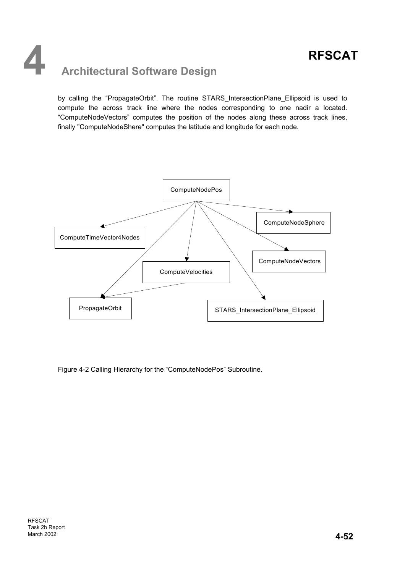by calling the "PropagateOrbit". The routine STARS\_IntersectionPlane\_Ellipsoid is used to compute the across track line where the nodes corresponding to one nadir a located. "ComputeNodeVectors" computes the position of the nodes along these across track lines, finally "ComputeNodeShere" computes the latitude and longitude for each node.



Figure 4-2 Calling Hierarchy for the "ComputeNodePos" Subroutine.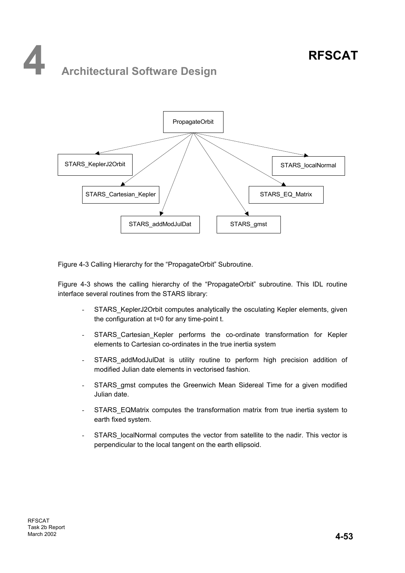## **4 Architectural Software Design**



Figure 4-3 Calling Hierarchy for the "PropagateOrbit" Subroutine.

Figure 4-3 shows the calling hierarchy of the "PropagateOrbit" subroutine. This IDL routine interface several routines from the STARS library:

- STARS KeplerJ2Orbit computes analytically the osculating Kepler elements, given the configuration at t=0 for any time-point t.
- STARS Cartesian Kepler performs the co-ordinate transformation for Kepler elements to Cartesian co-ordinates in the true inertia system
- STARS addModJulDat is utility routine to perform high precision addition of modified Julian date elements in vectorised fashion.
- STARS gmst computes the Greenwich Mean Sidereal Time for a given modified Julian date.
- STARS\_EQMatrix computes the transformation matrix from true inertia system to earth fixed system.
- STARS localNormal computes the vector from satellite to the nadir. This vector is perpendicular to the local tangent on the earth ellipsoid.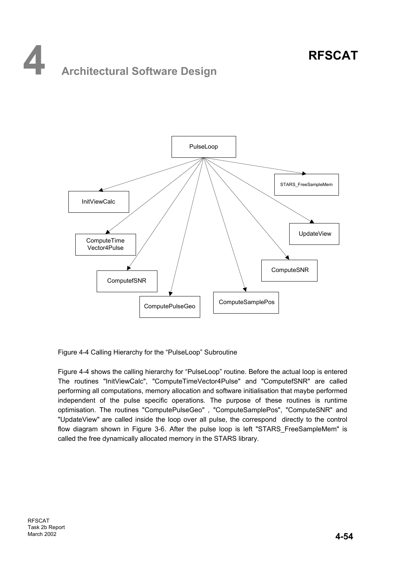# **4 Architectural Software Design**



Figure 4-4 Calling Hierarchy for the "PulseLoop" Subroutine

Figure 4-4 shows the calling hierarchy for "PulseLoop" routine. Before the actual loop is entered The routines "InitViewCalc", "ComputeTimeVector4Pulse" and "ComputefSNR" are called performing all computations, memory allocation and software initialisation that maybe performed independent of the pulse specific operations. The purpose of these routines is runtime optimisation. The routines "ComputePulseGeo" , "ComputeSamplePos", "ComputeSNR" and "UpdateView" are called inside the loop over all pulse, the correspond directly to the control flow diagram shown in Figure 3-6. After the pulse loop is left "STARS FreeSampleMem" is called the free dynamically allocated memory in the STARS library.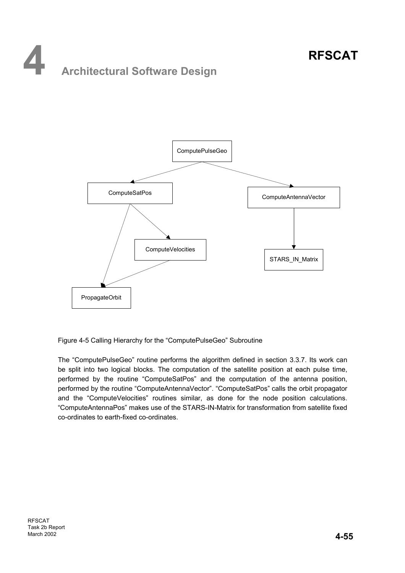## **4 Architectural Software Design**



Figure 4-5 Calling Hierarchy for the "ComputePulseGeo" Subroutine

The "ComputePulseGeo" routine performs the algorithm defined in section 3.3.7. Its work can be split into two logical blocks. The computation of the satellite position at each pulse time, performed by the routine "ComputeSatPos" and the computation of the antenna position, performed by the routine "ComputeAntennaVector". "ComputeSatPos" calls the orbit propagator and the "ComputeVelocities" routines similar, as done for the node position calculations. "ComputeAntennaPos" makes use of the STARS-IN-Matrix for transformation from satellite fixed co-ordinates to earth-fixed co-ordinates.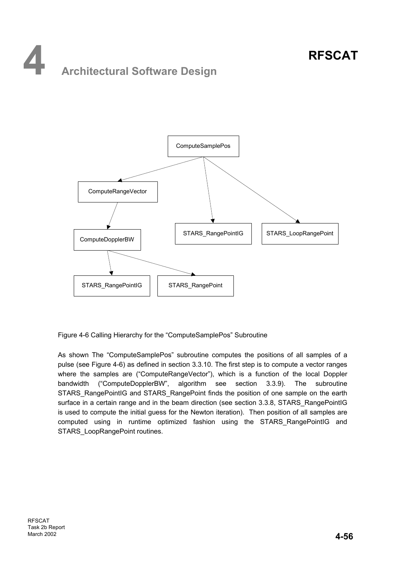## **4 Architectural Software Design**



Figure 4-6 Calling Hierarchy for the "ComputeSamplePos" Subroutine

As shown The "ComputeSamplePos" subroutine computes the positions of all samples of a pulse (see Figure 4-6) as defined in section 3.3.10. The first step is to compute a vector ranges where the samples are ("ComputeRangeVector"), which is a function of the local Doppler bandwidth ("ComputeDopplerBW", algorithm see section 3.3.9). The subroutine STARS\_RangePointIG and STARS\_RangePoint finds the position of one sample on the earth surface in a certain range and in the beam direction (see section 3.3.8, STARS\_RangePointIG is used to compute the initial guess for the Newton iteration). Then position of all samples are computed using in runtime optimized fashion using the STARS\_RangePointIG and STARS\_LoopRangePoint routines.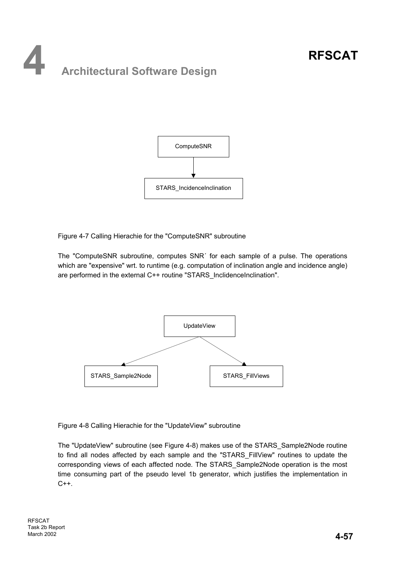# **4 Architectural Software Design**



Figure 4-7 Calling Hierachie for the "ComputeSNR" subroutine

The "ComputeSNR subroutine, computes SNR´ for each sample of a pulse. The operations which are "expensive" wrt. to runtime (e.g. computation of inclination angle and incidence angle) are performed in the external C++ routine "STARS\_InclidenceInclination".



Figure 4-8 Calling Hierachie for the "UpdateView" subroutine

The "UpdateView" subroutine (see Figure 4-8) makes use of the STARS\_Sample2Node routine to find all nodes affected by each sample and the "STARS\_FillView" routines to update the corresponding views of each affected node. The STARS\_Sample2Node operation is the most time consuming part of the pseudo level 1b generator, which justifies the implementation in  $C++$ .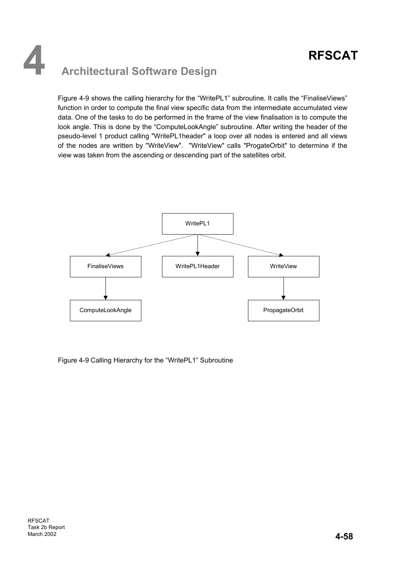## **4 Architectural Software Design**

Figure 4-9 shows the calling hierarchy for the "WritePL1" subroutine. It calls the "FinaliseViews" function in order to compute the final view specific data from the intermediate accumulated view data. One of the tasks to do be performed in the frame of the view finalisation is to compute the look angle. This is done by the "ComputeLookAngle" subroutine. After writing the header of the pseudo-level 1 product calling "WritePL1header" a loop over all nodes is entered and all views of the nodes are written by "WriteView". "WriteView" calls "ProgateOrbit" to determine if the view was taken from the ascending or descending part of the satellites orbit.



Figure 4-9 Calling Hierarchy for the "WritePL1" Subroutine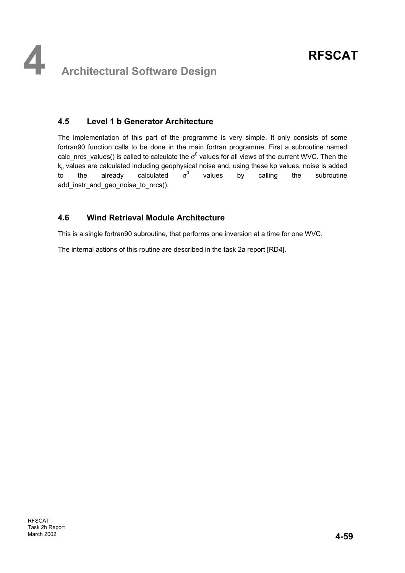## **4.5 Level 1 b Generator Architecture**

The implementation of this part of the programme is very simple. It only consists of some fortran90 function calls to be done in the main fortran programme. First a subroutine named calc\_nrcs\_values() is called to calculate the  $\sigma^0$  values for all views of the current WVC. Then the  $k<sub>p</sub>$  values are calculated including geophysical noise and, using these kp values, noise is added to the already calculated  $\sigma^0$  values by calling the subroutine add instr and geo noise to nrcs().

## **4.6 Wind Retrieval Module Architecture**

This is a single fortran90 subroutine, that performs one inversion at a time for one WVC.

The internal actions of this routine are described in the task 2a report [RD4].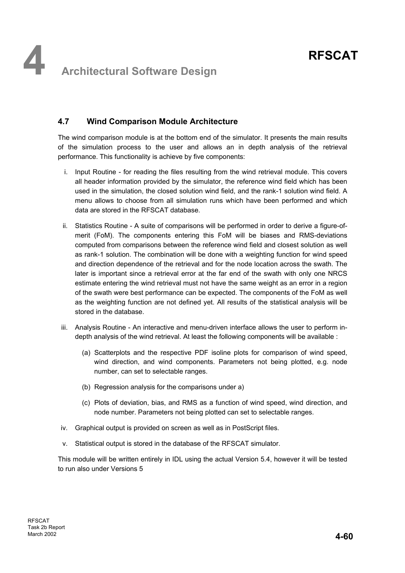## **4.7 Wind Comparison Module Architecture**

The wind comparison module is at the bottom end of the simulator. It presents the main results of the simulation process to the user and allows an in depth analysis of the retrieval performance. This functionality is achieve by five components:

- i. Input Routine for reading the files resulting from the wind retrieval module. This covers all header information provided by the simulator, the reference wind field which has been used in the simulation, the closed solution wind field, and the rank-1 solution wind field. A menu allows to choose from all simulation runs which have been performed and which data are stored in the RFSCAT database.
- ii. Statistics Routine A suite of comparisons will be performed in order to derive a figure-ofmerit (FoM). The components entering this FoM will be biases and RMS-deviations computed from comparisons between the reference wind field and closest solution as well as rank-1 solution. The combination will be done with a weighting function for wind speed and direction dependence of the retrieval and for the node location across the swath. The later is important since a retrieval error at the far end of the swath with only one NRCS estimate entering the wind retrieval must not have the same weight as an error in a region of the swath were best performance can be expected. The components of the FoM as well as the weighting function are not defined yet. All results of the statistical analysis will be stored in the database.
- iii. Analysis Routine An interactive and menu-driven interface allows the user to perform indepth analysis of the wind retrieval. At least the following components will be available :
	- (a) Scatterplots and the respective PDF isoline plots for comparison of wind speed, wind direction, and wind components. Parameters not being plotted, e.g. node number, can set to selectable ranges.
	- (b) Regression analysis for the comparisons under a)
	- (c) Plots of deviation, bias, and RMS as a function of wind speed, wind direction, and node number. Parameters not being plotted can set to selectable ranges.
- iv. Graphical output is provided on screen as well as in PostScript files.
- v. Statistical output is stored in the database of the RFSCAT simulator.

This module will be written entirely in IDL using the actual Version 5.4, however it will be tested to run also under Versions 5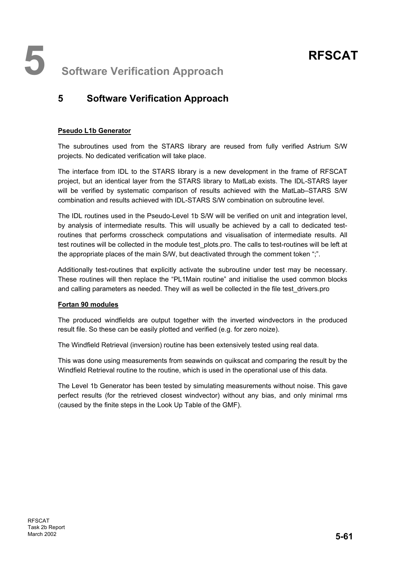**5** Software Verification Approach

## **5 Software Verification Approach**

#### **Pseudo L1b Generator**

The subroutines used from the STARS library are reused from fully verified Astrium S/W projects. No dedicated verification will take place.

The interface from IDL to the STARS library is a new development in the frame of RFSCAT project, but an identical layer from the STARS library to MatLab exists. The IDL-STARS layer will be verified by systematic comparison of results achieved with the MatLab–STARS S/W combination and results achieved with IDL-STARS S/W combination on subroutine level.

The IDL routines used in the Pseudo-Level 1b S/W will be verified on unit and integration level, by analysis of intermediate results. This will usually be achieved by a call to dedicated testroutines that performs crosscheck computations and visualisation of intermediate results. All test routines will be collected in the module test plots.pro. The calls to test-routines will be left at the appropriate places of the main S/W, but deactivated through the comment token ";".

Additionally test-routines that explicitly activate the subroutine under test may be necessary. These routines will then replace the "PL1Main routine" and initialise the used common blocks and calling parameters as needed. They will as well be collected in the file test\_drivers.pro

#### **Fortan 90 modules**

The produced windfields are output together with the inverted windvectors in the produced result file. So these can be easily plotted and verified (e.g. for zero noize).

The Windfield Retrieval (inversion) routine has been extensively tested using real data.

This was done using measurements from seawinds on quikscat and comparing the result by the Windfield Retrieval routine to the routine, which is used in the operational use of this data.

The Level 1b Generator has been tested by simulating measurements without noise. This gave perfect results (for the retrieved closest windvector) without any bias, and only minimal rms (caused by the finite steps in the Look Up Table of the GMF).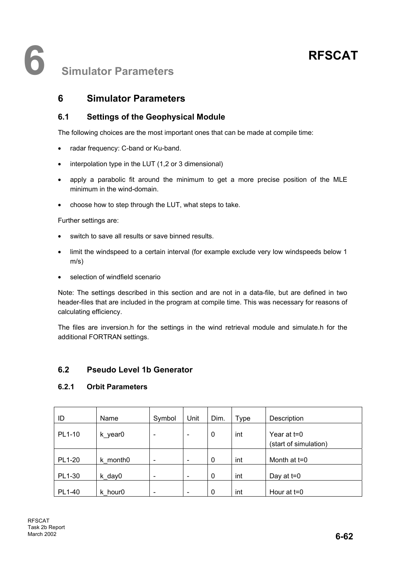## **6 Simulator Parameters**

## **6 Simulator Parameters**

## **6.1 Settings of the Geophysical Module**

The following choices are the most important ones that can be made at compile time:

- radar frequency: C-band or Ku-band.
- interpolation type in the LUT (1,2 or 3 dimensional)
- apply a parabolic fit around the minimum to get a more precise position of the MLE minimum in the wind-domain.
- choose how to step through the LUT, what steps to take.

Further settings are:

- switch to save all results or save binned results.
- limit the windspeed to a certain interval (for example exclude very low windspeeds below 1 m/s)
- selection of windfield scenario

Note: The settings described in this section and are not in a data-file, but are defined in two header-files that are included in the program at compile time. This was necessary for reasons of calculating efficiency.

The files are inversion.h for the settings in the wind retrieval module and simulate.h for the additional FORTRAN settings.

## **6.2 Pseudo Level 1b Generator**

### **6.2.1 Orbit Parameters**

| ID     | Name                 | Symbol                   | Unit                     | Dim. | Type | Description                          |
|--------|----------------------|--------------------------|--------------------------|------|------|--------------------------------------|
| PL1-10 | k_year0              | $\overline{\phantom{a}}$ | -                        | 0    | int  | Year at t=0<br>(start of simulation) |
| PL1-20 | k month <sub>0</sub> | $\overline{\phantom{a}}$ | $\overline{\phantom{a}}$ | 0    | int  | Month at t=0                         |
| PL1-30 | k_day0               | $\overline{\phantom{a}}$ | $\overline{\phantom{a}}$ | 0    | int  | Day at $t=0$                         |
| PL1-40 | k hour <sub>0</sub>  | $\overline{\phantom{a}}$ | $\overline{\phantom{0}}$ | 0    | int  | Hour at t=0                          |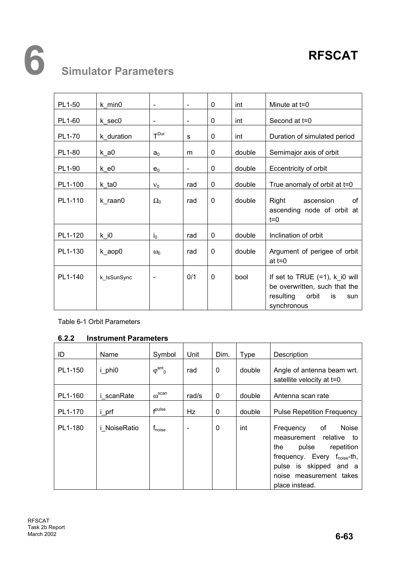# **6 Simulator Parameters**

| PL1-50  | $k_{min}$   | $\overline{\phantom{a}}$ | $\blacksquare$               | 0            | int    | Minute at t=0                                                                                                                     |
|---------|-------------|--------------------------|------------------------------|--------------|--------|-----------------------------------------------------------------------------------------------------------------------------------|
| PL1-60  | k sec0      | $\blacksquare$           | $\frac{1}{2}$                | 0            | int    | Second at t=0                                                                                                                     |
| PL1-70  | k duration  | $T^{Dur}$                | s                            | 0            | int    | Duration of simulated period                                                                                                      |
| PL1-80  | $k$ _a0     | a <sub>0</sub>           | m                            | 0            | double | Semimajor axis of orbit                                                                                                           |
| PL1-90  | $k_e0$      | $e_0$                    | $\qquad \qquad \blacksquare$ | 0            | double | Eccentricity of orbit                                                                                                             |
| PL1-100 | k ta0       | $V_0$                    | rad                          | 0            | double | True anomaly of orbit at t=0                                                                                                      |
| PL1-110 | k raan0     | $\Omega_0$               | rad                          | $\mathbf{0}$ | double | Ωf<br>Right<br>ascension<br>ascending node of orbit at<br>$t=0$                                                                   |
| PL1-120 | $k$ _i0     | $i_0$                    | rad                          | 0            | double | Inclination of orbit                                                                                                              |
| PL1-130 | k_aop0      | $\omega_0$               | rad                          | $\mathbf{0}$ | double | Argument of perigee of orbit<br>at $t=0$                                                                                          |
| PL1-140 | k_IsSunSync | $\overline{\phantom{a}}$ | 0/1                          | $\mathbf{0}$ | bool   | If set to TRUE $(=1)$ , $k$ <sup>10</sup> will<br>be overwritten, such that the<br>resulting<br>orbit<br>is<br>sun<br>synchronous |

Table 6-1 Orbit Parameters

### **6.2.2 Instrument Parameters**

| ID      | Name                | Symbol                    | Unit                     | Dim.         | Type   | Description                                                                                                                                                                                                       |
|---------|---------------------|---------------------------|--------------------------|--------------|--------|-------------------------------------------------------------------------------------------------------------------------------------------------------------------------------------------------------------------|
| PL1-150 | <i>i</i> phi0       | $\varphi^{ant}$           | rad                      | $\mathbf 0$  | double | Angle of antenna beam wrt.<br>satellite velocity at t=0                                                                                                                                                           |
| PL1-160 | <i>i</i> scanRate   | $\omega^\text{scan}$      | rad/s                    | $\mathbf 0$  | double | Antenna scan rate                                                                                                                                                                                                 |
| PL1-170 | <i>i</i> prf        | <b>f</b> pulse            | Hz                       | $\mathbf{0}$ | double | <b>Pulse Repetition Frequency</b>                                                                                                                                                                                 |
| PL1-180 | <i>i</i> NoiseRatio | <b>T</b> <sub>noise</sub> | $\overline{\phantom{0}}$ | 0            | int    | 0f<br><b>Noise</b><br>Frequency<br>relative<br>measurement<br>to<br>pulse<br>repetition<br>the<br>frequency. Every f <sub>noise</sub> -th,<br>pulse is skipped and a<br>noise measurement takes<br>place instead. |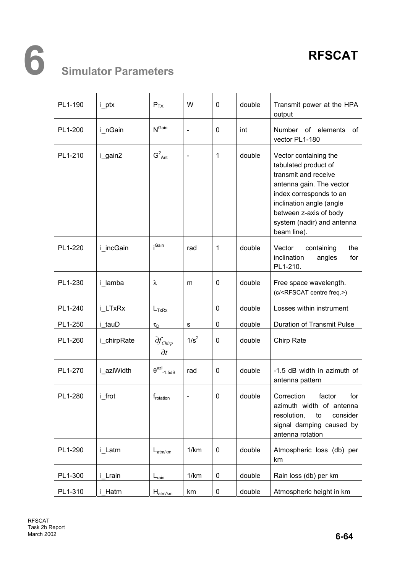# **6 Simulator Parameters**

| PL1-190 | i_ptx       | $P_{TX}$                             | W                        | $\mathbf 0$  | double | Transmit power at the HPA<br>output                                                                                                                                                                                             |
|---------|-------------|--------------------------------------|--------------------------|--------------|--------|---------------------------------------------------------------------------------------------------------------------------------------------------------------------------------------------------------------------------------|
| PL1-200 | i_nGain     | $N^{\text{Gain}}$                    | ÷,                       | 0            | int    | Number of elements<br>οf<br>vector PL1-180                                                                                                                                                                                      |
| PL1-210 | i_gain2     | $G^2$ <sub>Ant</sub>                 | $\overline{\phantom{0}}$ | $\mathbf{1}$ | double | Vector containing the<br>tabulated product of<br>transmit and receive<br>antenna gain. The vector<br>index corresponds to an<br>inclination angle (angle<br>between z-axis of body<br>system (nadir) and antenna<br>beam line). |
| PL1-220 | i incGain   | i <sup>Gain</sup>                    | rad                      | $\mathbf 1$  | double | Vector<br>containing<br>the<br>inclination<br>for<br>angles<br>PL1-210.                                                                                                                                                         |
| PL1-230 | i lamba     | λ                                    | m                        | 0            | double | Free space wavelength.<br>(c/ <rfscat centre="" freq.="">)</rfscat>                                                                                                                                                             |
| PL1-240 | i LTxRx     | $L_{TxRx}$                           |                          | $\mathbf 0$  | double | Losses within instrument                                                                                                                                                                                                        |
| PL1-250 | i tauD      | $\tau_{\text{D}}$                    | $\mathbf S$              | 0            | double | <b>Duration of Transmit Pulse</b>                                                                                                                                                                                               |
| PL1-260 | i_chirpRate | $\partial f_{Chirp}$<br>$\partial t$ | $1/s^2$                  | $\mathbf{0}$ | double | Chirp Rate                                                                                                                                                                                                                      |
| PL1-270 | i aziWidth  | $\theta^{\text{azi}}$ -1.5dB         | rad                      | 0            | double | -1.5 dB width in azimuth of<br>antenna pattern                                                                                                                                                                                  |
| PL1-280 | i frot      | $f_{rotation}$                       |                          | 0            | double | Correction<br>factor<br>for<br>azimuth width of antenna<br>resolution,<br>consider<br>to<br>signal damping caused by<br>antenna rotation                                                                                        |
| PL1-290 | i_Latm      | $L_{atm/km}$                         | 1/km                     | $\mathbf 0$  | double | Atmospheric loss (db) per<br>km                                                                                                                                                                                                 |
| PL1-300 | i Lrain     | $L_{\text{rain}}$                    | 1/km                     | 0            | double | Rain loss (db) per km                                                                                                                                                                                                           |
| PL1-310 | i_Hatm      | $H_{atm/km}$                         | km                       | $\pmb{0}$    | double | Atmospheric height in km                                                                                                                                                                                                        |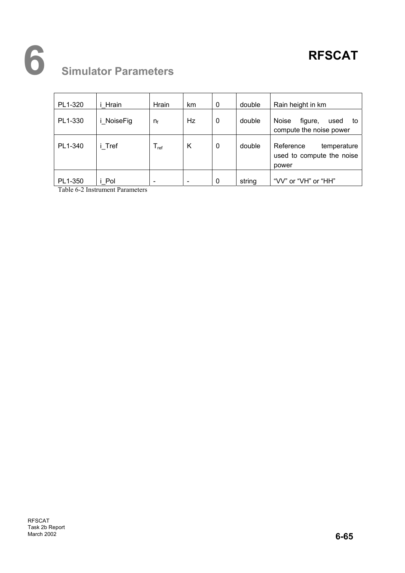# **6 Simulator Parameters**

| PL1-320 | i Hrain    | Hrain                       | km                       | 0           | double | Rain height in km                                              |
|---------|------------|-----------------------------|--------------------------|-------------|--------|----------------------------------------------------------------|
| PL1-330 | i NoiseFig | $n_{\rm f}$                 | Hz.                      | 0           | double | Noise<br>figure,<br>used<br>to<br>compute the noise power      |
| PL1-340 | i Tref     | $\mathsf{T}_{\mathsf{ref}}$ | K                        | $\mathbf 0$ | double | Reference<br>temperature<br>used to compute the noise<br>power |
| PL1-350 | i Pol      | $\overline{\phantom{0}}$    | $\overline{\phantom{a}}$ | $\mathbf 0$ | string | "VV" or "VH" or "HH"                                           |

Table 6-2 Instrument Parameters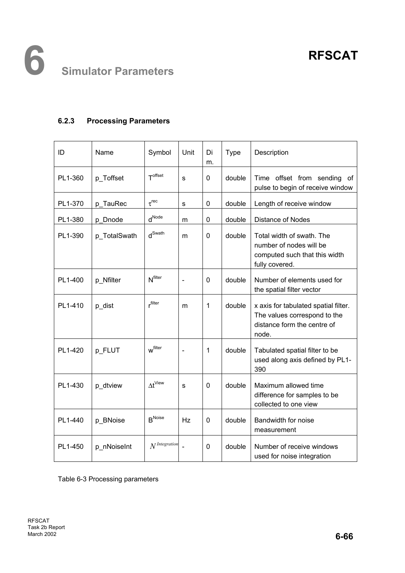#### **6.2.3 Processing Parameters**

| ID      | Name         | Symbol                     | Unit           | Di<br>m. | Type   | Description                                                                                                  |
|---------|--------------|----------------------------|----------------|----------|--------|--------------------------------------------------------------------------------------------------------------|
| PL1-360 | p Toffset    | T <sup>offset</sup>        | S              | 0        | double | Time offset from sending<br>0f<br>pulse to begin of receive window                                           |
| PL1-370 | p TauRec     | $\tau$ <sup>rec</sup>      | s              | 0        | double | Length of receive window                                                                                     |
| PL1-380 | p_Dnode      | $d^{\text{Node}}$          | m              | 0        | double | Distance of Nodes                                                                                            |
| PL1-390 | p_TotalSwath | $d^{\text{Swath}}$         | m              | 0        | double | Total width of swath. The<br>number of nodes will be<br>computed such that this width<br>fully covered.      |
| PL1-400 | p Nfilter    | <b>N</b> <sup>filter</sup> | $\blacksquare$ | 0        | double | Number of elements used for<br>the spatial filter vector                                                     |
| PL1-410 | p_dist       | rfilter                    | m              | 1        | double | x axis for tabulated spatial filter.<br>The values correspond to the<br>distance form the centre of<br>node. |
| PL1-420 | p_FLUT       | W <sup>filter</sup>        |                | 1        | double | Tabulated spatial filter to be<br>used along axis defined by PL1-<br>390                                     |
| PL1-430 | p_dtview     | $\Delta t^{\text{View}}$   | s              | 0        | double | Maximum allowed time<br>difference for samples to be<br>collected to one view                                |
| PL1-440 | p_BNoise     | $R^{\text{Noise}}$         | Hz             | 0        | double | Bandwidth for noise<br>measurement                                                                           |
| PL1-450 | p_nNoiseInt  | N <sup>Integration</sup>   |                | 0        | double | Number of receive windows<br>used for noise integration                                                      |

Table 6-3 Processing parameters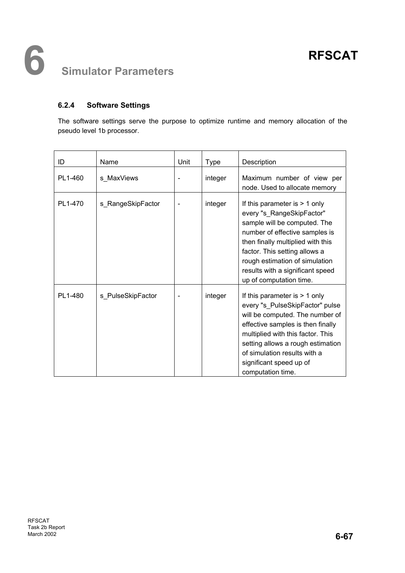#### **6.2.4 Software Settings**

The software settings serve the purpose to optimize runtime and memory allocation of the pseudo level 1b processor.

| ID      | Name              | Unit | <b>Type</b> | Description                                                                                                                                                                                                                                                                                           |
|---------|-------------------|------|-------------|-------------------------------------------------------------------------------------------------------------------------------------------------------------------------------------------------------------------------------------------------------------------------------------------------------|
| PL1-460 | s MaxViews        |      | integer     | Maximum number of view per<br>node. Used to allocate memory                                                                                                                                                                                                                                           |
| PL1-470 | s_RangeSkipFactor |      | integer     | If this parameter is $> 1$ only<br>every "s_RangeSkipFactor"<br>sample will be computed. The<br>number of effective samples is<br>then finally multiplied with this<br>factor. This setting allows a<br>rough estimation of simulation<br>results with a significant speed<br>up of computation time. |
| PL1-480 | s PulseSkipFactor |      | integer     | If this parameter is $> 1$ only<br>every "s_PulseSkipFactor" pulse<br>will be computed. The number of<br>effective samples is then finally<br>multiplied with this factor. This<br>setting allows a rough estimation<br>of simulation results with a<br>significant speed up of<br>computation time.  |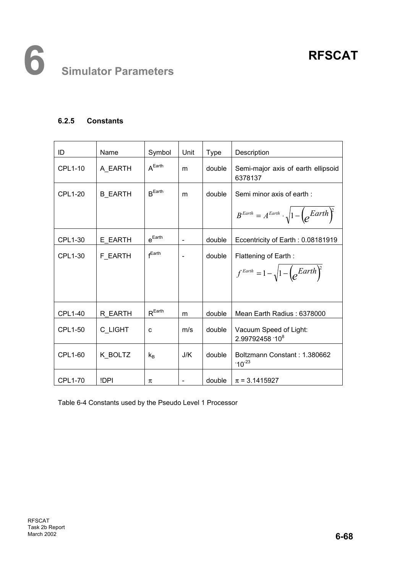#### **6.2.5 Constants**

| ID             | Name           | Symbol               | Unit                         | <b>Type</b> | Description                                                       |
|----------------|----------------|----------------------|------------------------------|-------------|-------------------------------------------------------------------|
| <b>CPL1-10</b> | A EARTH        | A <sup>Earth</sup>   | m                            | double      | Semi-major axis of earth ellipsoid<br>6378137                     |
| <b>CPL1-20</b> | <b>B EARTH</b> | $R$ <sup>Earth</sup> | m                            | double      | Semi minor axis of earth:                                         |
|                |                |                      |                              |             | $B^{Earth} = A^{Earth} \cdot \sqrt{1 - \left(e^{Earth}\right)^2}$ |
| CPL1-30        | E_EARTH        | $e^{Earth}$          | $\qquad \qquad \blacksquare$ | double      | Eccentricity of Earth: 0.08181919                                 |
| CPL1-30        | <b>F EARTH</b> | $f$ Earth            |                              | double      | Flattening of Earth:                                              |
|                |                |                      |                              |             | $f^{Earth} = 1 - \sqrt{1 - \left(e^{Earth}\right)^2}$             |
|                |                |                      |                              |             |                                                                   |
| <b>CPL1-40</b> | R EARTH        | $R^{\text{Earth}}$   | m                            | double      | Mean Earth Radius: 6378000                                        |
| CPL1-50        | C LIGHT        | C                    | m/s                          | double      | Vacuum Speed of Light:<br>2.99792458 108                          |
| <b>CPL1-60</b> | K_BOLTZ        | $k_{B}$              | J/K                          | double      | Boltzmann Constant: 1.380662<br>$10^{-23}$                        |
| <b>CPL1-70</b> | !DPI           | π                    | $\blacksquare$               | double      | $\pi$ = 3.1415927                                                 |

Table 6-4 Constants used by the Pseudo Level 1 Processor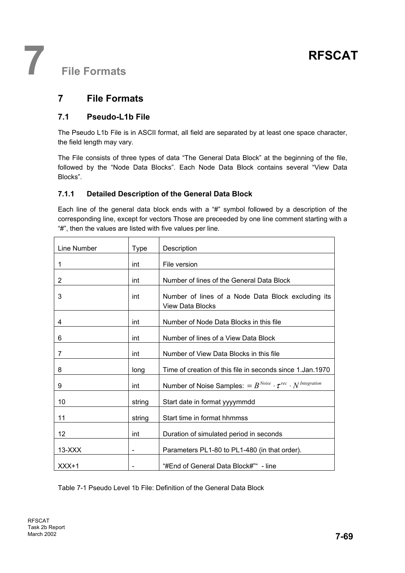**7 File Formats** 

### **7 File Formats**

#### **7.1 Pseudo-L1b File**

The Pseudo L1b File is in ASCII format, all field are separated by at least one space character, the field length may vary.

The File consists of three types of data "The General Data Block" at the beginning of the file, followed by the "Node Data Blocks". Each Node Data Block contains several "View Data Blocks".

#### **7.1.1 Detailed Description of the General Data Block**

Each line of the general data block ends with a "#" symbol followed by a description of the corresponding line, except for vectors Those are preceeded by one line comment starting with a "#", then the values are listed with five values per line.

| Line Number | <b>Type</b> | Description                                                                   |
|-------------|-------------|-------------------------------------------------------------------------------|
| 1           | int         | File version                                                                  |
| 2           | int         | Number of lines of the General Data Block                                     |
| 3           | int         | Number of lines of a Node Data Block excluding its<br><b>View Data Blocks</b> |
| 4           | int         | Number of Node Data Blocks in this file                                       |
| 6           | int         | Number of lines of a View Data Block                                          |
| 7           | int         | Number of View Data Blocks in this file                                       |
| 8           | long        | Time of creation of this file in seconds since 1. Jan. 1970                   |
| 9           | int         | Number of Noise Samples: = $B^{Noise} \cdot \tau^{rec} \cdot N^{Integration}$ |
| 10          | string      | Start date in format yyyymmdd                                                 |
| 11          | string      | Start time in format hhmmss                                                   |
| 12          | int         | Duration of simulated period in seconds                                       |
| $13-XXX$    |             | Parameters PL1-80 to PL1-480 (in that order).                                 |
| $XXX+1$     |             | "#End of General Data Block#" - line                                          |

Table 7-1 Pseudo Level 1b File: Definition of the General Data Block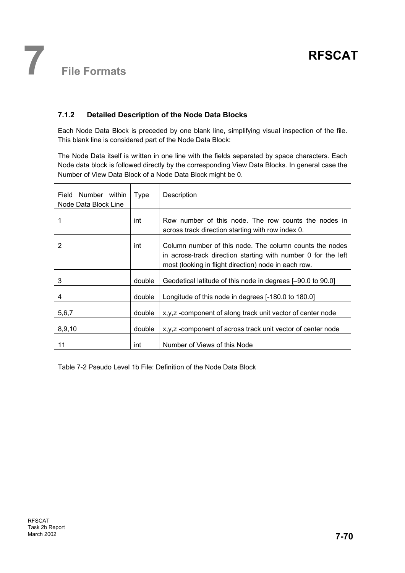#### **7.1.2 Detailed Description of the Node Data Blocks**

Each Node Data Block is preceded by one blank line, simplifying visual inspection of the file. This blank line is considered part of the Node Data Block:

The Node Data itself is written in one line with the fields separated by space characters. Each Node data block is followed directly by the corresponding View Data Blocks. In general case the Number of View Data Block of a Node Data Block might be 0.

| Number within<br>Field<br>Node Data Block Line | Type   | Description                                                                                                                                                                      |
|------------------------------------------------|--------|----------------------------------------------------------------------------------------------------------------------------------------------------------------------------------|
|                                                | int    | Row number of this node. The row counts the nodes in<br>across track direction starting with row index 0.                                                                        |
| 2                                              | int    | Column number of this node. The column counts the nodes<br>in across-track direction starting with number 0 for the left<br>most (looking in flight direction) node in each row. |
| 3                                              | double | Geodetical latitude of this node in degrees [-90.0 to 90.0]                                                                                                                      |
| 4                                              | double | Longitude of this node in degrees [-180.0 to 180.0]                                                                                                                              |
| 5,6,7                                          | double | x, y, z - component of along track unit vector of center node                                                                                                                    |
| 8,9,10                                         | double | x,y,z-component of across track unit vector of center node                                                                                                                       |
| 11                                             | int    | Number of Views of this Node                                                                                                                                                     |

Table 7-2 Pseudo Level 1b File: Definition of the Node Data Block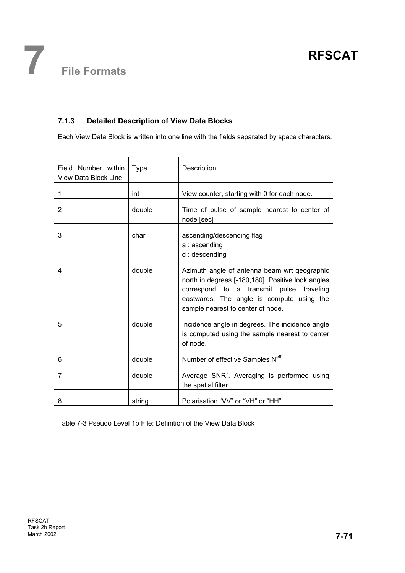#### **7.1.3 Detailed Description of View Data Blocks**

Each View Data Block is written into one line with the fields separated by space characters.

| Field Number within<br>View Data Block Line | Type   | Description                                                                                                                                                                                                                     |
|---------------------------------------------|--------|---------------------------------------------------------------------------------------------------------------------------------------------------------------------------------------------------------------------------------|
| 1                                           | int    | View counter, starting with 0 for each node.                                                                                                                                                                                    |
| 2                                           | double | Time of pulse of sample nearest to center of<br>node [sec]                                                                                                                                                                      |
| 3                                           | char   | ascending/descending flag<br>a: ascending<br>d: descending                                                                                                                                                                      |
| 4                                           | double | Azimuth angle of antenna beam wrt geographic<br>north in degrees [-180,180]. Positive look angles<br>correspond to a transmit pulse traveling<br>eastwards. The angle is compute using the<br>sample nearest to center of node. |
| 5                                           | double | Incidence angle in degrees. The incidence angle<br>is computed using the sample nearest to center<br>of node.                                                                                                                   |
| 6                                           | double | Number of effective Samples N <sup>eff</sup>                                                                                                                                                                                    |
| 7                                           | double | Average SNR'. Averaging is performed using<br>the spatial filter.                                                                                                                                                               |
| 8                                           | string | Polarisation "VV" or "VH" or "HH"                                                                                                                                                                                               |

Table 7-3 Pseudo Level 1b File: Definition of the View Data Block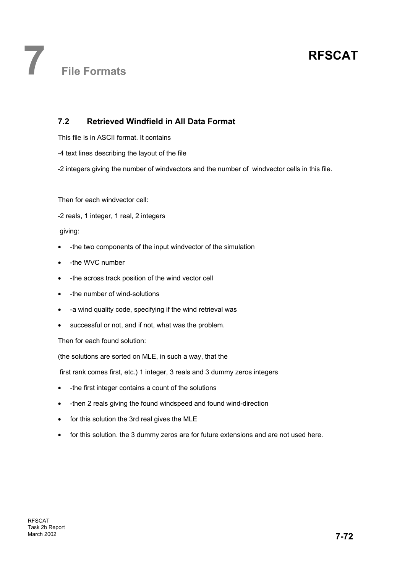#### **7.2 Retrieved Windfield in All Data Format**

This file is in ASCII format. It contains

- -4 text lines describing the layout of the file
- -2 integers giving the number of windvectors and the number of windvector cells in this file.

Then for each windvector cell:

-2 reals, 1 integer, 1 real, 2 integers

giving:

- -the two components of the input windvector of the simulation
- -the WVC number
- -the across track position of the wind vector cell
- -the number of wind-solutions
- -a wind quality code, specifying if the wind retrieval was
- successful or not, and if not, what was the problem.

Then for each found solution:

(the solutions are sorted on MLE, in such a way, that the

first rank comes first, etc.) 1 integer, 3 reals and 3 dummy zeros integers

- -the first integer contains a count of the solutions
- -then 2 reals giving the found windspeed and found wind-direction
- for this solution the 3rd real gives the MLE
- for this solution. the 3 dummy zeros are for future extensions and are not used here.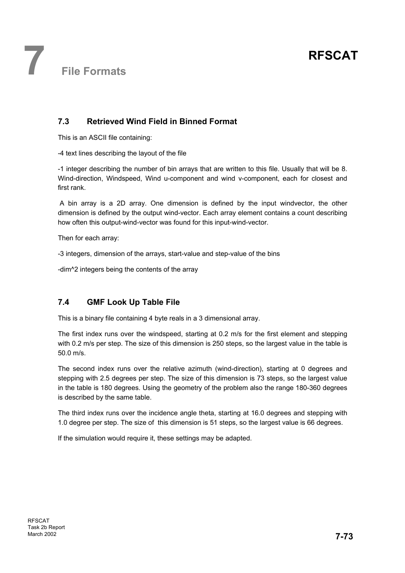**7 File Formats** 

#### **7.3 Retrieved Wind Field in Binned Format**

This is an ASCII file containing:

-4 text lines describing the layout of the file

-1 integer describing the number of bin arrays that are written to this file. Usually that will be 8. Wind-direction, Windspeed, Wind u-component and wind v-component, each for closest and first rank.

 A bin array is a 2D array. One dimension is defined by the input windvector, the other dimension is defined by the output wind-vector. Each array element contains a count describing how often this output-wind-vector was found for this input-wind-vector.

Then for each array:

-3 integers, dimension of the arrays, start-value and step-value of the bins

-dim^2 integers being the contents of the array

#### **7.4 GMF Look Up Table File**

This is a binary file containing 4 byte reals in a 3 dimensional array.

The first index runs over the windspeed, starting at 0.2 m/s for the first element and stepping with 0.2 m/s per step. The size of this dimension is 250 steps, so the largest value in the table is 50.0 m/s.

The second index runs over the relative azimuth (wind-direction), starting at 0 degrees and stepping with 2.5 degrees per step. The size of this dimension is 73 steps, so the largest value in the table is 180 degrees. Using the geometry of the problem also the range 180-360 degrees is described by the same table.

The third index runs over the incidence angle theta, starting at 16.0 degrees and stepping with 1.0 degree per step. The size of this dimension is 51 steps, so the largest value is 66 degrees.

If the simulation would require it, these settings may be adapted.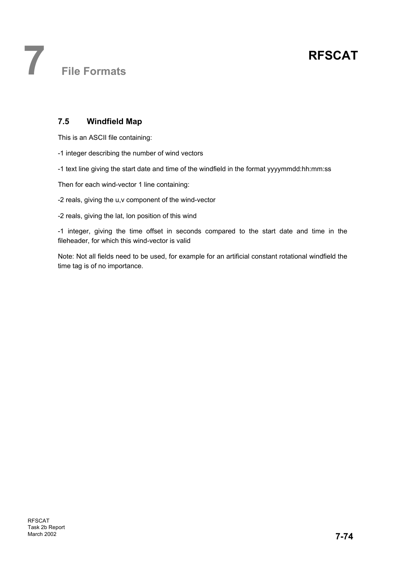**7 File Formats** 

#### **7.5 Windfield Map**

This is an ASCII file containing:

- -1 integer describing the number of wind vectors
- -1 text line giving the start date and time of the windfield in the format yyyymmdd:hh:mm:ss

Then for each wind-vector 1 line containing:

- -2 reals, giving the u,v component of the wind-vector
- -2 reals, giving the lat, lon position of this wind

-1 integer, giving the time offset in seconds compared to the start date and time in the fileheader, for which this wind-vector is valid

Note: Not all fields need to be used, for example for an artificial constant rotational windfield the time tag is of no importance.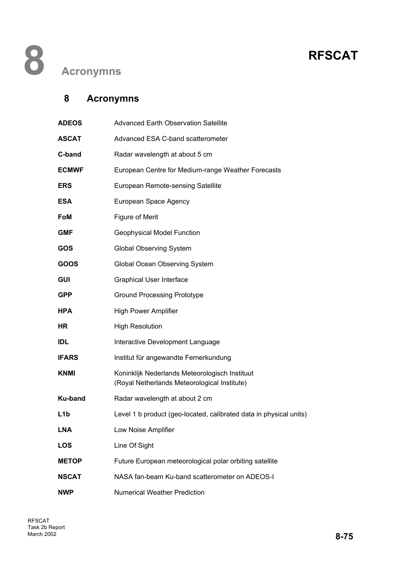### **8 Acronymns**

| <b>ADEOS</b>     | <b>Advanced Earth Observation Satellite</b>                                                    |
|------------------|------------------------------------------------------------------------------------------------|
| <b>ASCAT</b>     | Advanced ESA C-band scatterometer                                                              |
| C-band           | Radar wavelength at about 5 cm                                                                 |
| <b>ECMWF</b>     | European Centre for Medium-range Weather Forecasts                                             |
| <b>ERS</b>       | European Remote-sensing Satellite                                                              |
| <b>ESA</b>       | European Space Agency                                                                          |
| <b>FoM</b>       | <b>Figure of Merit</b>                                                                         |
| <b>GMF</b>       | <b>Geophysical Model Function</b>                                                              |
| GOS              | <b>Global Observing System</b>                                                                 |
| GOOS             | Global Ocean Observing System                                                                  |
| <b>GUI</b>       | <b>Graphical User Interface</b>                                                                |
| <b>GPP</b>       | <b>Ground Processing Prototype</b>                                                             |
| <b>HPA</b>       | <b>High Power Amplifier</b>                                                                    |
| <b>HR</b>        | <b>High Resolution</b>                                                                         |
| <b>IDL</b>       | Interactive Development Language                                                               |
| <b>IFARS</b>     | Institut für angewandte Fernerkundung                                                          |
| <b>KNMI</b>      | Koninklijk Nederlands Meteorologisch Instituut<br>(Royal Netherlands Meteorological Institute) |
| Ku-band          | Radar wavelength at about 2 cm                                                                 |
| L <sub>1</sub> b | Level 1 b product (geo-located, calibrated data in physical units)                             |
| <b>LNA</b>       | Low Noise Amplifier                                                                            |
| <b>LOS</b>       | Line Of Sight                                                                                  |
| <b>METOP</b>     | Future European meteorological polar orbiting satellite                                        |
| <b>NSCAT</b>     | NASA fan-beam Ku-band scatterometer on ADEOS-I                                                 |
| <b>NWP</b>       | <b>Numerical Weather Prediction</b>                                                            |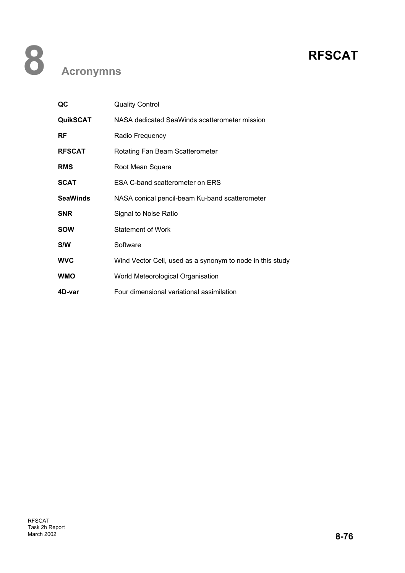| QC              | <b>Quality Control</b>                                    |
|-----------------|-----------------------------------------------------------|
| <b>QuikSCAT</b> | NASA dedicated SeaWinds scatterometer mission             |
| <b>RF</b>       | Radio Frequency                                           |
| <b>RFSCAT</b>   | Rotating Fan Beam Scatterometer                           |
| <b>RMS</b>      | Root Mean Square                                          |
| <b>SCAT</b>     | ESA C-band scatterometer on ERS                           |
| <b>SeaWinds</b> | NASA conical pencil-beam Ku-band scatterometer            |
| <b>SNR</b>      | Signal to Noise Ratio                                     |
| <b>SOW</b>      | <b>Statement of Work</b>                                  |
| S/W             | Software                                                  |
| <b>WVC</b>      | Wind Vector Cell, used as a synonym to node in this study |
| <b>WMO</b>      | World Meteorological Organisation                         |
| 4D-var          | Four dimensional variational assimilation                 |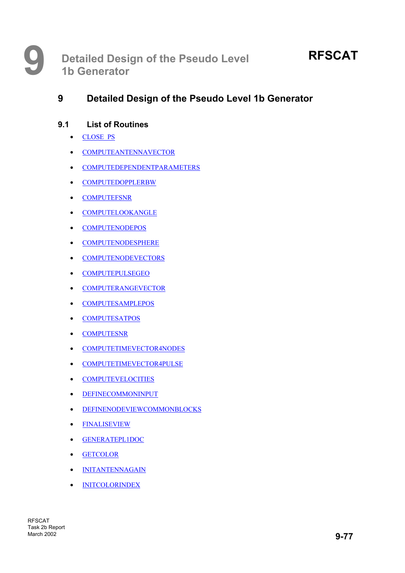#### **9.1 List of Routines**

- CLOSE\_PS
- COMPUTEANTENNAVECTOR
- COMPUTEDEPENDENTPARAMETERS
- COMPUTEDOPPLERBW
- COMPUTEFSNR
- COMPUTELOOKANGLE
- COMPUTENODEPOS
- COMPUTENODESPHERE
- COMPUTENODEVECTORS
- COMPUTEPULSEGEO
- COMPUTERANGEVECTOR
- COMPUTESAMPLEPOS
- COMPUTESATPOS
- COMPUTESNR
- COMPUTETIMEVECTOR4NODES
- COMPUTETIMEVECTOR4PULSE
- COMPUTEVELOCITIES
- DEFINECOMMONINPUT
- DEFINENODEVIEWCOMMONBLOCKS
- FINALISEVIEW
- GENERATEPL1DOC
- GETCOLOR
- INITANTENNAGAIN
- INITCOLORINDEX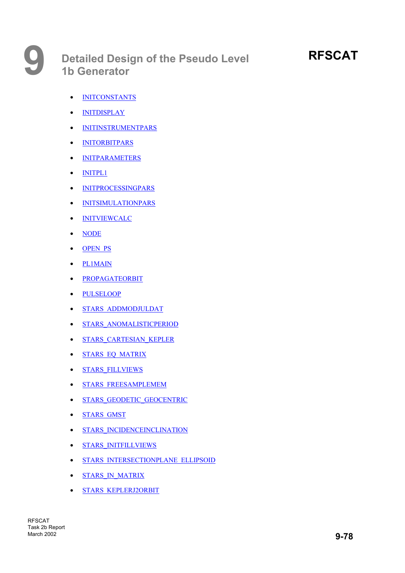# **RFSCAT**

- INITCONSTANTS
- INITDISPLAY
- INITINSTRUMENTPARS
- INITORBITPARS
- INITPARAMETERS
- INITPL1
- INITPROCESSINGPARS
- INITSIMULATIONPARS
- INITVIEWCALC
- NODE
- OPEN PS
- PL1MAIN
- PROPAGATEORBIT
- PULSELOOP
- STARS\_ADDMODJULDAT
- STARS\_ANOMALISTICPERIOD
- STARS CARTESIAN KEPLER
- **STARS EQ MATRIX**
- STARS\_FILLVIEWS
- STARS\_FREESAMPLEMEM
- STARS\_GEODETIC\_GEOCENTRIC
- STARS\_GMST
- STARS\_INCIDENCEINCLINATION
- STARS\_INITFILLVIEWS
- STARS\_INTERSECTIONPLANE\_ELLIPSOID
- **STARS IN MATRIX**
- STARS\_KEPLERJ2ORBIT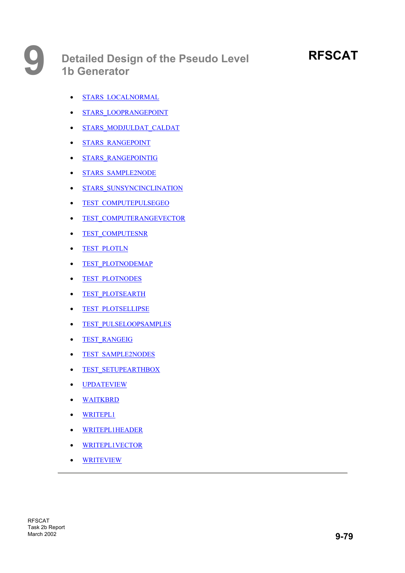# **RFSCAT**

- STARS\_LOCALNORMAL
- STARS\_LOOPRANGEPOINT
- STARS MODJULDAT CALDAT
- STARS RANGEPOINT
- STARS\_RANGEPOINTIG
- STARS\_SAMPLE2NODE
- STARS SUNSYNCINCLINATION
- TEST\_COMPUTEPULSEGEO
- **TEST COMPUTERANGEVECTOR**
- TEST\_COMPUTESNR
- TEST\_PLOTLN
- TEST PLOTNODEMAP
- TEST\_PLOTNODES
- TEST\_PLOTSEARTH
- TEST\_PLOTSELLIPSE
- TEST\_PULSELOOPSAMPLES
- TEST\_RANGEIG
- TEST\_SAMPLE2NODES
- TEST\_SETUPEARTHBOX
- UPDATEVIEW
- WAITKBRD
- WRITEPL1
- WRITEPL1HEADER
- WRITEPL1VECTOR
- WRITEVIEW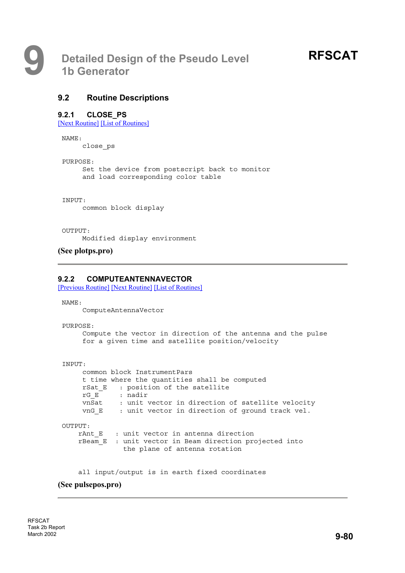#### **9.2 Routine Descriptions**

#### **9.2.1 CLOSE\_PS**

[Next Routine] [List of Routines]

NAME:

close\_ps

PURPOSE:

Set the device from postscript back to monitor and load corresponding color table

INPUT:

common block display

OUTPUT:

Modified display environment

**(See plotps.pro)**

#### **9.2.2 COMPUTEANTENNAVECTOR**

[Previous Routine] [Next Routine] [List of Routines]

NAME:

ComputeAntennaVector

PURPOSE:

Compute the vector in direction of the antenna and the pulse for a given time and satellite position/velocity

```
INPUT:
```
common block InstrumentPars t time where the quantities shall be computed rSat E : position of the satellite rG\_E : nadir vnSat : unit vector in direction of satellite velocity vnG E : unit vector in direction of ground track vel.

OUTPUT:

rAnt E : unit vector in antenna direction rBeam\_E : unit vector in Beam direction projected into the plane of antenna rotation

all input/output is in earth fixed coordinates

#### **(See pulsepos.pro)**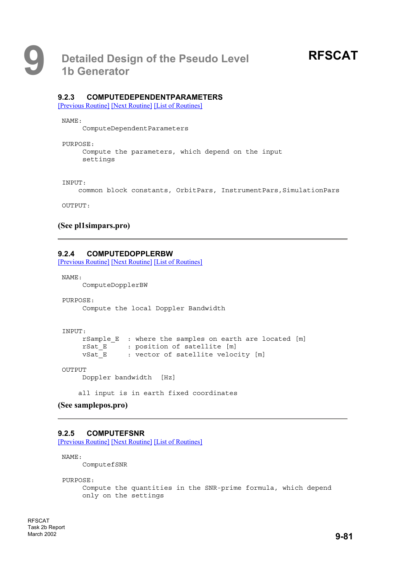#### **9.2.3 COMPUTEDEPENDENTPARAMETERS**

[Previous Routine] [Next Routine] [List of Routines]

NAME:

ComputeDependentParameters

PURPOSE:

Compute the parameters, which depend on the input settings

INPUT:

common block constants, OrbitPars, InstrumentPars, SimulationPars

OUTPUT:

#### **(See pl1simpars.pro)**

#### **9.2.4 COMPUTEDOPPLERBW**

[Previous Routine] [Next Routine] [List of Routines]

NAME:

ComputeDopplerBW

PURPOSE: Compute the local Doppler Bandwidth

```
INPUT:
    rSample_E : where the samples on earth are located [m]
    rSat E : position of satellite [m]
    vSat_E : vector of satellite velocity [m]
```
OUTPUT

Doppler bandwidth [Hz]

all input is in earth fixed coordinates

#### **(See samplepos.pro)**

#### **9.2.5 COMPUTEFSNR**

[Previous Routine] [Next Routine] [List of Routines]

NAME:

ComputefSNR

PURPOSE:

```
Compute the quantities in the SNR-prime formula, which depend
only on the settings
```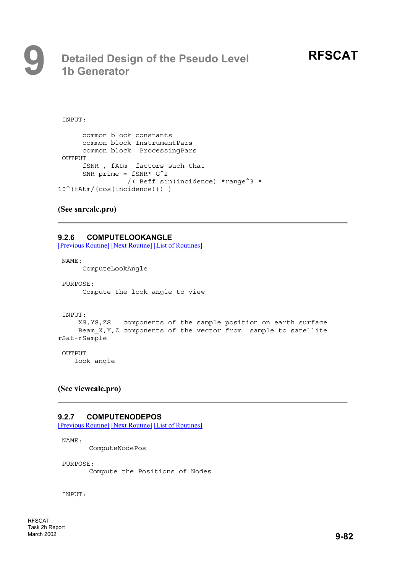# **9 Detailed Design of the Pseudo Level 1b Generator**

INPUT:

```
common block constants
      common block InstrumentPars
     common block ProcessingPars
OUTPUT
      fSNR , fAtm factors such that
      SNR-prime = fSNR* G^2/( Beff sin(incidence) *range^3 *
10^(fAtm/(cos(incidence))) )
```
#### **(See snrcalc.pro)**

#### **9.2.6 COMPUTELOOKANGLE**

[Previous Routine] [Next Routine] [List of Routines]

NAME:

ComputeLookAngle

PURPOSE: Compute the look angle to view

INPUT:

```
XS,YS,ZS components of the sample position on earth surface
    Beam X, Y, Z components of the vector from sample to satellite
rSat-rSample
```
OUTPUT

look angle

#### **(See viewcalc.pro)**

#### **9.2.7 COMPUTENODEPOS**

[Previous Routine] [Next Routine] [List of Routines]

NAME:

ComputeNodePos

PURPOSE:

Compute the Positions of Nodes

INPUT: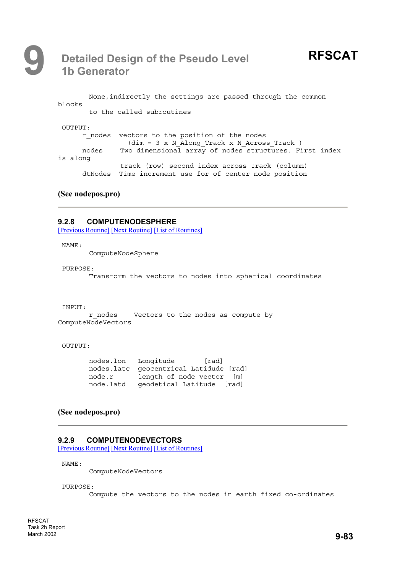# **9 Detailed Design of the Pseudo Level 1b Generator**

```
None,indirectly the settings are passed through the common
blocks
       to the called subroutines
OUTPUT:
      r nodes vectors to the position of the nodes
               (dim = 3 x N_Along_Track x N_Across_Track )
     nodes Two dimensional array of nodes structures. First index
is along
              track (row) second index across track (column)
      dtNodes Time increment use for of center node position
```
#### **(See nodepos.pro)**

#### **9.2.8 COMPUTENODESPHERE**

[Previous Routine] [Next Routine] [List of Routines]

NAME:

ComputeNodeSphere

#### PURPOSE:

Transform the vectors to nodes into spherical coordinates

#### INPUT:

r nodes Vectors to the nodes as compute by ComputeNodeVectors

#### OUTPUT:

| nodes.lon  | Longitude | [rad]                       |
|------------|-----------|-----------------------------|
| nodes.latc |           | qeocentrical Latidude [rad] |
| node.r     |           | length of node vector [m]   |
| node.latd  |           | qeodetical Latitude [rad]   |

#### **(See nodepos.pro)**

#### **9.2.9 COMPUTENODEVECTORS**

[Previous Routine] [Next Routine] [List of Routines]

NAME:

ComputeNodeVectors

PURPOSE:

Compute the vectors to the nodes in earth fixed co-ordinates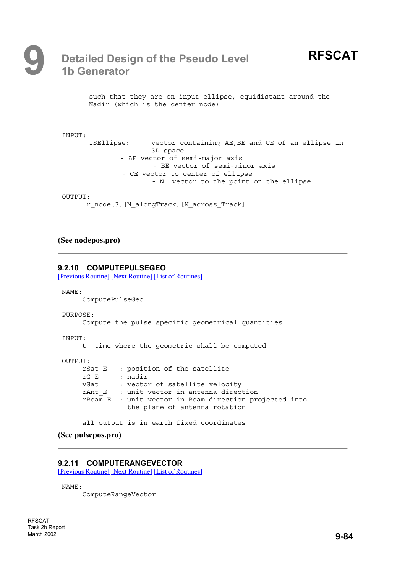such that they are on input ellipse, equidistant around the Nadir (which is the center node)

```
INPUT:
      ISEllipse: vector containing AE,BE and CE of an ellipse in
                     3D space
              - AE vector of semi-major axis
                     - BE vector of semi-minor axis
              - CE vector to center of ellipse
                     - N vector to the point on the ellipse
```
#### OUTPUT:

```
r_node[3][N_alongTrack][N_across_Track]
```
#### **(See nodepos.pro)**

#### **9.2.10 COMPUTEPULSEGEO**

[Previous Routine] [Next Routine] [List of Routines]

NAME:

ComputePulseGeo

PURPOSE:

Compute the pulse specific geometrical quantities

INPUT:

t time where the geometrie shall be computed

OUTPUT:

```
rSat E : position of the satellite
rG_E : nadir
vSat : vector of satellite velocity
rAnt E : unit vector in antenna direction
rBeam_E : unit vector in Beam direction projected into
          the plane of antenna rotation
```
all output is in earth fixed coordinates

```
(See pulsepos.pro)
```
#### **9.2.11 COMPUTERANGEVECTOR**

[Previous Routine] [Next Routine] [List of Routines]

NAME:

ComputeRangeVector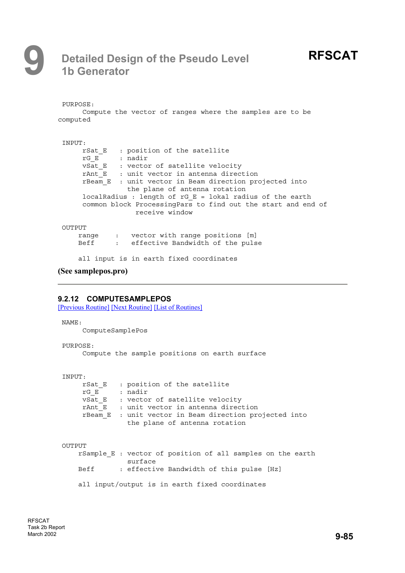# **9 Detailed Design of the Pseudo Level 1b Generator**

```
PURPOSE:
     Compute the vector of ranges where the samples are to be
computed
INPUT:
     rSat E : position of the satellite
     rG_E : nadir
     vSat E : vector of satellite velocity
     rAnt E : unit vector in antenna direction
     rBeam_E : unit vector in Beam direction projected into
                the plane of antenna rotation
     localRadius : length of rG_E = lokal radius of the earth
     common block ProcessingPars to find out the start and end of
                 receive window
OUTPUT
    range : vector with range positions [m]
    Beff : effective Bandwidth of the pulse
    all input is in earth fixed coordinates
(See samplepos.pro)
```
#### **9.2.12 COMPUTESAMPLEPOS**

[Previous Routine] [Next Routine] [List of Routines]

NAME:

ComputeSamplePos

PURPOSE:

Compute the sample positions on earth surface

```
INPUT:
```
rSat E : position of the satellite  $rG E$  : nadir  $v$ Sat E : vector of satellite velocity  $rAnt\bar{E}$  : unit vector in antenna direction rBeam\_E : unit vector in Beam direction projected into the plane of antenna rotation

```
OUTPUT
```
rSample\_E : vector of position of all samples on the earth surface Beff : effective Bandwidth of this pulse [Hz] all input/output is in earth fixed coordinates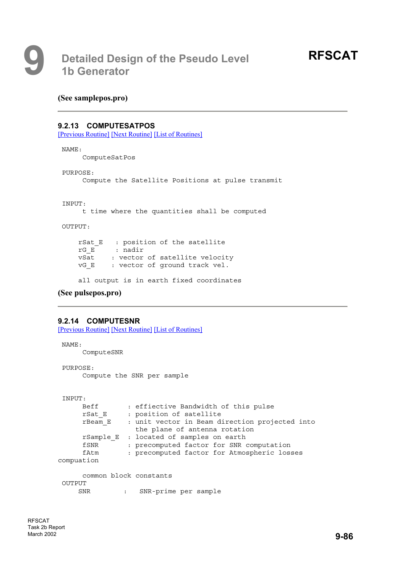#### **(See samplepos.pro)**

#### **9.2.13 COMPUTESATPOS**

[Previous Routine] [Next Routine] [List of Routines]

```
NAME:
```
ComputeSatPos

```
PURPOSE:
```
Compute the Satellite Positions at pulse transmit

INPUT:

t time where the quantities shall be computed

OUTPUT:

```
rSat E : position of the satellite
rG_E : nadir
vSat : vector of satellite velocity
vG E : vector of ground track vel.
```
all output is in earth fixed coordinates

```
(See pulsepos.pro)
```
#### **9.2.14 COMPUTESNR**

[Previous Routine] [Next Routine] [List of Routines]

```
NAME:
     ComputeSNR
PURPOSE:
     Compute the SNR per sample
INPUT:
     Beff : effiective Bandwidth of this pulse
     rSat E : position of satellite
     rBeam_E : unit vector in Beam direction projected into
                the plane of antenna rotation
     rSample_E : located of samples on earth
     fSNR : precomputed factor for SNR computation
     fAtm : precomputed factor for Atmospheric losses
compuation
     common block constants
OUTPUT
    SNR : SNR-prime per sample
```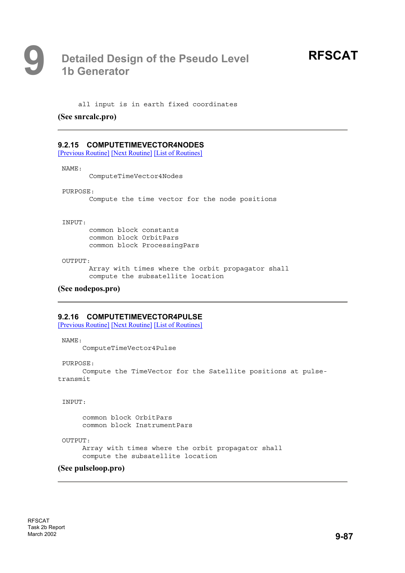all input is in earth fixed coordinates

#### **(See snrcalc.pro)**

#### **9.2.15 COMPUTETIMEVECTOR4NODES**

[Previous Routine] [Next Routine] [List of Routines]

NAME:

ComputeTimeVector4Nodes

#### PURPOSE:

Compute the time vector for the node positions

#### INPUT:

common block constants common block OrbitPars common block ProcessingPars

#### $O$ UTPUT:

Array with times where the orbit propagator shall compute the subsatellite location

#### **(See nodepos.pro)**

#### **9.2.16 COMPUTETIMEVECTOR4PULSE**

[Previous Routine] [Next Routine] [List of Routines]

NAME:

ComputeTimeVector4Pulse

PURPOSE:

Compute the TimeVector for the Satellite positions at pulsetransmit

INPUT:

common block OrbitPars common block InstrumentPars

OUTPUT:

Array with times where the orbit propagator shall compute the subsatellite location

#### **(See pulseloop.pro)**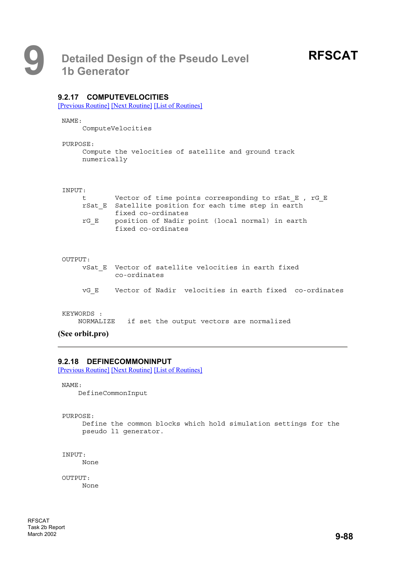#### **9.2.17 COMPUTEVELOCITIES**

[Previous Routine] [Next Routine] [List of Routines]

NAME:

ComputeVelocities

#### PURPOSE:

```
Compute the velocities of satellite and ground track
numerically
```
#### INPUT:

| t t  | Vector of time points corresponding to rSat E, rG E   |
|------|-------------------------------------------------------|
|      | rSat E Satellite position for each time step in earth |
|      | fixed co-ordinates                                    |
| rG E | position of Nadir point (local normal) in earth       |
|      | fixed co-ordinates                                    |

#### OUTPUT:

- vSat\_E Vector of satellite velocities in earth fixed co-ordinates
- vG\_E Vector of Nadir velocities in earth fixed co-ordinates

#### KEYWORDS :

NORMALIZE if set the output vectors are normalized

#### **(See orbit.pro)**

#### **9.2.18 DEFINECOMMONINPUT**

[Previous Routine] [Next Routine] [List of Routines]

```
NAME:
```
DefineCommonInput

PURPOSE:

Define the common blocks which hold simulation settings for the pseudo l1 generator.

INPUT: None

OUTPUT: None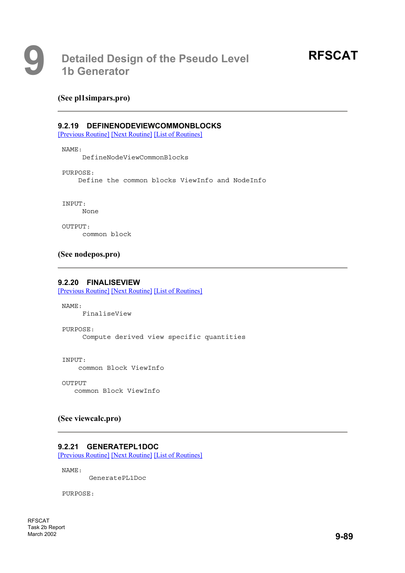#### **(See pl1simpars.pro)**

#### **9.2.19 DEFINENODEVIEWCOMMONBLOCKS**

[Previous Routine] [Next Routine] [List of Routines]

#### NAME:

DefineNodeViewCommonBlocks

PURPOSE:

Define the common blocks ViewInfo and NodeInfo

INPUT:

None

OUTPUT: common block

#### **(See nodepos.pro)**

#### **9.2.20 FINALISEVIEW**

[Previous Routine] [Next Routine] [List of Routines]

NAME:

FinaliseView

PURPOSE:

Compute derived view specific quantities

INPUT:

common Block ViewInfo

OUTPUT common Block ViewInfo

#### **(See viewcalc.pro)**

#### **9.2.21 GENERATEPL1DOC**

[Previous Routine] [Next Routine] [List of Routines]

NAME:

GeneratePL1Doc

PURPOSE:

RFSCAT Task 2b Report March 2002 **9-89**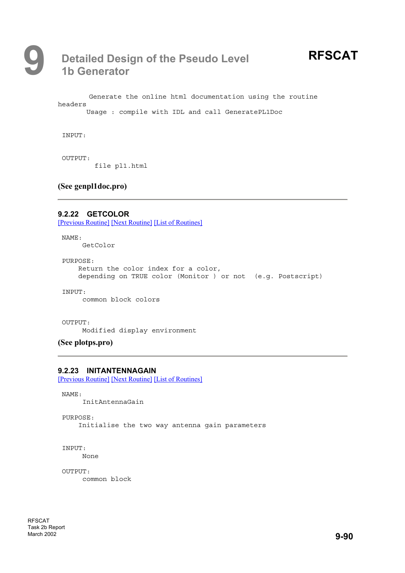

Generate the online html documentation using the routine headers Usage : compile with IDL and call GeneratePL1Doc

INPUT:

OUTPUT: file pl1.html

**(See genpl1doc.pro)**

**9.2.22 GETCOLOR**  [Previous Routine] [Next Routine] [List of Routines]

NAME: GetColor

PURPOSE: Return the color index for a color, depending on TRUE color (Monitor ) or not (e.g. Postscript)

INPUT:

common block colors

OUTPUT:

Modified display environment

**(See plotps.pro)**

#### **9.2.23 INITANTENNAGAIN**

[Previous Routine] [Next Routine] [List of Routines]

NAME: InitAntennaGain

PURPOSE: Initialise the two way antenna gain parameters

INPUT:

None

OUTPUT: common block

RFSCAT Task 2b Report March 2002 **9-90**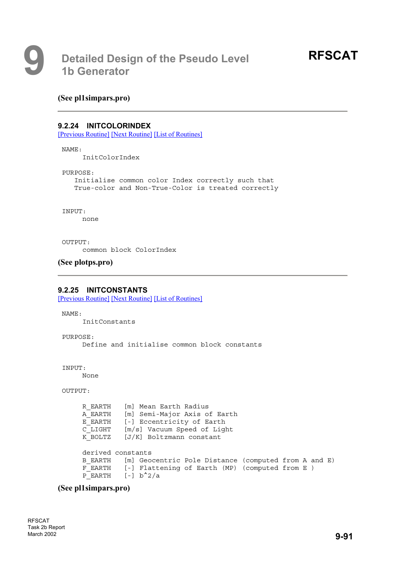#### **(See pl1simpars.pro)**

#### **9.2.24 INITCOLORINDEX**

[Previous Routine] [Next Routine] [List of Routines]

#### NAME:

InitColorIndex

PURPOSE:

Initialise common color Index correctly such that True-color and Non-True-Color is treated correctly

INPUT:

none

OUTPUT:

common block ColorIndex

#### **(See plotps.pro)**

#### **9.2.25 INITCONSTANTS**

[Previous Routine] [Next Routine] [List of Routines]

NAME:

InitConstants

PURPOSE:

Define and initialise common block constants

INPUT:

None

```
OUTPUT:
```

```
R_EARTH [m] Mean Earth Radius
A_EARTH [m] Semi-Major Axis of Earth
E_EARTH [-] Eccentricity of Earth
C_LIGHT [m/s] Vacuum Speed of Light
K BOLTZ [J/K] Boltzmann constant
derived constants
B EARTH [m] Geocentric Pole Distance (computed from A and E)
F EARTH [-] Flattening of Earth (MP) (computed from E )
P_EARTH [-] b<sup>^2</sup>/a
```
#### **(See pl1simpars.pro)**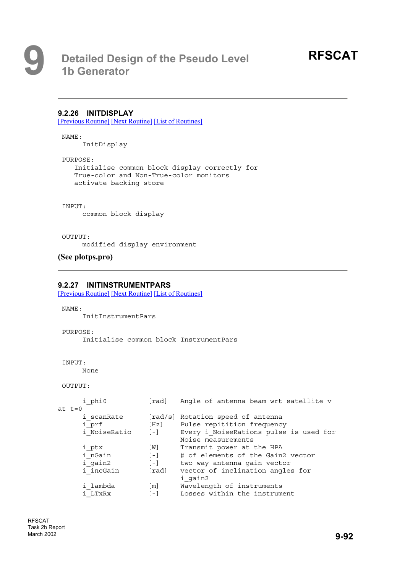#### **9.2.26 INITDISPLAY**

[Previous Routine] [Next Routine] [List of Routines]

NAME:

InitDisplay

PURPOSE:

```
Initialise common block display correctly for
True-color and Non-True-color monitors
activate backing store
```
INPUT:

common block display

#### OUTPUT:

modified display environment

```
(See plotps.pro)
```
#### **9.2.27 INITINSTRUMENTPARS**

[Previous Routine] [Next Routine] [List of Routines]

NAME:

InitInstrumentPars

PURPOSE:

Initialise common block InstrumentPars

```
INPUT:
```
None

```
OUTPUT:
```

| i phi0       | [rad]             | Angle of antenna beam wrt satellite v  |
|--------------|-------------------|----------------------------------------|
| at $t=0$     |                   |                                        |
| i scanRate   |                   | [rad/s] Rotation speed of antenna      |
| i prf        | [Hz]              | Pulse repitition frequency             |
| i NoiseRatio | $[-1]$            | Every i NoiseRations pulse is used for |
|              |                   | Noise measurements                     |
| i ptx        | $\lceil W \rceil$ | Transmit power at the HPA              |
| i nGain      | $[-1]$            | # of elements of the Gain2 vector      |
| i gain2      | $[-1]$            | two way antenna gain vector            |
| i incGain    | [rad]             | vector of inclination angles for       |
|              |                   | i gain2                                |
| i lambda     | $\lceil m \rceil$ | Wavelength of instruments              |
| i LTxRx      | $[-1]$            | Losses within the instrument           |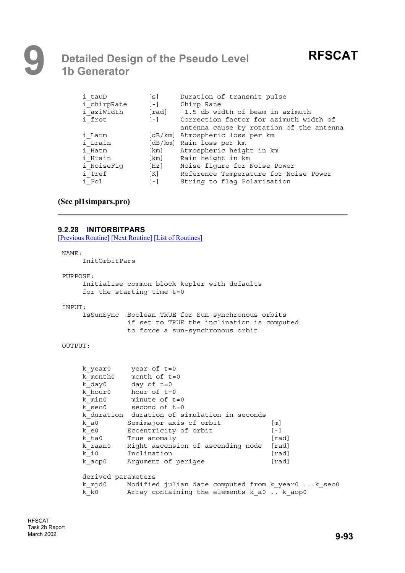| Duration of transmit pulse               |
|------------------------------------------|
| Chirp Rate                               |
| [rad] -1.5 db width of beam in azimuth   |
| Correction factor for azimuth width of   |
| antenna cause by rotation of the antenna |
| [dB/km] Atmospheric loss per km          |
| [dB/km] Rain loss per km                 |
| Atmospheric height in km                 |
| Rain height in km                        |
| Noise figure for Noise Power             |
| Reference Temperature for Noise Power    |
| String to flag Polarisation              |
|                                          |

#### **(See pl1simpars.pro)**

#### **9.2.28 INITORBITPARS**

[Previous Routine] [Next Routine] [List of Routines]

#### NAME:

InitOrbitPars

#### PURPOSE:

```
Initialise common block kepler with defaults
for the starting time t=0
```
#### INPUT:

IsSunSync Boolean TRUE for Sun synchronous orbits if set to TRUE the inclination is computed to force a sun-synchronous orbit

#### OUTPUT:

| k year0            | year of $t=0$                                     |                   |
|--------------------|---------------------------------------------------|-------------------|
|                    | k month $0$ month of $t=0$                        |                   |
| k day0             | day of t=0                                        |                   |
|                    | $k$ hour of $t=0$                                 |                   |
| k min0             | minute of t=0                                     |                   |
|                    | $k \text{ sec0}$ second of $t=0$                  |                   |
|                    | k duration duration of simulation in seconds      |                   |
| k a0               | Semimajor axis of orbit                           | $\lceil m \rceil$ |
| k e0               | Eccentricity of orbit                             | $[-1]$            |
| k ta0              | True anomaly                                      | [rad]             |
| k raan0            | Right ascension of ascending node [rad]           |                   |
| k i0               | Inclination                                       | [rad]             |
| k aop0             | Arqument of perigee                               | [rad]             |
| derived parameters |                                                   |                   |
| k mjd0             | Modified julian date computed from k year0 k sec0 |                   |
| k k0               | Array containing the elements k a0 k aop0         |                   |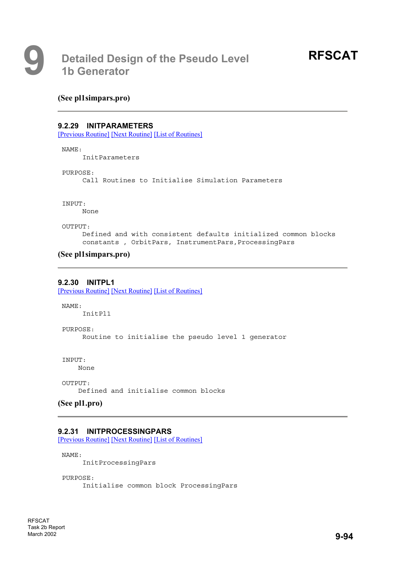#### **(See pl1simpars.pro)**

#### **9.2.29 INITPARAMETERS**

[Previous Routine] [Next Routine] [List of Routines]

#### NAME:

InitParameters

PURPOSE:

Call Routines to Initialise Simulation Parameters

INPUT:

None

OUTPUT:

Defined and with consistent defaults initialized common blocks constants, OrbitPars, InstrumentPars, ProcessingPars

#### **(See pl1simpars.pro)**

#### **9.2.30 INITPL1**

[Previous Routine] [Next Routine] [List of Routines]

NAME:

InitPl1

PURPOSE: Routine to initialise the pseudo level 1 generator

INPUT:

None

OUTPUT: Defined and initialise common blocks

**(See pl1.pro)**

#### **9.2.31 INITPROCESSINGPARS**

[Previous Routine] [Next Routine] [List of Routines]

NAME: InitProcessingPars

PURPOSE: Initialise common block ProcessingPars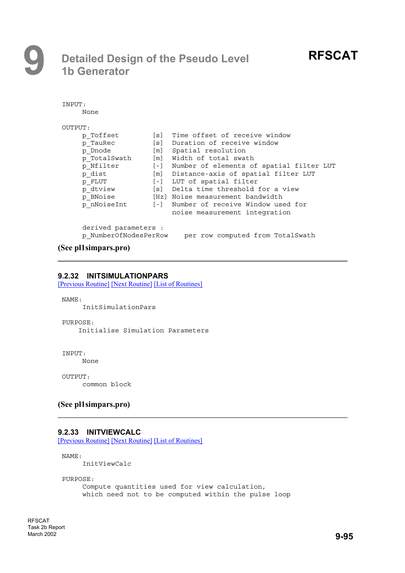# **9 Detailed Design of the Pseudo Level 1b Generator**

| INPUT:  |                      |       |                                          |
|---------|----------------------|-------|------------------------------------------|
| None    |                      |       |                                          |
|         |                      |       |                                          |
| OUTPUT: |                      |       |                                          |
|         | p Toffset            |       | [s] Time offset of receive window        |
|         | p TauRec             |       | [s] Duration of receive window           |
|         | p Dnode              |       | [m] Spatial resolution                   |
|         | p TotalSwath         |       | [m] Width of total swath                 |
|         | p Nfilter            | $[-]$ | Number of elements of spatial filter LUT |
|         | p dist               |       | [m] Distance-axis of spatial filter LUT  |
|         | p FLUT               | $[-]$ | LUT of spatial filter                    |
|         | p dtview             |       | [s] Delta time threshold for a view      |
|         | p BNoise             |       | [Hz] Noise measurement bandwidth         |
|         | p nNoiseInt          |       | [-] Number of receive Window used for    |
|         |                      |       | noise measurement integration            |
|         |                      |       |                                          |
|         | derived parameters : |       |                                          |
| D       | NumberOfNodesPerRow  |       | per row computed from TotalSwath         |

#### **(See pl1simpars.pro)**

#### **9.2.32 INITSIMULATIONPARS**

[Previous Routine] [Next Routine] [List of Routines]

NAME: InitSimulationPars

PURPOSE: Initialise Simulation Parameters

#### INPUT:

None

OUTPUT: common block

#### **(See pl1simpars.pro)**

#### **9.2.33 INITVIEWCALC**

[Previous Routine] [Next Routine] [List of Routines]

NAME:

InitViewCalc

PURPOSE:

Compute quantities used for view calculation, which need not to be computed within the pulse loop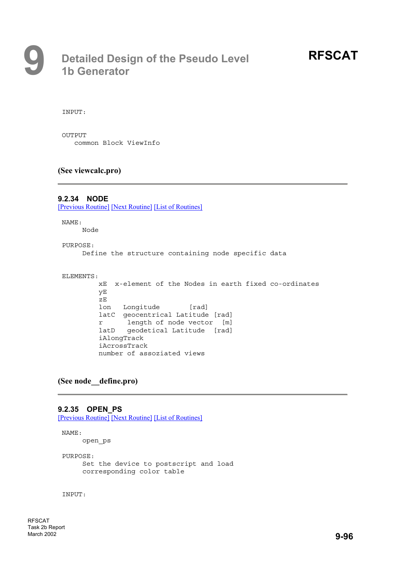INPUT:

OUTPUT common Block ViewInfo

#### **(See viewcalc.pro)**

#### **9.2.34 NODE**

[Previous Routine] [Next Routine] [List of Routines]

NAME:

Node

#### PURPOSE:

Define the structure containing node specific data

#### ELEMENTS:

```
xE x-element of the Nodes in earth fixed co-ordinates
yE
zE
lon Longitude [rad]
latC geocentrical Latitude [rad]
r length of node vector [m]
latD geodetical Latitude [rad]
iAlongTrack
iAcrossTrack
number of assoziated views
```
#### **(See node\_\_define.pro)**

#### **9.2.35 OPEN\_PS**

[Previous Routine] [Next Routine] [List of Routines]

#### NAME:

open\_ps

PURPOSE: Set the device to postscript and load corresponding color table

INPUT: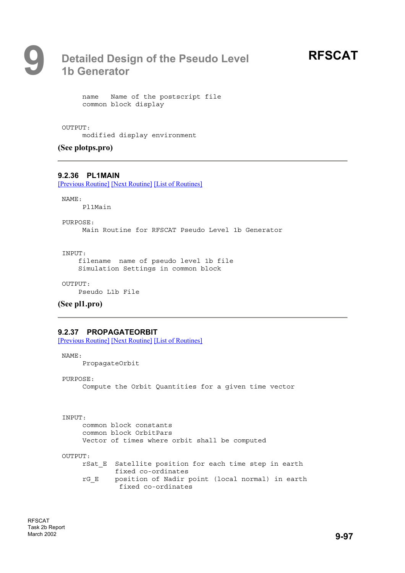

name Name of the postscript file common block display

#### OUTPUT:

modified display environment

**(See plotps.pro)**

#### **9.2.36 PL1MAIN**

[Previous Routine] [Next Routine] [List of Routines]

NAME:

Pl1Main

PURPOSE:

Main Routine for RFSCAT Pseudo Level 1b Generator

INPUT:

filename name of pseudo level 1b file Simulation Settings in common block

OUTPUT:

Pseudo L1b File

**(See pl1.pro)**

#### **9.2.37 PROPAGATEORBIT**

[Previous Routine] [Next Routine] [List of Routines]

NAME:

PropagateOrbit

PURPOSE:

Compute the Orbit Quantities for a given time vector

INPUT:

common block constants common block OrbitPars Vector of times where orbit shall be computed OUTPUT:

rSat E Satellite position for each time step in earth fixed co-ordinates rG\_E position of Nadir point (local normal) in earth fixed co-ordinates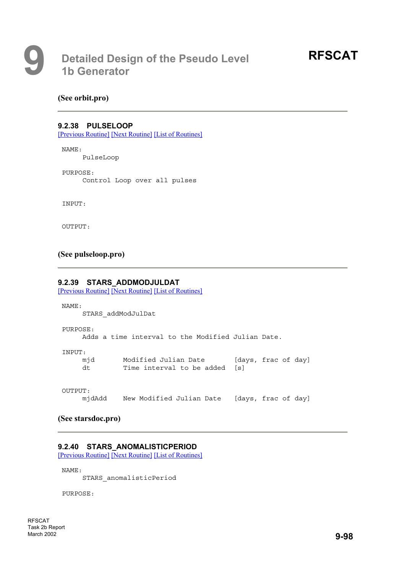#### **(See orbit.pro)**

#### **9.2.38 PULSELOOP**

[Previous Routine] [Next Routine] [List of Routines]

NAME:

PulseLoop

PURPOSE: Control Loop over all pulses

INPUT:

OUTPUT:

#### **(See pulseloop.pro)**

#### **9.2.39 STARS\_ADDMODJULDAT**

[Previous Routine] [Next Routine] [List of Routines]

NAME:

STARS\_addModJulDat

PURPOSE:

Adds a time interval to the Modified Julian Date.

INPUT:

| mid | Modified Julian Date          | [days, frac of day] |
|-----|-------------------------------|---------------------|
| dt  | Time interval to be added [s] |                     |

OUTPUT:

mjdAdd New Modified Julian Date [days, frac of day]

**(See starsdoc.pro)**

#### **9.2.40 STARS\_ANOMALISTICPERIOD**

[Previous Routine] [Next Routine] [List of Routines]

NAME:

STARS\_anomalisticPeriod

PURPOSE: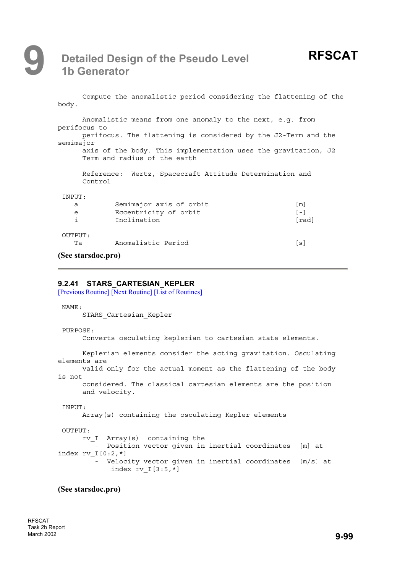## **9 Detailed Design of the Pseudo Level 1b Generator**

| body.                  | Compute the anomalistic period considering the flattening of the                                                                                                                                              |                                      |
|------------------------|---------------------------------------------------------------------------------------------------------------------------------------------------------------------------------------------------------------|--------------------------------------|
| semimajor              | Anomalistic means from one anomaly to the next, e.g. from<br>perifocus to<br>perifocus. The flattening is considered by the J2-Term and the<br>axis of the body. This implementation uses the gravitation, J2 |                                      |
|                        | Term and radius of the earth<br>Reference: Wertz, Spacecraft Attitude Determination and<br>Control                                                                                                            |                                      |
| INPUT:<br>a<br>e<br>i. | Semimajor axis of orbit<br>Eccentricity of orbit<br>Inclination                                                                                                                                               | $\lceil m \rceil$<br>$[-1]$<br>[rad] |
| OUTPUT:<br>Ta          | Anomalistic Period                                                                                                                                                                                            | [s]                                  |

#### **(See starsdoc.pro)**

#### **9.2.41 STARS\_CARTESIAN\_KEPLER**

[Previous Routine] [Next Routine] [List of Routines]

NAME:

STARS\_Cartesian\_Kepler

```
PURPOSE:
```
Converts osculating keplerian to cartesian state elements.

```
Keplerian elements consider the acting gravitation. Osculating
elements are
     valid only for the actual moment as the flattening of the body
is not
      considered. The classical cartesian elements are the position
     and velocity.
```

```
INPUT:
    Array(s) containing the osculating Kepler elements
```

```
OUTPUT:
     rv_I Array(s) containing the
        - Position vector given in inertial coordinates [m] at
index rv I[0:2,*]- Velocity vector given in inertial coordinates [m/s] at
            index rv I[3:5,*]
```
#### **(See starsdoc.pro)**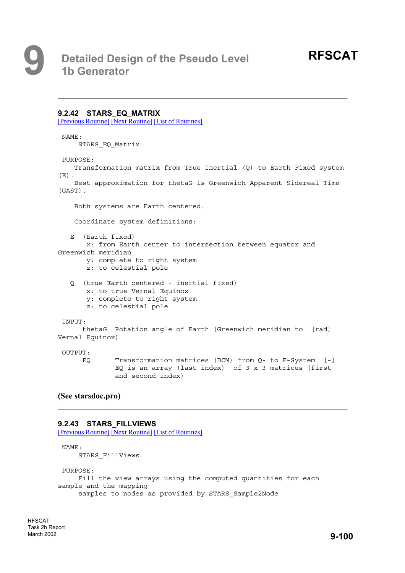#### **9.2.42 STARS\_EQ\_MATRIX**

[Previous Routine] [Next Routine] [List of Routines]

NAME:

STARS\_EQ\_Matrix

#### PURPOSE:

Transformation matrix from True Inertial (Q) to Earth-Fixed system  $(E)$ . Best approximation for thetaG is Greenwich Apparent Sidereal Time

(GAST).

Both systems are Earth centered.

Coordinate system definitions:

E (Earth fixed)

x: from Earth center to intersection between equator and Greenwich meridian y: complete to right system

- z: to celestial pole
- Q (true Earth centered inertial fixed) x: to true Vernal Equinox
	- y: complete to right system
	- z: to celestial pole

#### INPUT:

thetaG Rotation angle of Earth (Greenwich meridian to [rad] Vernal Equinox)

#### OUTPUT:

EQ Transformation matrices (DCM) from Q- to E-System [-] EQ is an array (last index) of  $3 \times 3$  matrices (first and second index)

#### **(See starsdoc.pro)**

#### **9.2.43 STARS\_FILLVIEWS**

[Previous Routine] [Next Routine] [List of Routines]

```
NAME:
    STARS_FillViews
PURPOSE:
    Fill the view arrays using the computed quantities for each
sample and the mapping
    samples to nodes as provided by STARS_Sample2Node
```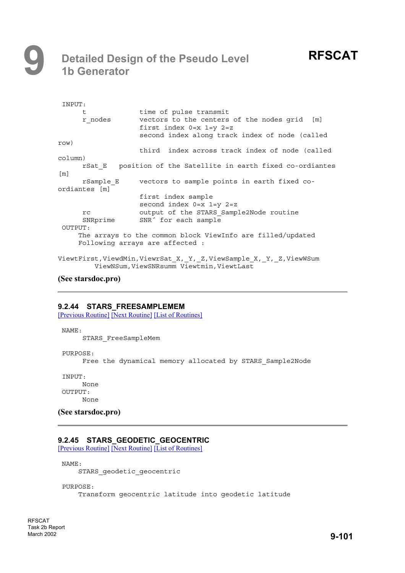# **9 Detailed Design of the Pseudo Level 1b Generator**

| INPUT:                                                                                                            |                                                                                                                                     |  |
|-------------------------------------------------------------------------------------------------------------------|-------------------------------------------------------------------------------------------------------------------------------------|--|
| t.                                                                                                                | time of pulse transmit                                                                                                              |  |
| r nodes                                                                                                           | vectors to the centers of the nodes grid [m]<br>first index $0=x$ $1=y$ $2=z$<br>second index along track index of node (called     |  |
| row)                                                                                                              |                                                                                                                                     |  |
|                                                                                                                   | third index across track index of node (called                                                                                      |  |
| column)                                                                                                           |                                                                                                                                     |  |
| $\lceil m \rceil$                                                                                                 | rSat E position of the Satellite in earth fixed co-ordiantes                                                                        |  |
| rSample E                                                                                                         | vectors to sample points in earth fixed co-                                                                                         |  |
| ordiantes [m]                                                                                                     |                                                                                                                                     |  |
| rc<br>SNRprime<br>OUTPUT:                                                                                         | first index sample<br>second index $0=x$ $1=y$ $2=z$<br>output of the STARS Sample2Node routine<br>SNR <sup>2</sup> for each sample |  |
|                                                                                                                   | The arrays to the common block ViewInfo are filled/updated                                                                          |  |
|                                                                                                                   | Following arrays are affected:                                                                                                      |  |
| ViewtFirst, ViewdMin, ViewrSat X, Y, Z, ViewSample X, Y, Z, ViewWSum<br>ViewNSum, ViewSNRsumm Viewtmin, ViewtLast |                                                                                                                                     |  |

### **(See starsdoc.pro)**

### **9.2.44 STARS\_FREESAMPLEMEM**

[Previous Routine] [Next Routine] [List of Routines]

NAME:

STARS\_FreeSampleMem

PURPOSE:

Free the dynamical memory allocated by STARS\_Sample2Node

INPUT: None OUTPUT: None

**(See starsdoc.pro)**

### **9.2.45 STARS\_GEODETIC\_GEOCENTRIC**

[Previous Routine] [Next Routine] [List of Routines]

NAME:

STARS geodetic geocentric

PURPOSE:

Transform geocentric latitude into geodetic latitude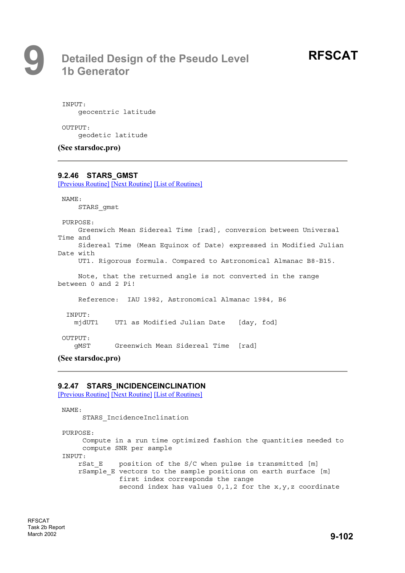INPUT: geocentric latitude

OUTPUT: geodetic latitude

**(See starsdoc.pro)**

### **9.2.46 STARS\_GMST**

[Previous Routine] [Next Routine] [List of Routines]

NAME:

STARS\_gmst

PURPOSE:

Greenwich Mean Sidereal Time [rad], conversion between Universal Time and Sidereal Time (Mean Equinox of Date) expressed in Modified Julian Date with

UT1. Rigorous formula. Compared to Astronomical Almanac B8-B15.

Note, that the returned angle is not converted in the range between 0 and 2 Pi!

Reference: IAU 1982, Astronomical Almanac 1984, B6

INPUT:

mjdUT1 UT1 as Modified Julian Date [day, fod]

OUTPUT:

gMST Greenwich Mean Sidereal Time [rad]

**(See starsdoc.pro)**

### **9.2.47 STARS\_INCIDENCEINCLINATION**

[Previous Routine] [Next Routine] [List of Routines]

```
NAME:
     STARS_IncidenceInclination
PURPOSE:
     Compute in a run time optimized fashion the quantities needed to
     compute SNR per sample
INPUT:
    rSat E position of the S/C when pulse is transmitted [m]
    rSample_E vectors to the sample positions on earth surface [m]
              first index corresponds the range
              second index has values 0,1,2 for the x,y,z coordinate
```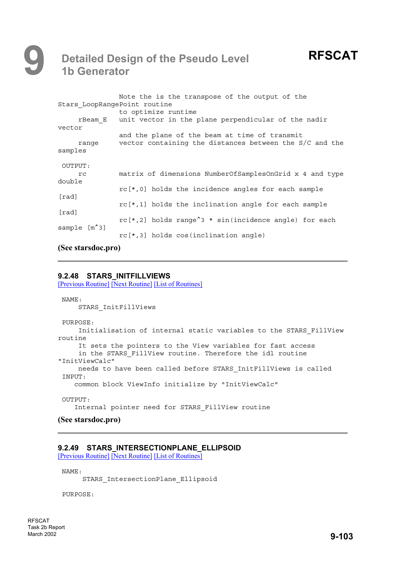## **9 Detailed Design of the Pseudo Level 1b Generator**

| Stars LoopRangePoint routine | Note the is the transpose of the output of the<br>to optimize runtime                                    |
|------------------------------|----------------------------------------------------------------------------------------------------------|
| vector                       | rBeam E unit vector in the plane perpendicular of the nadir                                              |
| ranqe<br>samples             | and the plane of the beam at time of transmit<br>vector containing the distances between the S/C and the |
| OUTPUT:<br>rc.<br>double     | matrix of dimensions NumberOfSamplesOnGrid x 4 and type                                                  |
| [rad]                        | rc[*,0] holds the incidence angles for each sample                                                       |
| [rad]                        | $rc[*,1]$ holds the inclination angle for each sample                                                    |
| sample [m <sup>^</sup> 3]    | rc[*,2] holds range <sup>^</sup> 3 * sin(incidence angle) for each                                       |
|                              | $rc[*,3]$ holds $cos(inclination angle)$                                                                 |

### **(See starsdoc.pro)**

### **9.2.48 STARS\_INITFILLVIEWS**

[Previous Routine] [Next Routine] [List of Routines]

```
NAME:
    STARS_InitFillViews
PURPOSE:
    Initialisation of internal static variables to the STARS_FillView
routine
    It sets the pointers to the View variables for fast access
    in the STARS FillView routine. Therefore the idl routine
"InitViewCalc"
    needs to have been called before STARS_InitFillViews is called
INPUT:
   common block ViewInfo initialize by "InitViewCalc"
OUTPUT:
    Internal pointer need for STARS_FillView routine
```
### **(See starsdoc.pro)**

### **9.2.49 STARS\_INTERSECTIONPLANE\_ELLIPSOID**

[Previous Routine] [Next Routine] [List of Routines]

NAME:

STARS\_IntersectionPlane\_Ellipsoid

PURPOSE: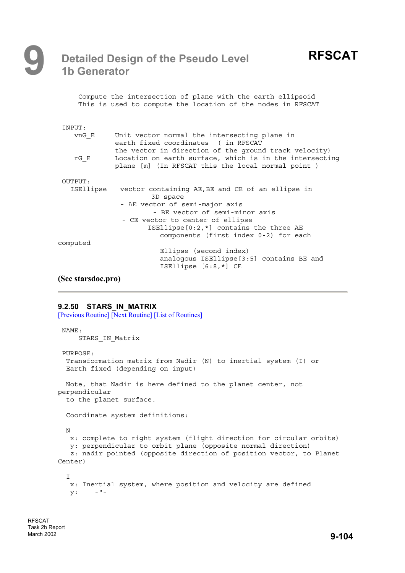|                                  | Compute the intersection of plane with the earth ellipsoid<br>This is used to compute the location of the nodes in RFSCAT                                                                                                                                                 |
|----------------------------------|---------------------------------------------------------------------------------------------------------------------------------------------------------------------------------------------------------------------------------------------------------------------------|
| INPUT:                           |                                                                                                                                                                                                                                                                           |
| vnG E                            | Unit vector normal the intersecting plane in<br>earth fixed coordinates (in RFSCAT                                                                                                                                                                                        |
| rG E                             | the vector in direction of the ground track velocity)<br>Location on earth surface, which is in the intersecting<br>plane [m] (In RFSCAT this the local normal point)                                                                                                     |
| OUTPUT:                          |                                                                                                                                                                                                                                                                           |
|                                  | ISEllipse vector containing AE, BE and CE of an ellipse in<br>3D space<br>- AE vector of semi-major axis<br>- BE vector of semi-minor axis<br>- CE vector to center of ellipse<br>ISEllipse $[0:2, \star]$ contains the three AE<br>components (first index 0-2) for each |
| computed                         |                                                                                                                                                                                                                                                                           |
|                                  | Ellipse (second index)<br>analogous ISEllipse[3:5] contains BE and<br>ISEllipse $[6:8,*]$ CE                                                                                                                                                                              |
| $\sqrt{2}$ $\sqrt{2}$ $\sqrt{2}$ |                                                                                                                                                                                                                                                                           |

### **(See starsdoc.pro)**

### **9.2.50 STARS IN MATRIX**

[Previous Routine] [Next Routine] [List of Routines]

```
NAME:
    STARS IN Matrix
 PURPOSE:
  Transformation matrix from Nadir (N) to inertial system (I) or
 Earth fixed (depending on input)
 Note, that Nadir is here defined to the planet center, not
perpendicular
  to the planet surface.
  Coordinate system definitions:
 N
  x: complete to right system (flight direction for circular orbits)
   y: perpendicular to orbit plane (opposite normal direction)
   z: nadir pointed (opposite direction of position vector, to Planet
Center)
  \mathsf{T}x: Inertial system, where position and velocity are defined
   y: -"-
```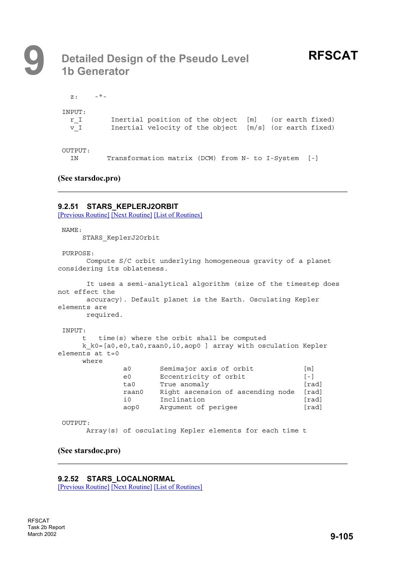$z: -" -" -$ 

INPUT: r\_I Inertial position of the object [m] (or earth fixed) v\_I Inertial velocity of the object [m/s] (or earth fixed)

OUTPUT:

IN Transformation matrix (DCM) from N- to I-System [-]

### **(See starsdoc.pro)**

### **9.2.51 STARS\_KEPLERJ2ORBIT**

[Previous Routine] [Next Routine] [List of Routines]

NAME:

STARS\_KeplerJ2Orbit

PURPOSE:

Compute S/C orbit underlying homogeneous gravity of a planet considering its oblateness.

```
It uses a semi-analytical algorithm (size of the timestep does
not effect the
     accuracy). Default planet is the Earth. Osculating Kepler
elements are
     required.
INPUT:
    t time(s) where the orbit shall be computed
    k_k0=[a0,e0,ta0,raan0,i0,aop0 ] array with osculation Kepler
elements at t=0where
             a0 Semimajor axis of orbit [m]
             e0 Eccentricity of orbit [-]
             ta0 True anomaly [formal] [rad]
             raan0 Right ascension of ascending node [rad]
             i0 Inclination [rad]
             aop0 Argument of perigee [rad]
```
OUTPUT:

Array(s) of osculating Kepler elements for each time t

**(See starsdoc.pro)**

**9.2.52 STARS\_LOCALNORMAL**  [Previous Routine] [Next Routine] [List of Routines]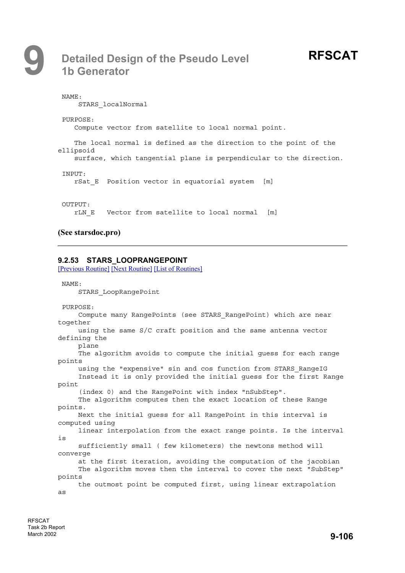# **RFSCAT**

NAME: STARS\_localNormal PURPOSE: Compute vector from satellite to local normal point. The local normal is defined as the direction to the point of the ellipsoid surface, which tangential plane is perpendicular to the direction. INPUT: rSat\_E Position vector in equatorial system [m] OUTPUT: rLN\_E Vector from satellite to local normal [m]

### **(See starsdoc.pro)**

### **9.2.53 STARS\_LOOPRANGEPOINT**

[Previous Routine] [Next Routine] [List of Routines]

NAME: STARS\_LoopRangePoint PURPOSE: Compute many RangePoints (see STARS\_RangePoint) which are near together using the same S/C craft position and the same antenna vector defining the plane The algorithm avoids to compute the initial guess for each range points using the "expensive" sin and cos function from STARS\_RangeIG Instead it is only provided the initial guess for the first Range point (index 0) and the RangePoint with index "nSubStep". The algorithm computes then the exact location of these Range points. Next the initial guess for all RangePoint in this interval is computed using linear interpolation from the exact range points. Is the interval is sufficiently small ( few kilometers) the newtons method will converge at the first iteration, avoiding the computation of the jacobian The algorithm moves then the interval to cover the next "SubStep" points the outmost point be computed first, using linear extrapolation as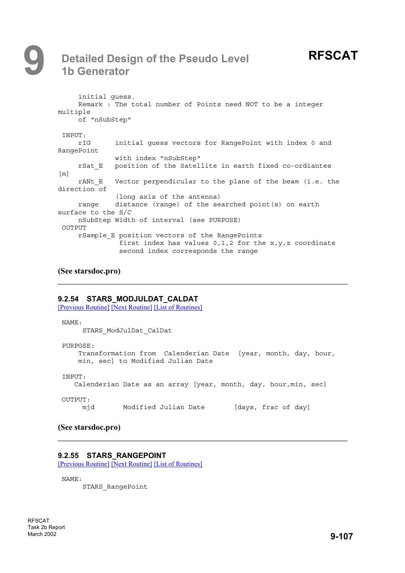# **9 Detailed Design of the Pseudo Level 1b Generator**

```
initial guess.
    Remark : The total number of Points need NOT to be a integer
multiple
    of "nSubStep"
INPUT:
    rIG initial guess vectors for RangePoint with index 0 and
RangePoint
             with index "nSubStep"
    rSat_E position of the Satellite in earth fixed co-ordiantes
[m]
    rANt E Vector perpendicular to the plane of the beam (i.e. the
direction of
             (long axis of the antenna)
    range distance (range) of the searched point(s) on earth
surface to the S/C
    nSubStep Width of interval (see PURPOSE)
OUTPUT
    rSample_E position vectors of the RangePoints
              first index has values 0,1,2 for the x, y, z coordinate
               second index corresponds the range
```
**(See starsdoc.pro)**

### **9.2.54 STARS\_MODJULDAT\_CALDAT**

[Previous Routine] [Next Routine] [List of Routines]

NAME: STARS\_ModJulDat\_CalDat PURPOSE: Transformation from Calenderian Date [year, month, day, hour, min, sec] to Modified Julian Date INPUT: Calenderian Date as an array [year, month, day, hour,min, sec] OUTPUT: mid Modified Julian Date [days, frac of day]

### **(See starsdoc.pro)**

### **9.2.55 STARS\_RANGEPOINT**

[Previous Routine] [Next Routine] [List of Routines]

NAME:

STARS\_RangePoint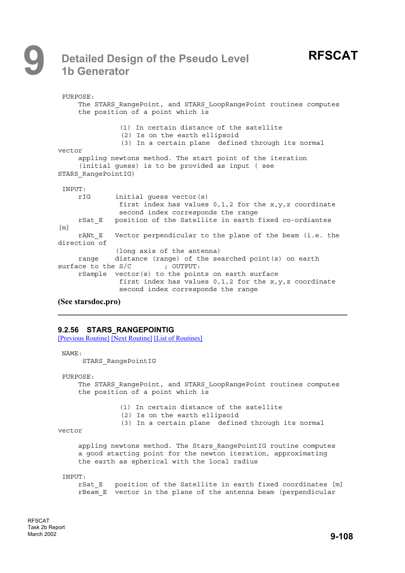# **RFSCAT**

|                   | PURPOSE:               |                                                                                                                                                     |
|-------------------|------------------------|-----------------------------------------------------------------------------------------------------------------------------------------------------|
|                   |                        | The STARS RangePoint, and STARS LoopRangePoint routines computes<br>the position of a point which is                                                |
|                   |                        | (1) In certain distance of the satellite<br>(2) Is on the earth ellipsoid<br>(3) In a certain plane defined through its normal                      |
| vector            |                        |                                                                                                                                                     |
|                   |                        | appling newtons method. The start point of the iteration<br>(initial guess) is to be provided as input (see                                         |
|                   | STARS RangePointIG)    |                                                                                                                                                     |
| INPUT:            |                        |                                                                                                                                                     |
|                   | rIG                    | initial guess vector(s)<br>first index has values $0,1,2$ for the $x,y,z$ coordinate<br>second index corresponds the range                          |
| $\lceil m \rceil$ |                        | rSat E position of the Satellite in earth fixed co-ordiantes                                                                                        |
|                   | rANt E<br>direction of | Vector perpendicular to the plane of the beam (i.e. the                                                                                             |
|                   | range                  | (long axis of the antenna)<br>distance (range) of the searched point (s) on earth                                                                   |
|                   |                        | surface to the $S/C$ ; OUTPUT:                                                                                                                      |
|                   |                        | rSample vector(s) to the points on earth surface<br>first index has values $0,1,2$ for the $x,y,z$ coordinate<br>second index corresponds the range |

### **(See starsdoc.pro)**

### **9.2.56 STARS\_RANGEPOINTIG**

[Previous Routine] [Next Routine] [List of Routines]

NAME:

STARS\_RangePointIG

PURPOSE:

The STARS RangePoint, and STARS LoopRangePoint routines computes the position of a point which is

- (1) In certain distance of the satellite
- (2) Is on the earth ellipsoid
- (3) In a certain plane defined through its normal

vector

appling newtons method. The Stars RangePointIG routine computes a good starting point for the newton iteration, approximating the earth as spherical with the local radius

INPUT:

rSat E position of the Satellite in earth fixed coordinates [m] rBeam E vector in the plane of the antenna beam (perpendicular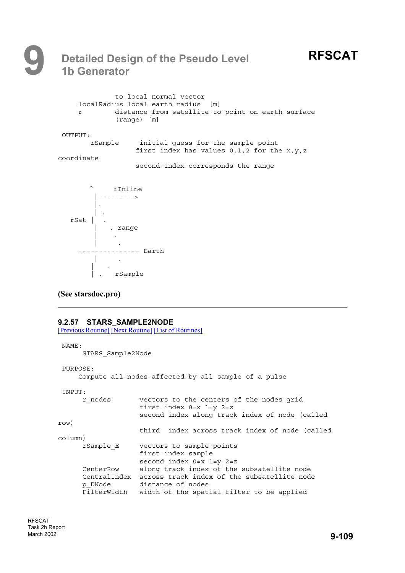# **9 Detailed Design of the Pseudo Level 1b Generator**

| r          | to local normal vector<br>localRadius local earth radius [m]<br>distance from satellite to point on earth surface<br>$(range)$ [m] |
|------------|------------------------------------------------------------------------------------------------------------------------------------|
| OUTPUT:    |                                                                                                                                    |
| rSample    | initial quess for the sample point<br>first index has values $0,1,2$ for the $x,y,z$                                               |
| coordinate |                                                                                                                                    |
|            | second index corresponds the range                                                                                                 |



### **(See starsdoc.pro)**

### **9.2.57 STARS\_SAMPLE2NODE**

[Previous Routine] [Next Routine] [List of Routines]

```
NAME:
     STARS_Sample2Node
 PURPOSE:
    Compute all nodes affected by all sample of a pulse
INPUT:
     r_nodes vectors to the centers of the nodes grid
                   first index 0=x 1=y 2=z
                   second index along track index of node (called
row)
                   third index across track index of node (called
column)
     rSample_E vectors to sample points
                  first index sample
                  second index 0=x 1=y 2=z
      CenterRow along track index of the subsatellite node
      CentralIndex across track index of the subsatellite node
      p_DNode distance of nodes
      FilterWidth width of the spatial filter to be applied
```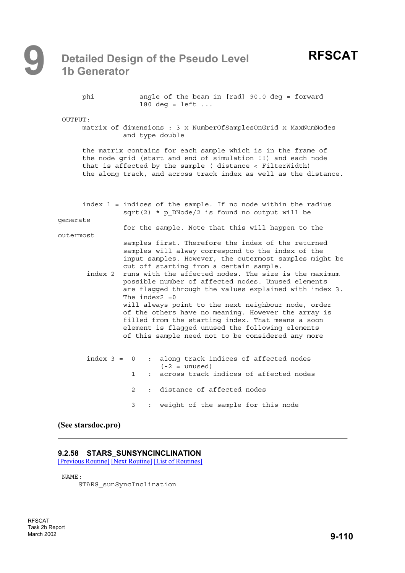phi angle of the beam in [rad] 90.0 deg = forward 180 deg =  $left \cdot \cdot \cdot \right)$ 

OUTPUT:

matrix of dimensions:3x NumberOfSamplesOnGrid x MaxNumNodes and type double

the matrix contains for each sample which is in the frame of the node grid (start and end of simulation !!) and each node that is affected by the sample ( distance < FilterWidth) the along track, and across track index as well as the distance.

|           |               |                   | index 1 = indices of the sample. If no node within the radius<br>$sqrt(2) * p$ DNode/2 is found no output will be                                                                                                                                                                                                                                                                                                                                                                                                                                                                                                                                                         |
|-----------|---------------|-------------------|---------------------------------------------------------------------------------------------------------------------------------------------------------------------------------------------------------------------------------------------------------------------------------------------------------------------------------------------------------------------------------------------------------------------------------------------------------------------------------------------------------------------------------------------------------------------------------------------------------------------------------------------------------------------------|
| generate  |               |                   | for the sample. Note that this will happen to the                                                                                                                                                                                                                                                                                                                                                                                                                                                                                                                                                                                                                         |
| outermost |               |                   |                                                                                                                                                                                                                                                                                                                                                                                                                                                                                                                                                                                                                                                                           |
|           |               | The index $2 = 0$ | samples first. Therefore the index of the returned<br>samples will alway correspond to the index of the<br>input samples. However, the outermost samples might be<br>cut off starting from a certain sample.<br>index 2 runs with the affected nodes. The size is the maximum<br>possible number of affected nodes. Unused elements<br>are flagged through the values explained with index 3.<br>will always point to the next neighbour node, order<br>of the others have no meaning. However the array is<br>filled from the starting index. That means a soon<br>element is flagged unused the following elements<br>of this sample need not to be considered any more |
|           | $index 3 = 0$ | $1 \quad$         | : along track indices of affected nodes<br>$(-2 =$ unused)<br>: across track indices of affected nodes                                                                                                                                                                                                                                                                                                                                                                                                                                                                                                                                                                    |
|           |               | $2^{\circ}$       | : distance of affected nodes                                                                                                                                                                                                                                                                                                                                                                                                                                                                                                                                                                                                                                              |
|           |               | 3                 | : weight of the sample for this node                                                                                                                                                                                                                                                                                                                                                                                                                                                                                                                                                                                                                                      |
|           |               |                   |                                                                                                                                                                                                                                                                                                                                                                                                                                                                                                                                                                                                                                                                           |

#### **(See starsdoc.pro)**

#### **9.2.58 STARS\_SUNSYNCINCLINATION**

[Previous Routine] [Next Routine] [List of Routines]

NAME:

STARS\_sunSyncInclination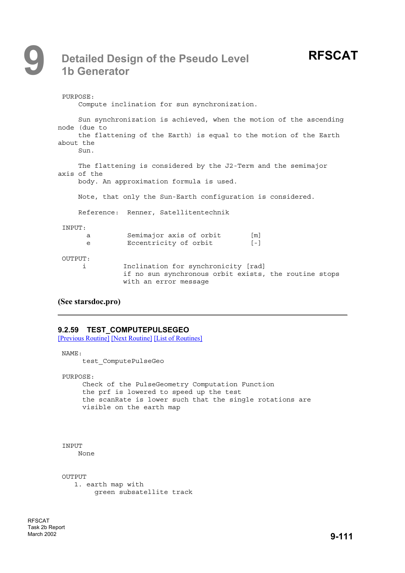```
PURPOSE:
    Compute inclination for sun synchronization.
    Sun synchronization is achieved, when the motion of the ascending
node (due to
    the flattening of the Earth) is equal to the motion of the Earth
about the
    Sun.
    The flattening is considered by the J2-Term and the semimajor
axis of the
    body. An approximation formula is used.
    Note, that only the Sun-Earth configuration is considered.
    Reference: Renner, Satellitentechnik
 INPUT:
      a Semimajor axis of orbit [m]
      e Eccentricity of orbit [-]
OUTPUT:
     i Inclination for synchronicity [rad]
               if no sun synchronous orbit exists, the routine stops
               with an error message
```

```
(See starsdoc.pro)
```
### **9.2.59 TEST\_COMPUTEPULSEGEO**

[Previous Routine] [Next Routine] [List of Routines]

```
NAME:
```
test\_ComputePulseGeo

PURPOSE:

Check of the PulseGeometry Computation Function the prf is lowered to speed up the test the scanRate is lower such that the single rotations are visible on the earth map

```
TNPITT
```
None

```
OUTPUT
   1. earth map with
       green subsatellite track
```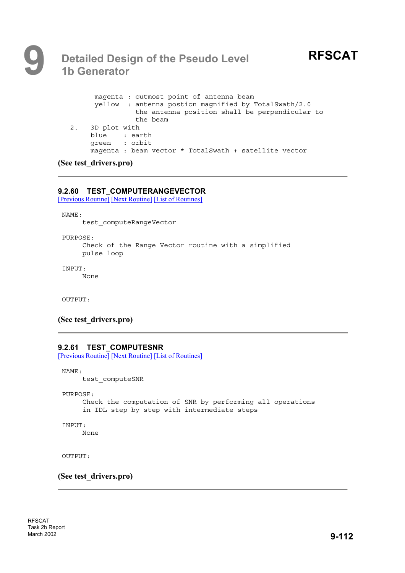# **9 Detailed Design of the Pseudo Level 1b Generator**

```
magenta : outmost point of antenna beam
     yellow : antenna postion magnified by TotalSwath/2.0
               the antenna position shall be perpendicular to
               the beam
2. 3D plot with
    blue : earth
     green : orbit
     magenta : beam vector * TotalSwath + satellite vector
```
### **(See test\_drivers.pro)**

### **9.2.60 TEST\_COMPUTERANGEVECTOR**

[Previous Routine] [Next Routine] [List of Routines]

NAME:

test\_computeRangeVector

PURPOSE: Check of the Range Vector routine with a simplified pulse loop

INPUT:

None

OUTPUT:

### **(See test\_drivers.pro)**

### **9.2.61 TEST\_COMPUTESNR**

[Previous Routine] [Next Routine] [List of Routines]

NAME: test\_computeSNR

PURPOSE:

Check the computation of SNR by performing all operations in IDL step by step with intermediate steps

```
INPUT:
```
None

OUTPUT:

**(See test\_drivers.pro)**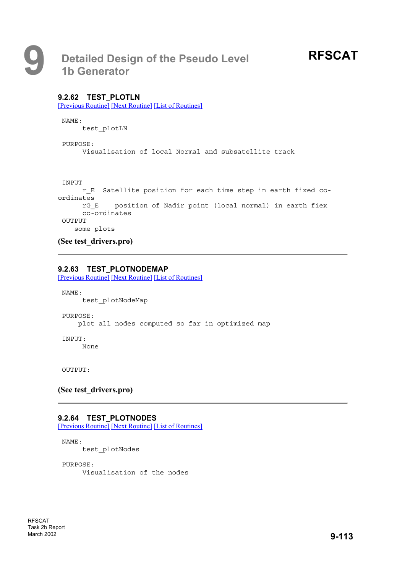### **9.2.62 TEST\_PLOTLN**

[Previous Routine] [Next Routine] [List of Routines]

NAME:

test\_plotLN

PURPOSE: Visualisation of local Normal and subsatellite track

#### INPUT

```
r_E Satellite position for each time step in earth fixed co-
ordinates
     rG_E position of Nadir point (local normal) in earth fiex
     co-ordinates
OUTPUT
   some plots
```
**(See test\_drivers.pro)**

### **9.2.63 TEST\_PLOTNODEMAP**

[Previous Routine] [Next Routine] [List of Routines]

NAME:

test\_plotNodeMap

PURPOSE:

plot all nodes computed so far in optimized map

INPUT:

None

OUTPUT:

### **(See test\_drivers.pro)**

### **9.2.64 TEST\_PLOTNODES**

[Previous Routine] [Next Routine] [List of Routines]

NAME:

test\_plotNodes

PURPOSE:

Visualisation of the nodes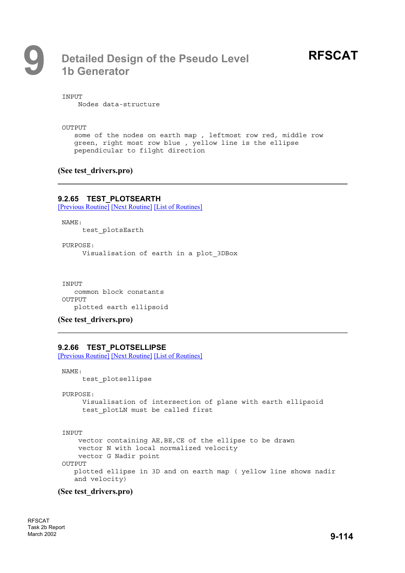# **RFSCAT**

**TNPITT** 

Nodes data-structure

OUTPUT

some of the nodes on earth map , leftmost row red, middle row green, right most row blue , yellow line is the ellipse pependicular to filght direction

### **(See test\_drivers.pro)**

### **9.2.65 TEST\_PLOTSEARTH**

[Previous Routine] [Next Routine] [List of Routines]

NAME:

test\_plotsEarth

PURPOSE: Visualisation of earth in a plot\_3DBox

INPUT common block constants OUTPUT plotted earth ellipsoid

**(See test\_drivers.pro)**

### **9.2.66 TEST\_PLOTSELLIPSE**

[Previous Routine] [Next Routine] [List of Routines]

NAME: test\_plotsellipse

```
PURPOSE:
```
Visualisation of intersection of plane with earth ellipsoid test plotLN must be called first

```
INPUT
```
vector containing AE,BE,CE of the ellipse to be drawn vector N with local normalized velocity vector G Nadir point OUTPUT plotted ellipse in 3D and on earth map ( yellow line shows nadir and velocity)

### **(See test\_drivers.pro)**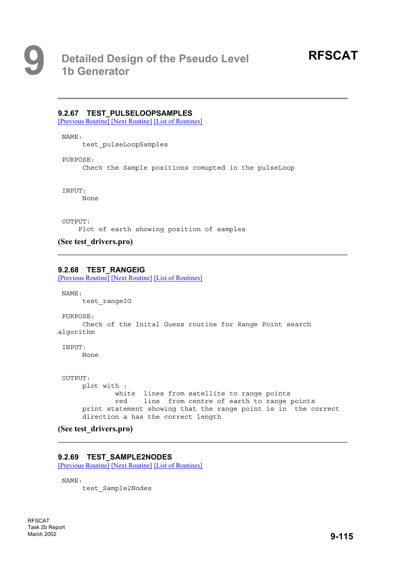### **9.2.67 TEST\_PULSELOOPSAMPLES**

[Previous Routine] [Next Routine] [List of Routines]

NAME:

test\_pulseLoopSamples

PURPOSE:

Check the Sample positions comupted in the pulseLoop

INPUT:

None

OUTPUT:

Plot of earth showing position of samples

**(See test\_drivers.pro)**

### **9.2.68 TEST\_RANGEIG**

[Previous Routine] [Next Routine] [List of Routines]

NAME:

test\_rangeIG

PURPOSE:

Check of the Inital Guess routine for Range Point search algorithm

INPUT:

None

```
OUTPUT:
    plot with :
             white lines from satellite to range points
             red line from centre of earth to range points
    print statement showing that the range point is in the correct
     direction a has the correct length
```
**(See test\_drivers.pro)**

### **9.2.69 TEST\_SAMPLE2NODES**

[Previous Routine] [Next Routine] [List of Routines]

NAME:

test\_Sample2Nodes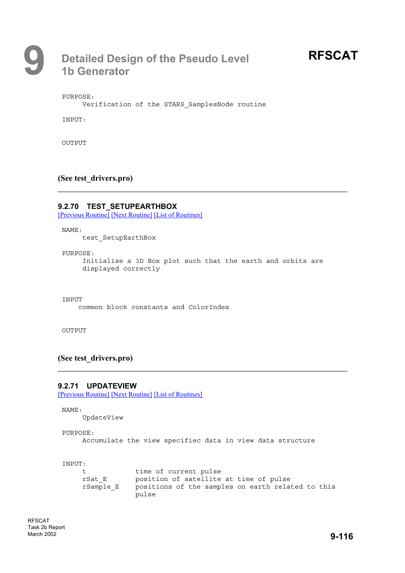# **RFSCAT**

PURPOSE:

Verification of the STARS\_SamplesNode routine

INPUT:

OUTPUT

### **(See test\_drivers.pro)**

### **9.2.70 TEST\_SETUPEARTHBOX**

[Previous Routine] [Next Routine] [List of Routines]

NAME:

test\_SetupEarthBox

PURPOSE:

Initialise a 3D Box plot such that the earth and orbits are displayed correctly

INPUT

common block constants and ColorIndex

OUTPUT

### **(See test\_drivers.pro)**

### **9.2.71 UPDATEVIEW**

[Previous Routine] [Next Routine] [List of Routines]

NAME:

UpdateView

```
PURPOSE:
```
Accumulate the view specifiec data in view data structure

INPUT:

| t.        | time of current pulse                             |
|-----------|---------------------------------------------------|
| rSat E    | position of satellite at time of pulse            |
| rSample E | positions of the samples on earth related to this |
|           | pulse                                             |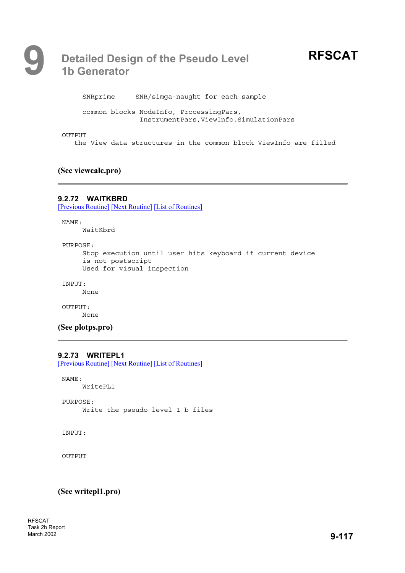# **RFSCAT**

SNRprime SNR/simga-naught for each sample common blocks NodeInfo, ProcessingPars, InstrumentPars,ViewInfo,SimulationPars OUTPUT

the View data structures in the common block ViewInfo are filled

### **(See viewcalc.pro)**

### **9.2.72 WAITKBRD**

[Previous Routine] [Next Routine] [List of Routines]

NAME:

WaitKbrd

PURPOSE:

```
Stop execution until user hits keyboard if current device
is not postscript
Used for visual inspection
```
INPUT:

None

OUTPUT: None

**(See plotps.pro)**

### **9.2.73 WRITEPL1**

[Previous Routine] [Next Routine] [List of Routines]

NAME:

WritePL1

PURPOSE: Write the pseudo level 1 b files

INPUT:

OUTPUT

**(See writepl1.pro)**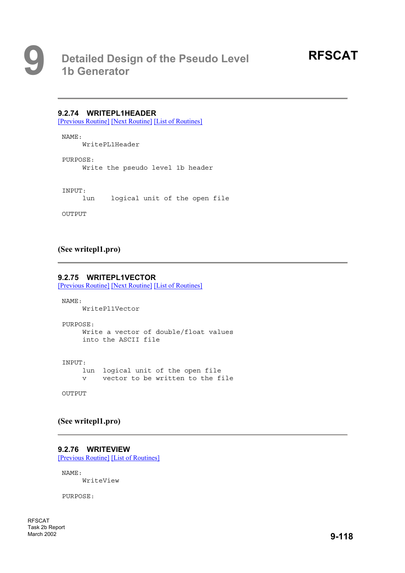### **9.2.74 WRITEPL1HEADER**

[Previous Routine] [Next Routine] [List of Routines]

NAME: WritePL1Header

PURPOSE: Write the pseudo level 1b header

INPUT:

lun logical unit of the open file

OUTPUT

### **(See writepl1.pro)**

#### **9.2.75 WRITEPL1VECTOR**

[Previous Routine] [Next Routine] [List of Routines]

NAME: WritePl1Vector

PURPOSE: Write a vector of double/float values into the ASCII file

INPUT: lun logical unit of the open file v vector to be written to the file

**OUTPUT** 

### **(See writepl1.pro)**

### **9.2.76 WRITEVIEW**

[Previous Routine] [List of Routines]

NAME: WriteView

PURPOSE:

RFSCAT Task 2b Report March 2002 **9-118**